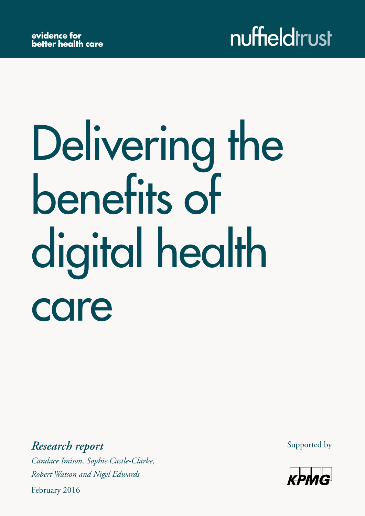# Delivering the benefits of digital health care

*Research report Candace Imison, Sophie Castle-Clarke, Robert Watson and Nigel Edwards*

February 2016

Supported by

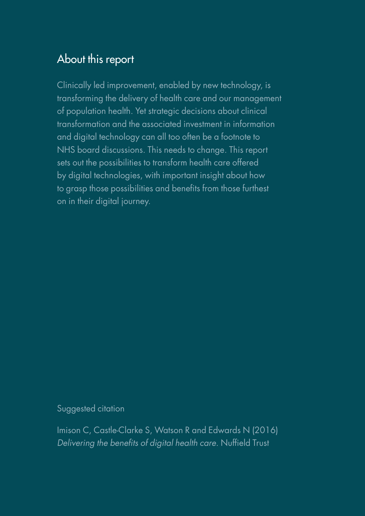### About this report

Clinically led improvement, enabled by new technology, is transforming the delivery of health care and our management of population health. Yet strategic decisions about clinical transformation and the associated investment in information and digital technology can all too often be a footnote to NHS board discussions. This needs to change. This report sets out the possibilities to transform health care offered by digital technologies, with important insight about how to grasp those possibilities and benefits from those furthest on in their digital journey.

Suggested citation

Imison C, Castle-Clarke S, Watson R and Edwards N (2016) *Delivering the benefits of digital health care*. Nuffield Trust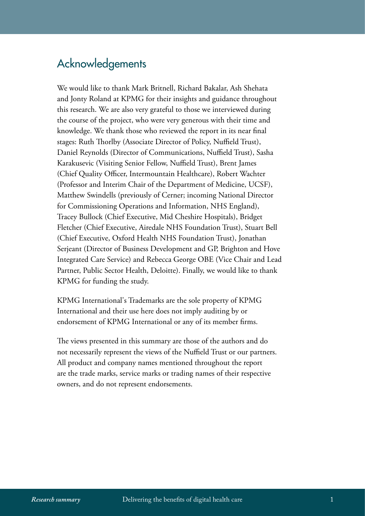### Acknowledgements

We would like to thank Mark Britnell, Richard Bakalar, Ash Shehata and Jonty Roland at KPMG for their insights and guidance throughout this research. We are also very grateful to those we interviewed during the course of the project, who were very generous with their time and knowledge. We thank those who reviewed the report in its near final stages: Ruth Thorlby (Associate Director of Policy, Nuffield Trust), Daniel Reynolds (Director of Communications, Nuffield Trust), Sasha Karakusevic (Visiting Senior Fellow, Nuffield Trust), Brent James (Chief Quality Officer, Intermountain Healthcare), Robert Wachter (Professor and Interim Chair of the Department of Medicine, UCSF), Matthew Swindells (previously of Cerner; incoming National Director for Commissioning Operations and Information, NHS England), Tracey Bullock (Chief Executive, Mid Cheshire Hospitals), Bridget Fletcher (Chief Executive, Airedale NHS Foundation Trust), Stuart Bell (Chief Executive, Oxford Health NHS Foundation Trust), Jonathan Serjeant (Director of Business Development and GP, Brighton and Hove Integrated Care Service) and Rebecca George OBE (Vice Chair and Lead Partner, Public Sector Health, Deloitte). Finally, we would like to thank KPMG for funding the study.

KPMG International's Trademarks are the sole property of KPMG International and their use here does not imply auditing by or endorsement of KPMG International or any of its member firms.

The views presented in this summary are those of the authors and do not necessarily represent the views of the Nuffield Trust or our partners. All product and company names mentioned throughout the report are the trade marks, service marks or trading names of their respective owners, and do not represent endorsements.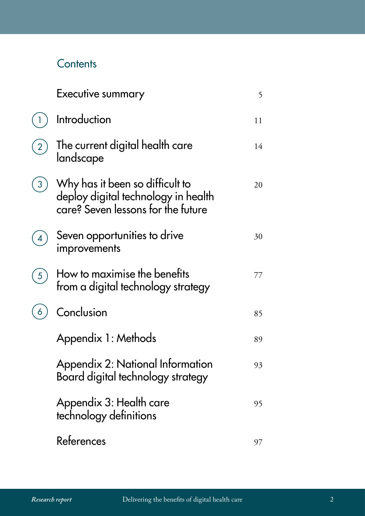### **Contents**

| Executive summary                                                                                            | 5  |
|--------------------------------------------------------------------------------------------------------------|----|
| Introduction                                                                                                 | 11 |
| The current digital health care<br>landscape                                                                 | 14 |
| Why has it been so difficult to<br>deploy digital technology in health<br>care? Seven lessons for the future | 20 |
| Seven opportunities to drive<br>improvements                                                                 | 30 |
| How to maximise the benefits<br>from a digital technology strategy                                           | 77 |
| Conclusion                                                                                                   | 85 |
| Appendix 1: Methods                                                                                          | 89 |
| Appendix 2: National Information<br>Board digital technology strategy                                        | 93 |
| Appendix 3: Health care<br>technology definitions                                                            | 95 |
| References                                                                                                   | 97 |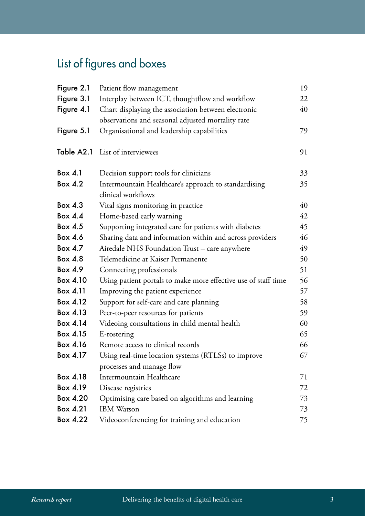## List of figures and boxes

| Figure 2.1 | Patient flow management                                        | 19 |
|------------|----------------------------------------------------------------|----|
| Figure 3.1 | Interplay between ICT, thoughtflow and workflow                | 22 |
| Figure 4.1 | Chart displaying the association between electronic            | 40 |
|            | observations and seasonal adjusted mortality rate              |    |
| Figure 5.1 | Organisational and leadership capabilities                     | 79 |
| Table A2.1 | List of interviewees                                           | 91 |
| Box 4.1    | Decision support tools for clinicians                          | 33 |
| Box 4.2    | Intermountain Healthcare's approach to standardising           | 35 |
|            | clinical workflows                                             |    |
| Box $4.3$  | Vital signs monitoring in practice                             | 40 |
| Box 4.4    | Home-based early warning                                       | 42 |
| Box 4.5    | Supporting integrated care for patients with diabetes          | 45 |
| Box 4.6    | Sharing data and information within and across providers       | 46 |
| Box 4.7    | Airedale NHS Foundation Trust - care anywhere                  | 49 |
| Box 4.8    | Telemedicine at Kaiser Permanente                              | 50 |
| Box 4.9    | Connecting professionals                                       | 51 |
| Box 4.10   | Using patient portals to make more effective use of staff time | 56 |
| Box 4.11   | Improving the patient experience                               | 57 |
| Box 4.12   | Support for self-care and care planning                        | 58 |
| Box 4.13   | Peer-to-peer resources for patients                            | 59 |
| Box 4.14   | Videoing consultations in child mental health                  | 60 |
| Box 4.15   | E-rostering                                                    | 65 |
| Box 4.16   | Remote access to clinical records                              | 66 |
| Box 4.17   | Using real-time location systems (RTLSs) to improve            | 67 |
|            | processes and manage flow                                      |    |
| Box 4.18   | Intermountain Healthcare                                       | 71 |
| Box 4.19   | Disease registries                                             | 72 |
| Box 4.20   | Optimising care based on algorithms and learning               | 73 |
| Box 4.21   | <b>IBM</b> Watson                                              | 73 |
| Box 4.22   | Videoconferencing for training and education                   | 75 |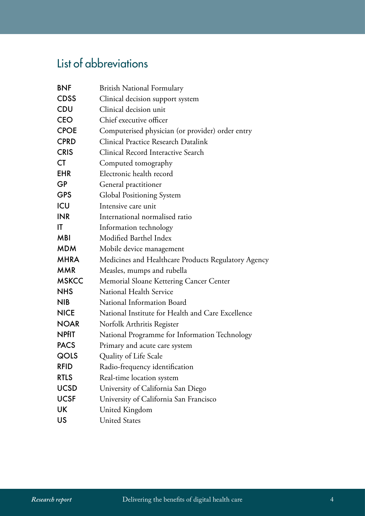### List of abbreviations

| <b>BNF</b>   | <b>British National Formulary</b>                   |
|--------------|-----------------------------------------------------|
| <b>CDSS</b>  | Clinical decision support system                    |
| <b>CDU</b>   | Clinical decision unit                              |
| <b>CEO</b>   | Chief executive officer                             |
| <b>CPOE</b>  | Computerised physician (or provider) order entry    |
| <b>CPRD</b>  | <b>Clinical Practice Research Datalink</b>          |
| <b>CRIS</b>  | Clinical Record Interactive Search                  |
| <b>CT</b>    | Computed tomography                                 |
| <b>EHR</b>   | Electronic health record                            |
| <b>GP</b>    | General practitioner                                |
| <b>GPS</b>   | <b>Global Positioning System</b>                    |
| ICU          | Intensive care unit                                 |
| <b>INR</b>   | International normalised ratio                      |
| ΙT           | Information technology                              |
| <b>MBI</b>   | Modified Barthel Index                              |
| <b>MDM</b>   | Mobile device management                            |
| <b>MHRA</b>  | Medicines and Healthcare Products Regulatory Agency |
| <b>MMR</b>   | Measles, mumps and rubella                          |
| <b>MSKCC</b> | Memorial Sloane Kettering Cancer Center             |
| <b>NHS</b>   | National Health Service                             |
| <b>NIB</b>   | National Information Board                          |
| <b>NICE</b>  | National Institute for Health and Care Excellence   |
| <b>NOAR</b>  | Norfolk Arthritis Register                          |
| <b>NPfIT</b> | National Programme for Information Technology       |
| <b>PACS</b>  | Primary and acute care system                       |
| QOLS         | Quality of Life Scale                               |
| <b>RFID</b>  | Radio-frequency identification                      |
| <b>RTLS</b>  | Real-time location system                           |
| <b>UCSD</b>  | University of California San Diego                  |
| <b>UCSF</b>  | University of California San Francisco              |
| UK           | United Kingdom                                      |
| US           | <b>United States</b>                                |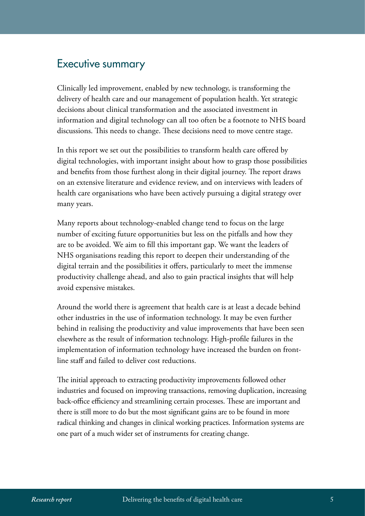### <span id="page-6-0"></span>Executive summary

Clinically led improvement, enabled by new technology, is transforming the delivery of health care and our management of population health. Yet strategic decisions about clinical transformation and the associated investment in information and digital technology can all too often be a footnote to NHS board discussions. This needs to change. These decisions need to move centre stage.

In this report we set out the possibilities to transform health care offered by digital technologies, with important insight about how to grasp those possibilities and benefits from those furthest along in their digital journey. The report draws on an extensive literature and evidence review, and on interviews with leaders of health care organisations who have been actively pursuing a digital strategy over many years.

Many reports about technology-enabled change tend to focus on the large number of exciting future opportunities but less on the pitfalls and how they are to be avoided. We aim to fill this important gap. We want the leaders of NHS organisations reading this report to deepen their understanding of the digital terrain and the possibilities it offers, particularly to meet the immense productivity challenge ahead, and also to gain practical insights that will help avoid expensive mistakes.

Around the world there is agreement that health care is at least a decade behind other industries in the use of information technology. It may be even further behind in realising the productivity and value improvements that have been seen elsewhere as the result of information technology. High-profile failures in the implementation of information technology have increased the burden on frontline staff and failed to deliver cost reductions.

The initial approach to extracting productivity improvements followed other industries and focused on improving transactions, removing duplication, increasing back-office efficiency and streamlining certain processes. These are important and there is still more to do but the most significant gains are to be found in more radical thinking and changes in clinical working practices. Information systems are one part of a much wider set of instruments for creating change.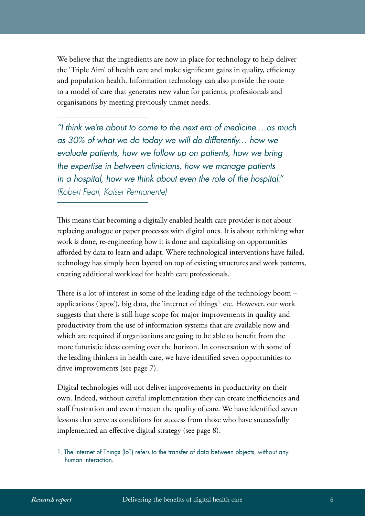We believe that the ingredients are now in place for technology to help deliver the 'Triple Aim' of health care and make significant gains in quality, efficiency and population health. Information technology can also provide the route to a model of care that generates new value for patients, professionals and organisations by meeting previously unmet needs.

*"I think we're about to come to the next era of medicine… as much as 30% of what we do today we will do differently… how we evaluate patients, how we follow up on patients, how we bring the expertise in between clinicians, how we manage patients in a hospital, how we think about even the role of the hospital." (Robert Pearl, Kaiser Permanente)*

This means that becoming a digitally enabled health care provider is not about replacing analogue or paper processes with digital ones. It is about rethinking what work is done, re-engineering how it is done and capitalising on opportunities afforded by data to learn and adapt. Where technological interventions have failed, technology has simply been layered on top of existing structures and work patterns, creating additional workload for health care professionals.

There is a lot of interest in some of the leading edge of the technology boom – applications ('apps'), big data, the 'internet of things'1 etc. However, our work suggests that there is still huge scope for major improvements in quality and productivity from the use of information systems that are available now and which are required if organisations are going to be able to benefit from the more futuristic ideas coming over the horizon. In conversation with some of the leading thinkers in health care, we have identified seven opportunities to drive improvements (see page 7).

Digital technologies will not deliver improvements in productivity on their own. Indeed, without careful implementation they can create inefficiencies and staff frustration and even threaten the quality of care. We have identified seven lessons that serve as conditions for success from those who have successfully implemented an effective digital strategy (see page 8).

<sup>1.</sup> The Internet of Things (IoT) refers to the transfer of data between objects, without any human interaction.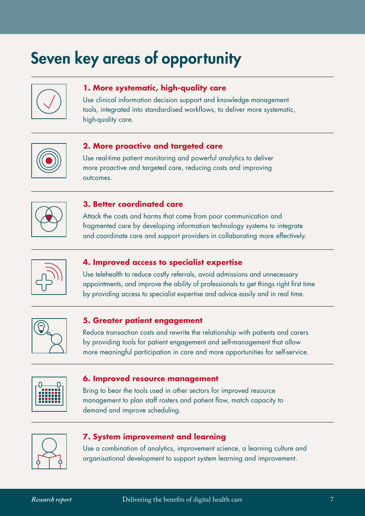#### **1. More systematic, high-quality care**

Use clinical information decision support and knowledge management tools, integrated into standardised workflows, to deliver more systematic, high-quality care.



#### **2. More proactive and targeted care**

Use real-time patient monitoring and powerful analytics to deliver more proactive and targeted care, reducing costs and improving outcomes.



#### **3. Better coordinated care**

Attack the costs and harms that come from poor communication and fragmented care by developing information technology systems to integrate and coordinate care and support providers in collaborating more effectively.



#### **4. Improved access to specialist expertise**

Use telehealth to reduce costly referrals, avoid admissions and unnecessary appointments, and improve the ability of professionals to get things right first time by providing access to specialist expertise and advice easily and in real time.



#### **5. Greater patient engagement**

Reduce transaction costs and rewrite the relationship with patients and carers by providing tools for patient engagement and self-management that allow more meaningful participation in care and more opportunities for self-service. Seven key areas of opportunity<br>
1. More systematic, high-quality care<br>
Use clinical information decision support and knowled<br>
tools, integrated into standardised weakflows, to delive<br>
high-quality care.<br>
2. More proactive

|  | п | I<br>пı<br>١,<br>n i i i i | Ξ |  |
|--|---|----------------------------|---|--|
|  |   | nnan                       |   |  |

#### **6. Improved resource management**

Bring to bear the tools used in other sectors for improved resource management to plan staff rosters and patient flow, match capacity to demand and improve scheduling.



#### **7. System improvement and learning**

Use a combination of analytics, improvement science, a learning culture and organisational development to support system learning and improvement.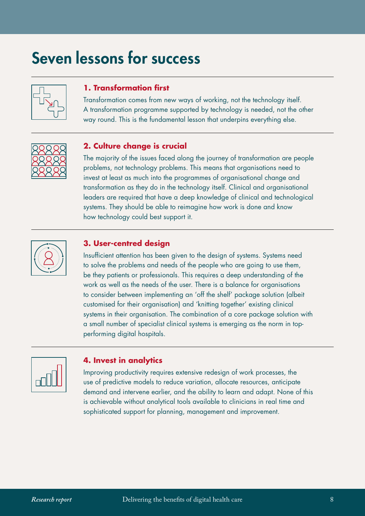# Seven lessons for success



#### **1. Transformation first**

Transformation comes from new ways of working, not the technology itself. A transformation programme supported by technology is needed, not the other way round. This is the fundamental lesson that underpins everything else.



#### **2. Culture change is crucial**

The majority of the issues faced along the journey of transformation are people problems, not technology problems. This means that organisations need to invest at least as much into the programmes of organisational change and transformation as they do in the technology itself. Clinical and organisational leaders are required that have a deep knowledge of clinical and technological systems. They should be able to reimagine how work is done and know how technology could best support it.



#### **3. User-centred design**

Insufficient attention has been given to the design of systems. Systems need to solve the problems and needs of the people who are going to use them, be they patients or professionals. This requires a deep understanding of the work as well as the needs of the user. There is a balance for organisations to consider between implementing an 'off the shelf' package solution (albeit customised for their organisation) and 'knitting together' existing clinical systems in their organisation. The combination of a core package solution with a small number of specialist clinical systems is emerging as the norm in topperforming digital hospitals.

| $\mathbb{U}$ |  |
|--------------|--|
|              |  |

#### **4. Invest in analytics**

Improving productivity requires extensive redesign of work processes, the use of predictive models to reduce variation, allocate resources, anticipate demand and intervene earlier, and the ability to learn and adapt. None of this is achievable without analytical tools available to clinicians in real time and sophisticated support for planning, management and improvement.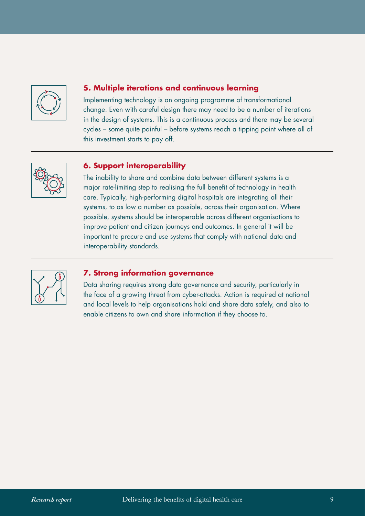

#### **5. Multiple iterations and continuous learning**

Implementing technology is an ongoing programme of transformational change. Even with careful design there may need to be a number of iterations in the design of systems. This is a continuous process and there may be several cycles – some quite painful – before systems reach a tipping point where all of this investment starts to pay off.



#### **6. Support interoperability**

The inability to share and combine data between different systems is a major rate-limiting step to realising the full benefit of technology in health care. Typically, high-performing digital hospitals are integrating all their systems, to as low a number as possible, across their organisation. Where possible, systems should be interoperable across different organisations to improve patient and citizen journeys and outcomes. In general it will be important to procure and use systems that comply with national data and interoperability standards.



#### **7. Strong information governance**

Data sharing requires strong data governance and security, particularly in the face of a growing threat from cyber-attacks. Action is required at national and local levels to help organisations hold and share data safely, and also to enable citizens to own and share information if they choose to.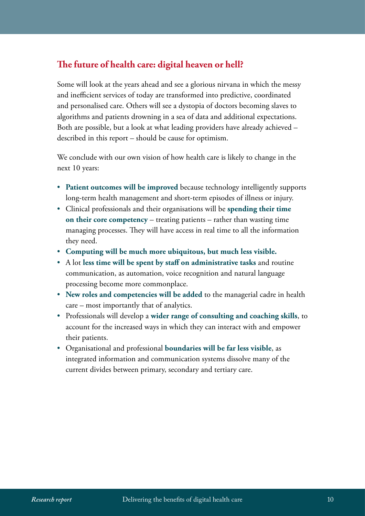#### <span id="page-11-0"></span>**The future of health care: digital heaven or hell?**

Some will look at the years ahead and see a glorious nirvana in which the messy and inefficient services of today are transformed into predictive, coordinated and personalised care. Others will see a dystopia of doctors becoming slaves to algorithms and patients drowning in a sea of data and additional expectations. Both are possible, but a look at what leading providers have already achieved – described in this report – should be cause for optimism.

We conclude with our own vision of how health care is likely to change in the next 10 years:

- **Patient outcomes will be improved** because technology intelligently supports long-term health management and short-term episodes of illness or injury.
- Clinical professionals and their organisations will be **spending their time on their core competency** – treating patients – rather than wasting time managing processes. They will have access in real time to all the information they need.
- **Computing will be much more ubiquitous, but much less visible.**
- A lot **less time will be spent by staff on administrative tasks** and routine communication, as automation, voice recognition and natural language processing become more commonplace.
- **New roles and competencies will be added** to the managerial cadre in health care – most importantly that of analytics.
- Professionals will develop a **wider range of consulting and coaching skills**, to account for the increased ways in which they can interact with and empower their patients.
- Organisational and professional **boundaries will be far less visible**, as integrated information and communication systems dissolve many of the current divides between primary, secondary and tertiary care.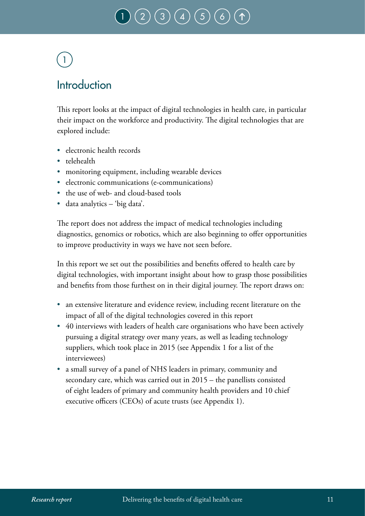#### $\big(\, 3 \, \big) \big(\, 4 \, \big) \,\big(\, 5 \,\big)$  $\big(\, 3 \, \big) \big(\, 4 \, \big) \,\big(\, 5 \,\big)$  $\big(\, 3 \, \big) \big(\, 4 \, \big) \,\big(\, 5 \,\big)$  $\big(\, 3 \, \big) \big(\, 4 \, \big) \,\big(\, 5 \,\big)$  $\big(\, 3 \, \big) \big(\, 4 \, \big) \,\big(\, 5 \,\big)$  $\big(\, 3 \, \big) \big(\, 4 \, \big) \,\big(\, 5 \,\big)$  $\big(\, 3 \, \big) \big(\, 4 \, \big) \,\big(\, 5 \,\big)$ 1

# <span id="page-12-0"></span>1

### **Introduction**

This report looks at the impact of digital technologies in health care, in particular their impact on the workforce and productivity. The digital technologies that are explored include:

- electronic health records
- telehealth
- monitoring equipment, including wearable devices
- electronic communications (e-communications)
- the use of web- and cloud-based tools
- data analytics 'big data'.

The report does not address the impact of medical technologies including diagnostics, genomics or robotics, which are also beginning to offer opportunities to improve productivity in ways we have not seen before.

In this report we set out the possibilities and benefits offered to health care by digital technologies, with important insight about how to grasp those possibilities and benefits from those furthest on in their digital journey. The report draws on:

- an extensive literature and evidence review, including recent literature on the impact of all of the digital technologies covered in this report
- 40 interviews with leaders of health care organisations who have been actively pursuing a digital strategy over many years, as well as leading technology suppliers, which took place in 2015 (see Appendix 1 for a list of the interviewees)
- a small survey of a panel of NHS leaders in primary, community and secondary care, which was carried out in 2015 – the panellists consisted of eight leaders of primary and community health providers and 10 chief executive officers (CEOs) of acute trusts (see Appendix 1).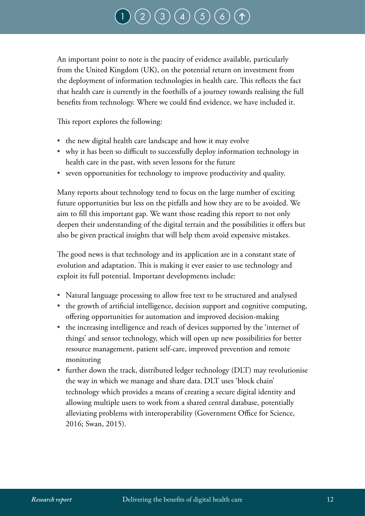#### $\big(\, 3 \, \big) \big(\, 4 \, \big) \,\big(\, 5 \,\big)$  $\big(\, 3 \, \big) \big(\, 4 \, \big) \,\big(\, 5 \,\big)$  $\big(\, 3 \, \big) \big(\, 4 \, \big) \,\big(\, 5 \,\big)$  $\big(\, 3 \, \big) \big(\, 4 \, \big) \,\big(\, 5 \,\big)$  $\big(\, 3 \, \big) \big(\, 4 \, \big) \,\big(\, 5 \,\big)$  $\big(\, 3 \, \big) \big(\, 4 \, \big) \,\big(\, 5 \,\big)$  $\big(\, 3 \, \big) \big(\, 4 \, \big) \,\big(\, 5 \,\big)$ [1](#page-12-0)

An important point to note is the paucity of evidence available, particularly from the United Kingdom (UK), on the potential return on investment from the deployment of information technologies in health care. This reflects the fact that health care is currently in the foothills of a journey towards realising the full benefits from technology. Where we could find evidence, we have included it.

This report explores the following:

- the new digital health care landscape and how it may evolve
- why it has been so difficult to successfully deploy information technology in health care in the past, with seven lessons for the future
- seven opportunities for technology to improve productivity and quality.

Many reports about technology tend to focus on the large number of exciting future opportunities but less on the pitfalls and how they are to be avoided. We aim to fill this important gap. We want those reading this report to not only deepen their understanding of the digital terrain and the possibilities it offers but also be given practical insights that will help them avoid expensive mistakes.

The good news is that technology and its application are in a constant state of evolution and adaptation. This is making it ever easier to use technology and exploit its full potential. Important developments include:

- Natural language processing to allow free text to be structured and analysed
- the growth of artificial intelligence, decision support and cognitive computing, offering opportunities for automation and improved decision-making
- the increasing intelligence and reach of devices supported by the 'internet of things' and sensor technology, which will open up new possibilities for better resource management, patient self-care, improved prevention and remote monitoring
- further down the track, distributed ledger technology (DLT) may revolutionise the way in which we manage and share data. DLT uses 'block chain' technology which provides a means of creating a secure digital identity and allowing multiple users to work from a shared central database, potentially alleviating problems with interoperability (Government Office for Science, 2016; Swan, 2015).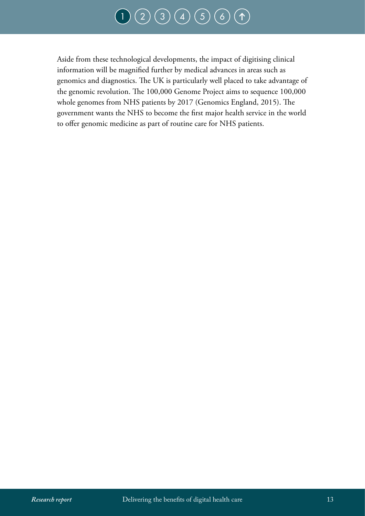#### $(2)(3)(4)(5)(6)$  $(2)(3)(4)(5)(6)$  $(2)(3)(4)(5)(6)$  $(2)(3)(4)(5)(6)$  $(2)(3)(4)(5)(6)$  $(2)(3)(4)(5)(6)$  $(2)(3)(4)(5)(6)$  $(2)(3)(4)(5)(6)$  $(2)(3)(4)(5)(6)$  $(2)(3)(4)(5)(6)$  $(2)(3)(4)(5)(6)$  $(1)$  $(1)$  $(1)$

Aside from these technological developments, the impact of digitising clinical information will be magnified further by medical advances in areas such as genomics and diagnostics. The UK is particularly well placed to take advantage of the genomic revolution. The 100,000 Genome Project aims to sequence 100,000 whole genomes from NHS patients by 2017 (Genomics England, 2015). The government wants the NHS to become the first major health service in the world to offer genomic medicine as part of routine care for NHS patients.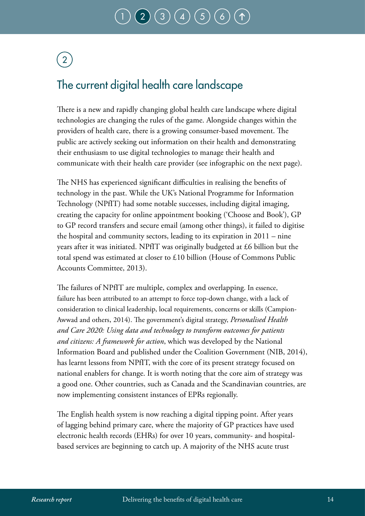# <span id="page-15-0"></span>2

### The current digital health care landscape

There is a new and rapidly changing global health care landscape where digital technologies are changing the rules of the game. Alongside changes within the providers of health care, there is a growing consumer-based movement. The public are actively seeking out information on their health and demonstrating their enthusiasm to use digital technologies to manage their health and communicate with their health care provider (see infographic on the next page).

The NHS has experienced significant difficulties in realising the benefits of technology in the past. While the UK's National Programme for Information Technology (NPfIT) had some notable successes, including digital imaging, creating the capacity for online appointment booking ('Choose and Book'), GP to GP record transfers and secure email (among other things), it failed to digitise the hospital and community sectors, leading to its expiration in 2011 – nine years after it was initiated. NPfIT was originally budgeted at £6 billion but the total spend was estimated at closer to £10 billion (House of Commons Public Accounts Committee, 2013).

The failures of NPfIT are multiple, complex and overlapping. In essence, failure has been attributed to an attempt to force top-down change, with a lack of consideration to clinical leadership, local requirements, concerns or skills (Campion-Awwad and others, 2014). The government's digital strategy, *Personalised Health and Care 2020: Using data and technology to transform outcomes for patients and citizens: A framework for action*, which was developed by the National Information Board and published under the Coalition Government (NIB, 2014), has learnt lessons from NPfIT, with the core of its present strategy focused on national enablers for change. It is worth noting that the core aim of strategy was a good one. Other countries, such as Canada and the Scandinavian countries, are now implementing consistent instances of EPRs regionally.

The English health system is now reaching a digital tipping point. After years of lagging behind primary care, where the majority of GP practices have used electronic health records (EHRs) for over 10 years, community- and hospitalbased services are beginning to catch up. A majority of the NHS acute trust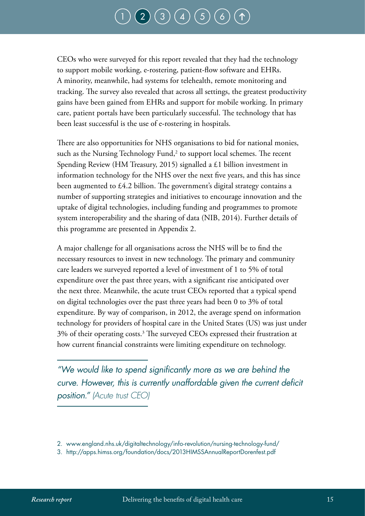# $\big( 3 \big) \big( 4 \big) \big( 5 \big)$  $\big( 3 \big) \big( 4 \big) \big( 5 \big)$  $\big( 3 \big) \big( 4 \big) \big( 5 \big)$  $\big( 3 \big) \big( 4 \big) \big( 5 \big)$  $\big( 3 \big) \big( 4 \big) \big( 5 \big)$  $\big( 3 \big) \big( 4 \big) \big( 5 \big)$  $\big( 3 \big) \big( 4 \big) \big( 5 \big)$

CEOs who were surveyed for this report revealed that they had the technology to support mobile working, e-rostering, patient-flow software and EHRs. A minority, meanwhile, had systems for telehealth, remote monitoring and tracking. The survey also revealed that across all settings, the greatest productivity gains have been gained from EHRs and support for mobile working. In primary care, patient portals have been particularly successful. The technology that has been least successful is the use of e-rostering in hospitals.

There are also opportunities for NHS organisations to bid for national monies, such as the Nursing Technology Fund, $2$  to support local schemes. The recent Spending Review (HM Treasury, 2015) signalled a £1 billion investment in information technology for the NHS over the next five years, and this has since been augmented to £4.2 billion. The government's digital strategy contains a number of supporting strategies and initiatives to encourage innovation and the uptake of digital technologies, including funding and programmes to promote system interoperability and the sharing of data (NIB, 2014). Further details of this programme are presented in Appendix 2.

A major challenge for all organisations across the NHS will be to find the necessary resources to invest in new technology. The primary and community care leaders we surveyed reported a level of investment of 1 to 5% of total expenditure over the past three years, with a significant rise anticipated over the next three. Meanwhile, the acute trust CEOs reported that a typical spend on digital technologies over the past three years had been 0 to 3% of total expenditure. By way of comparison, in 2012, the average spend on information technology for providers of hospital care in the United States (US) was just under 3% of their operating costs.3 The surveyed CEOs expressed their frustration at how current financial constraints were limiting expenditure on technology.

*"We would like to spend significantly more as we are behind the curve. However, this is currently unaffordable given the current deficit position." (Acute trust CEO)*

<sup>2.</sup> [www.england.nhs.uk/digitaltechnology/info-revolution/nursing-technology-fund/](https://www.england.nhs.uk/digitaltechnology/info-revolution/nursing-technology-fund/) 

<sup>3.</sup> http://apps.himss.org/foundation/docs/2013HIMSSAnnualReportDorenfest.pdf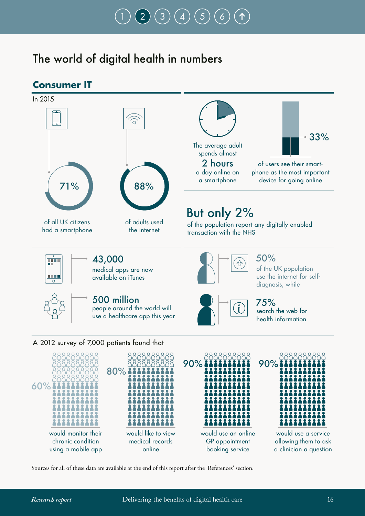# [1](#page-12-0) ) ( [2](#page-15-0) ) ( [3](#page-21-0) ) ( [4](#page-31-0) ) ( [5](#page-78-0) ) ( [6](#page-86-0)

### The world of digital health in numbers



Sources for all of these data are available at the end of this report after the 'References' section.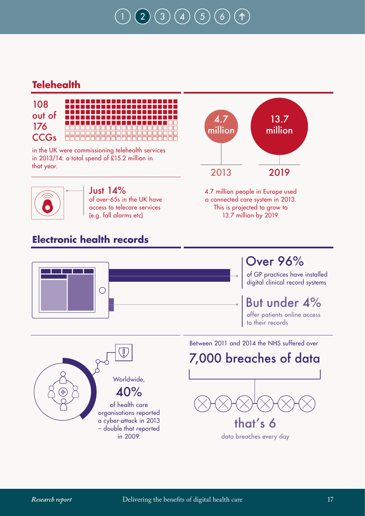# $2) (3) (4) (5)$  $2) (3) (4) (5)$  $2) (3) (4) (5)$  $2) (3) (4) (5)$  $2) (3) (4) (5)$  $2) (3) (4) (5)$  $2) (3) (4) (5)$  $2) (3) (4) (5)$

### **Telehealth**



in the UK were commissioning telehealth services in 2013/14: a total spend of £15.2 million in that year.



Just 14% of over-65s in the UK have access to telecare services (e.g. fall alarms etc)

### **Electronic health records**



4.7 million people in Europe used a connected care system in 2013. This is projected to grow to 13.7 million by 2019.



40% of health care organisations reported a cyber-attack in 2013 – double that reported in 2009.

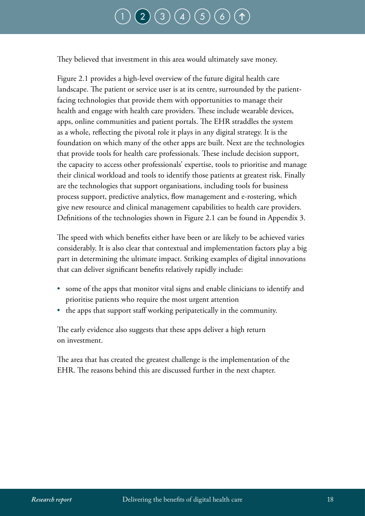# $\big(\, 3 \, \big) \, \big(\, 4 \, \big) \, \big(\, 5 \,\big)$  $\big(\, 3 \, \big) \, \big(\, 4 \, \big) \, \big(\, 5 \,\big)$  $\big(\, 3 \, \big) \, \big(\, 4 \, \big) \, \big(\, 5 \,\big)$  $\big(\, 3 \, \big) \, \big(\, 4 \, \big) \, \big(\, 5 \,\big)$  $\big(\, 3 \, \big) \, \big(\, 4 \, \big) \, \big(\, 5 \,\big)$  $\big(\, 3 \, \big) \, \big(\, 4 \, \big) \, \big(\, 5 \,\big)$  $\big(\, 3 \, \big) \, \big(\, 4 \, \big) \, \big(\, 5 \,\big)$

<span id="page-19-0"></span>They believed that investment in this area would ultimately save money.

Figure 2.1 provides a high-level overview of the future digital health care landscape. The patient or service user is at its centre, surrounded by the patientfacing technologies that provide them with opportunities to manage their health and engage with health care providers. These include wearable devices, apps, online communities and patient portals. The EHR straddles the system as a whole, reflecting the pivotal role it plays in any digital strategy. It is the foundation on which many of the other apps are built. Next are the technologies that provide tools for health care professionals. These include decision support, the capacity to access other professionals' expertise, tools to prioritise and manage their clinical workload and tools to identify those patients at greatest risk. Finally are the technologies that support organisations, including tools for business process support, predictive analytics, flow management and e-rostering, which give new resource and clinical management capabilities to health care providers. Definitions of the technologies shown in Figure 2.1 can be found in Appendix 3.

The speed with which benefits either have been or are likely to be achieved varies considerably. It is also clear that contextual and implementation factors play a big part in determining the ultimate impact. Striking examples of digital innovations that can deliver significant benefits relatively rapidly include:

- some of the apps that monitor vital signs and enable clinicians to identify and prioritise patients who require the most urgent attention
- the apps that support staff working peripatetically in the community.

The early evidence also suggests that these apps deliver a high return on investment.

The area that has created the greatest challenge is the implementation of the EHR. The reasons behind this are discussed further in the next chapter.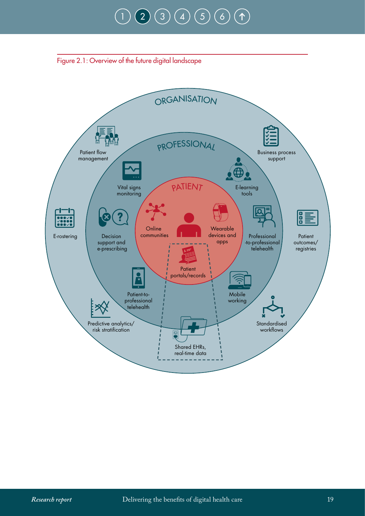# $\binom{2}{3} \binom{4}{5} \binom{5}{6}$  $\binom{2}{3} \binom{4}{5} \binom{5}{6}$  $\binom{2}{3} \binom{4}{5} \binom{5}{6}$  $\binom{2}{3} \binom{4}{5} \binom{5}{6}$  $\binom{2}{3} \binom{4}{5} \binom{5}{6}$  $\binom{2}{3} \binom{4}{5} \binom{5}{6}$  $\binom{2}{3} \binom{4}{5} \binom{5}{6}$  $\binom{2}{3} \binom{4}{5} \binom{5}{6}$  $\binom{2}{3} \binom{4}{5} \binom{5}{6}$  $\binom{2}{3} \binom{4}{5} \binom{5}{6}$  $\binom{2}{3} \binom{4}{5} \binom{5}{6}$

<span id="page-20-0"></span>

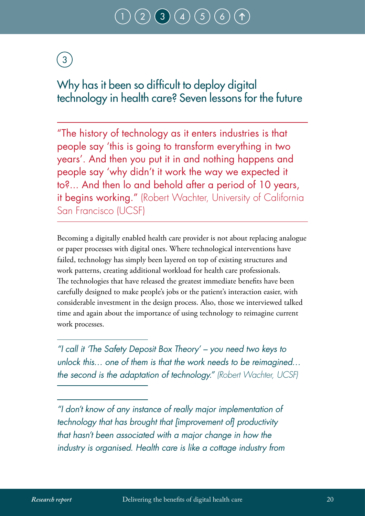# $(3) (4) (5)$  $(3) (4) (5)$  $(3) (4) (5)$  $(3) (4) (5)$  $(3) (4) (5)$

# <span id="page-21-0"></span>3

### Why has it been so difficult to deploy digital technology in health care? Seven lessons for the future

"The history of technology as it enters industries is that people say 'this is going to transform everything in two years'. And then you put it in and nothing happens and people say 'why didn't it work the way we expected it to?... And then lo and behold after a period of 10 years, it begins working." (Robert Wachter, University of California San Francisco (UCSF)

Becoming a digitally enabled health care provider is not about replacing analogue or paper processes with digital ones. Where technological interventions have failed, technology has simply been layered on top of existing structures and work patterns, creating additional workload for health care professionals. The technologies that have released the greatest immediate benefits have been carefully designed to make people's jobs or the patient's interaction easier, with considerable investment in the design process. Also, those we interviewed talked time and again about the importance of using technology to reimagine current work processes.

*"I call it 'The Safety Deposit Box Theory' – you need two keys to unlock this… one of them is that the work needs to be reimagined… the second is the adaptation of technology." (Robert Wachter, UCSF)*

*"I don't know of any instance of really major implementation of technology that has brought that [improvement of] productivity that hasn't been associated with a major change in how the industry is organised. Health care is like a cottage industry from*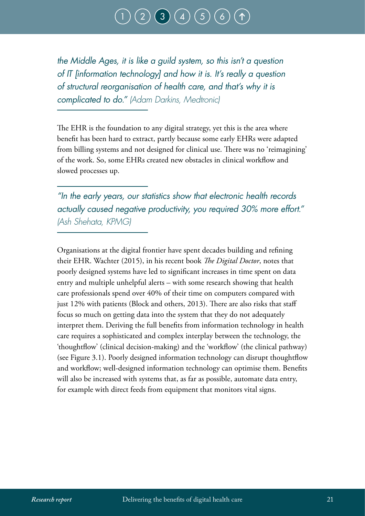### $\binom{3}{4}\binom{4}{5}$  $\binom{3}{4}\binom{4}{5}$  $\binom{3}{4}\binom{4}{5}$  $\binom{3}{4}\binom{4}{5}$  $\binom{3}{4}\binom{4}{5}$  $\binom{3}{4}\binom{4}{5}$  $\binom{3}{4}\binom{4}{5}$

*the Middle Ages, it is like a guild system, so this isn't a question of IT [information technology] and how it is. It's really a question of structural reorganisation of health care, and that's why it is complicated to do." (Adam Darkins, Medtronic)*

The EHR is the foundation to any digital strategy, yet this is the area where benefit has been hard to extract, partly because some early EHRs were adapted from billing systems and not designed for clinical use. There was no 'reimagining' of the work. So, some EHRs created new obstacles in clinical workflow and slowed processes up.

*"In the early years, our statistics show that electronic health records actually caused negative productivity, you required 30% more effort." (Ash Shehata, KPMG)*

Organisations at the digital frontier have spent decades building and refining their EHR. Wachter (2015), in his recent book *The Digital Doctor*, notes that poorly designed systems have led to significant increases in time spent on data entry and multiple unhelpful alerts – with some research showing that health care professionals spend over 40% of their time on computers compared with just 12% with patients (Block and others, 2013). There are also risks that staff focus so much on getting data into the system that they do not adequately interpret them. Deriving the full benefits from information technology in health care requires a sophisticated and complex interplay between the technology, the 'thoughtflow' (clinical decision-making) and the 'workflow' (the clinical pathway) (see Figure 3.1). Poorly designed information technology can disrupt thoughtflow and workflow; well-designed information technology can optimise them. Benefits will also be increased with systems that, as far as possible, automate data entry, for example with direct feeds from equipment that monitors vital signs.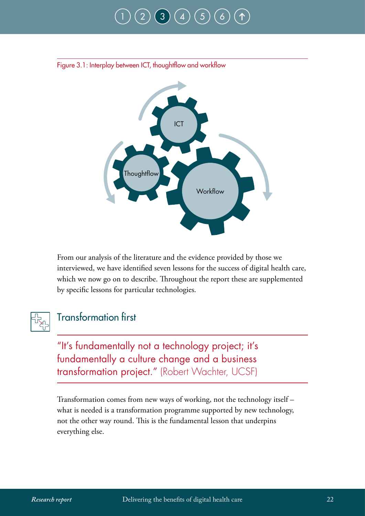# [1](#page-12-0) ) ( [2](#page-15-0) ) ( [3](#page-21-0) ) ( [4](#page-31-0) ) ( [5](#page-78-0) ) ( [6](#page-86-0)



<span id="page-23-0"></span>Figure 3.1: Interplay between ICT, thoughtflow and workflow

From our analysis of the literature and the evidence provided by those we interviewed, we have identified seven lessons for the success of digital health care, which we now go on to describe. Throughout the report these are supplemented by specific lessons for particular technologies.



#### Transformation first

"It's fundamentally not a technology project; it's fundamentally a culture change and a business transformation project." (Robert Wachter, UCSF)

Transformation comes from new ways of working, not the technology itself – what is needed is a transformation programme supported by new technology, not the other way round. This is the fundamental lesson that underpins everything else.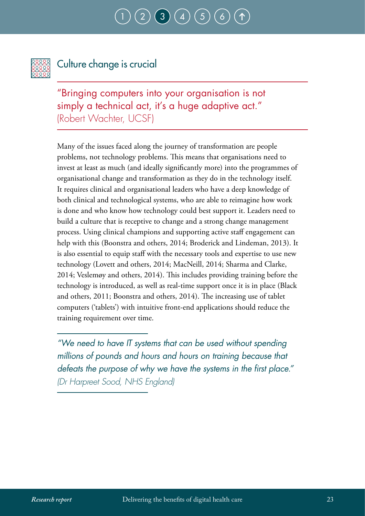## $(3)(4)(5)$  $(3)(4)(5)$  $(3)(4)(5)$  $(3)(4)(5)$  $(3)(4)(5)$  $(3)(4)(5)$  $(3)(4)(5)$



### Culture change is crucial

"Bringing computers into your organisation is not simply a technical act, it's a huge adaptive act." (Robert Wachter, UCSF)

Many of the issues faced along the journey of transformation are people problems, not technology problems. This means that organisations need to invest at least as much (and ideally significantly more) into the programmes of organisational change and transformation as they do in the technology itself. It requires clinical and organisational leaders who have a deep knowledge of both clinical and technological systems, who are able to reimagine how work is done and who know how technology could best support it. Leaders need to build a culture that is receptive to change and a strong change management process. Using clinical champions and supporting active staff engagement can help with this (Boonstra and others, 2014; Broderick and Lindeman, 2013). It is also essential to equip staff with the necessary tools and expertise to use new technology (Lovett and others, 2014; MacNeill, 2014; Sharma and Clarke, 2014; Veslemøy and others, 2014). This includes providing training before the technology is introduced, as well as real-time support once it is in place (Black and others, 2011; Boonstra and others, 2014). The increasing use of tablet computers ('tablets') with intuitive front-end applications should reduce the training requirement over time.

*"We need to have IT systems that can be used without spending millions of pounds and hours and hours on training because that defeats the purpose of why we have the systems in the first place." (Dr Harpreet Sood, NHS England)*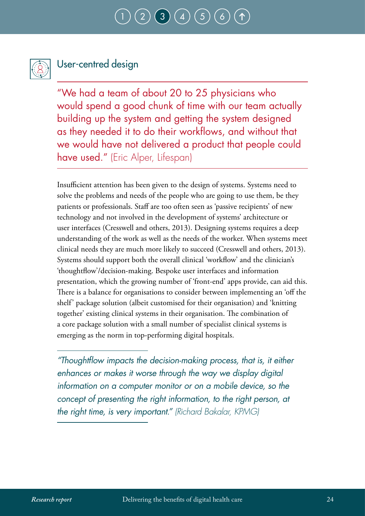### $\binom{3}{4}\binom{4}{5}$  $\binom{3}{4}\binom{4}{5}$  $\binom{3}{4}\binom{4}{5}$  $\binom{3}{4}\binom{4}{5}$  $\binom{3}{4}\binom{4}{5}$  $\binom{3}{4}\binom{4}{5}$  $\binom{3}{4}\binom{4}{5}$



### User-centred design

"We had a team of about 20 to 25 physicians who would spend a good chunk of time with our team actually building up the system and getting the system designed as they needed it to do their workflows, and without that we would have not delivered a product that people could have used." (Eric Alper, Lifespan)

Insufficient attention has been given to the design of systems. Systems need to solve the problems and needs of the people who are going to use them, be they patients or professionals. Staff are too often seen as 'passive recipients' of new technology and not involved in the development of systems' architecture or user interfaces (Cresswell and others, 2013). Designing systems requires a deep understanding of the work as well as the needs of the worker. When systems meet clinical needs they are much more likely to succeed (Cresswell and others, 2013). Systems should support both the overall clinical 'workflow' and the clinician's 'thoughtflow'/decision-making. Bespoke user interfaces and information presentation, which the growing number of 'front-end' apps provide, can aid this. There is a balance for organisations to consider between implementing an 'off the shelf' package solution (albeit customised for their organisation) and 'knitting together' existing clinical systems in their organisation. The combination of a core package solution with a small number of specialist clinical systems is emerging as the norm in top-performing digital hospitals.

*"Thoughtflow impacts the decision-making process, that is, it either enhances or makes it worse through the way we display digital information on a computer monitor or on a mobile device, so the concept of presenting the right information, to the right person, at the right time, is very important." (Richard Bakalar, KPMG)*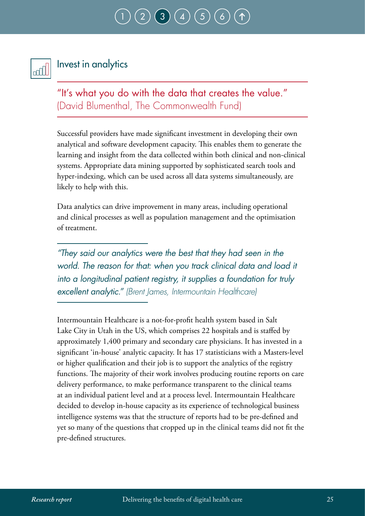# $(3)(4)(5)$  $(3)(4)(5)$  $(3)(4)(5)$  $(3)(4)(5)$  $(3)(4)(5)$  $(3)(4)(5)$  $(3)(4)(5)$



#### Invest in analytics

"It's what you do with the data that creates the value." (David Blumenthal, The Commonwealth Fund)

Successful providers have made significant investment in developing their own analytical and software development capacity. This enables them to generate the learning and insight from the data collected within both clinical and non-clinical systems. Appropriate data mining supported by sophisticated search tools and hyper-indexing, which can be used across all data systems simultaneously, are likely to help with this.

Data analytics can drive improvement in many areas, including operational and clinical processes as well as population management and the optimisation of treatment.

*"They said our analytics were the best that they had seen in the world. The reason for that: when you track clinical data and load it into a longitudinal patient registry, it supplies a foundation for truly excellent analytic." (Brent James, Intermountain Healthcare)*

Intermountain Healthcare is a not-for-profit health system based in Salt Lake City in Utah in the US, which comprises 22 hospitals and is staffed by approximately 1,400 primary and secondary care physicians. It has invested in a significant 'in-house' analytic capacity. It has 17 statisticians with a Masters-level or higher qualification and their job is to support the analytics of the registry functions. The majority of their work involves producing routine reports on care delivery performance, to make performance transparent to the clinical teams at an individual patient level and at a process level. Intermountain Healthcare decided to develop in-house capacity as its experience of technological business intelligence systems was that the structure of reports had to be pre-defined and yet so many of the questions that cropped up in the clinical teams did not fit the pre-defined structures.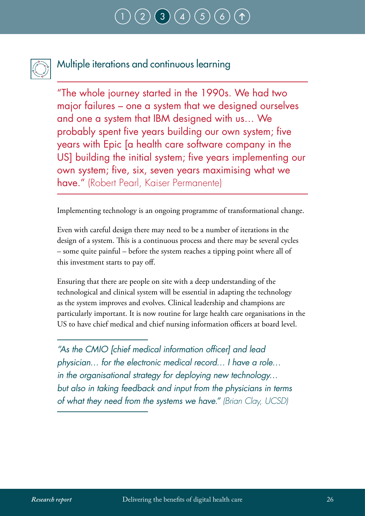

### Multiple iterations and continuous learning

"The whole journey started in the 1990s. We had two major failures – one a system that we designed ourselves and one a system that IBM designed with us… We probably spent five years building our own system; five years with Epic [a health care software company in the US] building the initial system; five years implementing our own system; five, six, seven years maximising what we have." (Robert Pearl, Kaiser Permanente)

Implementing technology is an ongoing programme of transformational change.

Even with careful design there may need to be a number of iterations in the design of a system. This is a continuous process and there may be several cycles – some quite painful – before the system reaches a tipping point where all of this investment starts to pay off.

Ensuring that there are people on site with a deep understanding of the technological and clinical system will be essential in adapting the technology as the system improves and evolves. Clinical leadership and champions are particularly important. It is now routine for large health care organisations in the US to have chief medical and chief nursing information officers at board level.

*"As the CMIO [chief medical information officer] and lead physician… for the electronic medical record… I have a role… in the organisational strategy for deploying new technology… but also in taking feedback and input from the physicians in terms of what they need from the systems we have." (Brian Clay, UCSD)*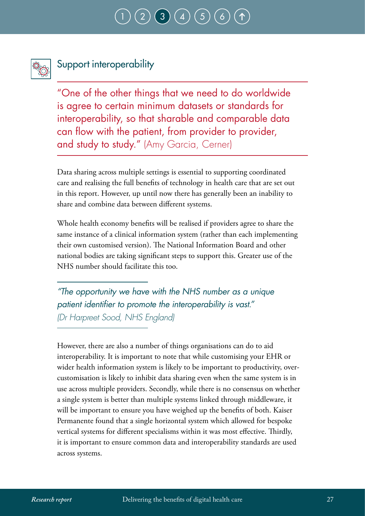## $\binom{3}{4}\binom{4}{5}$  $\binom{3}{4}\binom{4}{5}$  $\binom{3}{4}\binom{4}{5}$  $\binom{3}{4}\binom{4}{5}$  $\binom{3}{4}\binom{4}{5}$  $\binom{3}{4}\binom{4}{5}$  $\binom{3}{4}\binom{4}{5}$



### Support interoperability

"One of the other things that we need to do worldwide is agree to certain minimum datasets or standards for interoperability, so that sharable and comparable data can flow with the patient, from provider to provider, and study to study." (Amy Garcia, Cerner)

Data sharing across multiple settings is essential to supporting coordinated care and realising the full benefits of technology in health care that are set out in this report. However, up until now there has generally been an inability to share and combine data between different systems.

Whole health economy benefits will be realised if providers agree to share the same instance of a clinical information system (rather than each implementing their own customised version). The National Information Board and other national bodies are taking significant steps to support this. Greater use of the NHS number should facilitate this too.

*"The opportunity we have with the NHS number as a unique patient identifier to promote the interoperability is vast." (Dr Harpreet Sood, NHS England)*

However, there are also a number of things organisations can do to aid interoperability. It is important to note that while customising your EHR or wider health information system is likely to be important to productivity, overcustomisation is likely to inhibit data sharing even when the same system is in use across multiple providers. Secondly, while there is no consensus on whether a single system is better than multiple systems linked through middleware, it will be important to ensure you have weighed up the benefits of both. Kaiser Permanente found that a single horizontal system which allowed for bespoke vertical systems for different specialisms within it was most effective. Thirdly, it is important to ensure common data and interoperability standards are used across systems.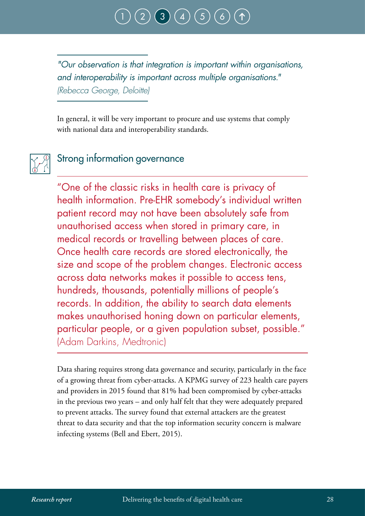

*"Our observation is that integration is important within organisations, and interoperability is important across multiple organisations." (Rebecca George, Deloitte)*

In general, it will be very important to procure and use systems that comply with national data and interoperability standards.



#### Strong information governance

"One of the classic risks in health care is privacy of health information. Pre-EHR somebody's individual written patient record may not have been absolutely safe from unauthorised access when stored in primary care, in medical records or travelling between places of care. Once health care records are stored electronically, the size and scope of the problem changes. Electronic access across data networks makes it possible to access tens, hundreds, thousands, potentially millions of people's records. In addition, the ability to search data elements makes unauthorised honing down on particular elements, particular people, or a given population subset, possible." (Adam Darkins, Medtronic)

Data sharing requires strong data governance and security, particularly in the face of a growing threat from cyber-attacks. A KPMG survey of 223 health care payers and providers in 2015 found that 81% had been compromised by cyber-attacks in the previous two years – and only half felt that they were adequately prepared to prevent attacks. The survey found that external attackers are the greatest threat to data security and that the top information security concern is malware infecting systems (Bell and Ebert, 2015).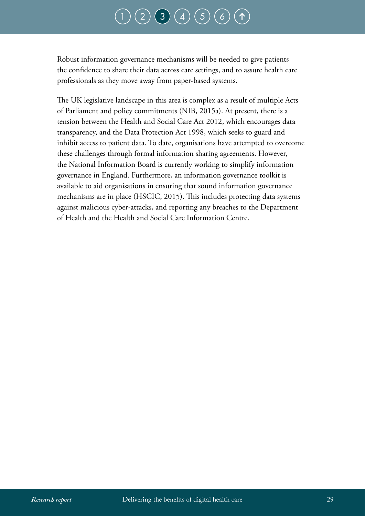# $\binom{2}{3} \binom{4}{5} \binom{5}{6}$  $\binom{2}{3} \binom{4}{5} \binom{5}{6}$  $\binom{2}{3} \binom{4}{5} \binom{5}{6}$  $\binom{2}{3} \binom{4}{5} \binom{5}{6}$  $\binom{2}{3} \binom{4}{5} \binom{5}{6}$  $\binom{2}{3} \binom{4}{5} \binom{5}{6}$  $\binom{2}{3} \binom{4}{5} \binom{5}{6}$  $\binom{2}{3} \binom{4}{5} \binom{5}{6}$  $\binom{2}{3} \binom{4}{5} \binom{5}{6}$  $\binom{2}{3} \binom{4}{5} \binom{5}{6}$  $\binom{2}{3} \binom{4}{5} \binom{5}{6}$

Robust information governance mechanisms will be needed to give patients the confidence to share their data across care settings, and to assure health care professionals as they move away from paper-based systems.

The UK legislative landscape in this area is complex as a result of multiple Acts of Parliament and policy commitments (NIB, 2015a). At present, there is a tension between the Health and Social Care Act 2012, which encourages data transparency, and the Data Protection Act 1998, which seeks to guard and inhibit access to patient data. To date, organisations have attempted to overcome these challenges through formal information sharing agreements. However, the National Information Board is currently working to simplify information governance in England. Furthermore, an information governance toolkit is available to aid organisations in ensuring that sound information governance mechanisms are in place (HSCIC, 2015). This includes protecting data systems against malicious cyber-attacks, and reporting any breaches to the Department of Health and the Health and Social Care Information Centre.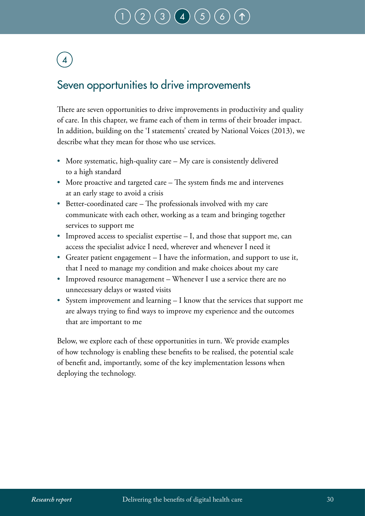# $\binom{2}{3} \binom{3}{4} \binom{4}{5}$  $\binom{2}{3} \binom{3}{4} \binom{4}{5}$  $\binom{2}{3} \binom{3}{4} \binom{4}{5}$  $\binom{2}{3} \binom{3}{4} \binom{4}{5}$  $\binom{2}{3} \binom{3}{4} \binom{4}{5}$  $\binom{2}{3} \binom{3}{4} \binom{4}{5}$  $\binom{2}{3} \binom{3}{4} \binom{4}{5}$

# <span id="page-31-0"></span>4

### Seven opportunities to drive improvements

There are seven opportunities to drive improvements in productivity and quality of care. In this chapter, we frame each of them in terms of their broader impact. In addition, building on the 'I statements' created by National Voices (2013), we describe what they mean for those who use services.

- More systematic, high-quality care My care is consistently delivered to a high standard
- More proactive and targeted care The system finds me and intervenes at an early stage to avoid a crisis
- Better-coordinated care The professionals involved with my care communicate with each other, working as a team and bringing together services to support me
- Improved access to specialist expertise I, and those that support me, can access the specialist advice I need, wherever and whenever I need it
- Greater patient engagement I have the information, and support to use it, that I need to manage my condition and make choices about my care
- Improved resource management Whenever I use a service there are no unnecessary delays or wasted visits
- System improvement and learning I know that the services that support me are always trying to find ways to improve my experience and the outcomes that are important to me

Below, we explore each of these opportunities in turn. We provide examples of how technology is enabling these benefits to be realised, the potential scale of benefit and, importantly, some of the key implementation lessons when deploying the technology.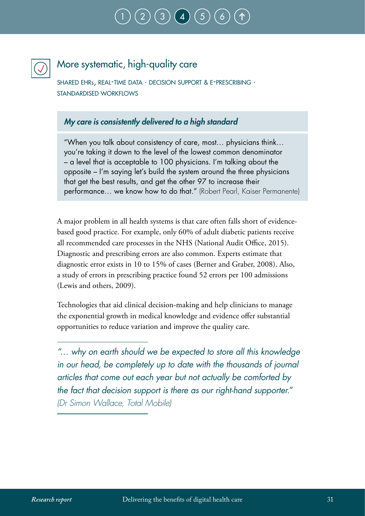# [1](#page-12-0) ) ( [2](#page-15-0) ) ( [3](#page-21-0) ) ( [4](#page-31-0) ) ( [5](#page-78-0) ) ( [6](#page-86-0)



### More systematic, high-quality care

shared ehrs, real-time data · decision support & e-prescribing · standardised workflows

#### *My care is consistently delivered to a high standard*

"When you talk about consistency of care, most… physicians think… you're taking it down to the level of the lowest common denominator – a level that is acceptable to 100 physicians. I'm talking about the opposite – I'm saying let's build the system around the three physicians that get the best results, and get the other 97 to increase their performance… we know how to do that." (Robert Pearl, Kaiser Permanente)

A major problem in all health systems is that care often falls short of evidencebased good practice. For example, only 60% of adult diabetic patients receive all recommended care processes in the NHS (National Audit Office, 2015). Diagnostic and prescribing errors are also common. Experts estimate that diagnostic error exists in 10 to 15% of cases (Berner and Graber, 2008). Also, a study of errors in prescribing practice found 52 errors per 100 admissions (Lewis and others, 2009).

Technologies that aid clinical decision-making and help clinicians to manage the exponential growth in medical knowledge and evidence offer substantial opportunities to reduce variation and improve the quality care.

*<sup>&</sup>quot;… why on earth should we be expected to store all this knowledge in our head, be completely up to date with the thousands of journal articles that come out each year but not actually be comforted by the fact that decision support is there as our right-hand supporter." (Dr Simon Wallace, Total Mobile)*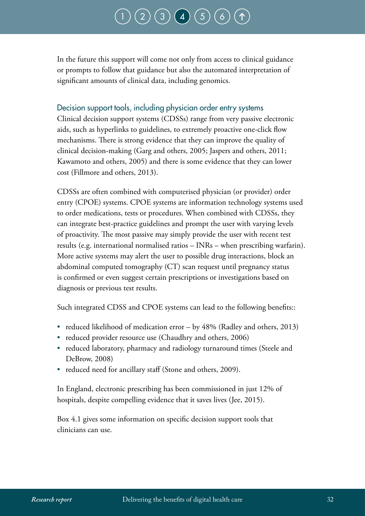# $(3) (4) (5)$  $(3) (4) (5)$  $(3) (4) (5)$  $(3) (4) (5)$  $(3) (4) (5)$  $(3) (4) (5)$  $(3) (4) (5)$

In the future this support will come not only from access to clinical guidance or prompts to follow that guidance but also the automated interpretation of significant amounts of clinical data, including genomics.

#### Decision support tools, including physician order entry systems

Clinical decision support systems (CDSSs) range from very passive electronic aids, such as hyperlinks to guidelines, to extremely proactive one-click flow mechanisms. There is strong evidence that they can improve the quality of clinical decision-making (Garg and others, 2005; Jaspers and others, 2011; Kawamoto and others, 2005) and there is some evidence that they can lower cost (Fillmore and others, 2013).

CDSSs are often combined with computerised physician (or provider) order entry (CPOE) systems. CPOE systems are information technology systems used to order medications, tests or procedures. When combined with CDSSs, they can integrate best-practice guidelines and prompt the user with varying levels of proactivity. The most passive may simply provide the user with recent test results (e.g. international normalised ratios – INRs – when prescribing warfarin). More active systems may alert the user to possible drug interactions, block an abdominal computed tomography (CT) scan request until pregnancy status is confirmed or even suggest certain prescriptions or investigations based on diagnosis or previous test results.

Such integrated CDSS and CPOE systems can lead to the following benefits::

- reduced likelihood of medication error by 48% (Radley and others, 2013)
- reduced provider resource use (Chaudhry and others, 2006)
- reduced laboratory, pharmacy and radiology turnaround times (Steele and DeBrow, 2008)
- reduced need for ancillary staff (Stone and others, 2009).

In England, electronic prescribing has been commissioned in just 12% of hospitals, despite compelling evidence that it saves lives (Jee, 2015).

Box 4.1 gives some information on specific decision support tools that clinicians can use.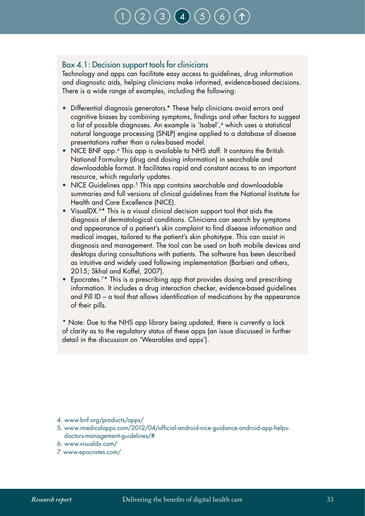# [1](#page-12-0) ) ( [2](#page-15-0) ) ( [3](#page-21-0) ) ( [4](#page-31-0) ) ( [5](#page-78-0) ) ( [6](#page-86-0)

#### <span id="page-34-0"></span>Box 4.1: Decision support tools for clinicians

Technology and apps can facilitate easy access to guidelines, drug information and diagnostic aids, helping clinicians make informed, evidence-based decisions. There is a wide range of examples, including the following:

- Differential diagnosis generators.\* These help clinicians avoid errors and cognitive biases by combining symptoms, findings and other factors to suggest a list of possible diagnoses. An example is 'Isabel',4 which uses a statistical natural language processing (SNLP) engine applied to a database of disease presentations rather than a rules-based model.
- NICE BNF app.<sup>4</sup> This app is available to NHS staff. It contains the British National Formulary (drug and dosing information) in searchable and downloadable format. It facilitates rapid and constant access to an important resource, which regularly updates.
- NICE Guidelines app.<sup>5</sup> This app contains searchable and downloadable summaries and full versions of clinical guidelines from the National Institute for Health and Care Excellence (NICE).
- VisualDX.<sup>6\*</sup> This is a visual clinical decision support tool that aids the diagnosis of dermatological conditions. Clinicians can search by symptoms and appearance of a patient's skin complaint to find disease information and medical images, tailored to the patient's skin phototype. This can assist in diagnosis and management. The tool can be used on both mobile devices and desktops during consultations with patients. The software has been described as intuitive and widely used following implementation (Barbieri and others, 2015; Skhal and Koffel, 2007).
- Epocrates.<sup>7\*</sup> This is a prescribing app that provides dosing and prescribing information. It includes a drug interaction checker, evidence-based guidelines and Pill ID – a tool that allows identification of medications by the appearance of their pills.

\* Note: Due to the NHS app library being updated, there is currently a lack of clarity as to the regulatory status of these apps (an issue discussed in further detail in the discussion on 'Wearables and apps').

4. www.bnf.org/products/apps/

- 5. www.imedicalapps.com/2012/04/official-android-nice-guidance-android-app-helpsdoctors-management-guidelines/#
- 6. www.visualdx.com/
- 7. www.epocrates.com/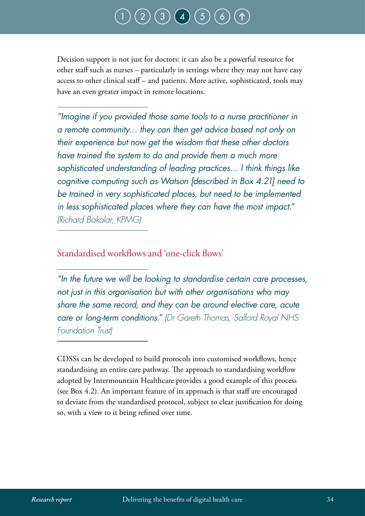# $\bigg(\mathsf{3}\bigg)\bigg(\mathsf{4}\bigg)\bigg(\mathsf{5}\bigg)$  $\bigg(\mathsf{3}\bigg)\bigg(\mathsf{4}\bigg)\bigg(\mathsf{5}\bigg)$  $\bigg(\mathsf{3}\bigg)\bigg(\mathsf{4}\bigg)\bigg(\mathsf{5}\bigg)$  $\bigg(\mathsf{3}\bigg)\bigg(\mathsf{4}\bigg)\bigg(\mathsf{5}\bigg)$  $\bigg(\mathsf{3}\bigg)\bigg(\mathsf{4}\bigg)\bigg(\mathsf{5}\bigg)$  $\bigg(\mathsf{3}\bigg)\bigg(\mathsf{4}\bigg)\bigg(\mathsf{5}\bigg)$  $\bigg(\mathsf{3}\bigg)\bigg(\mathsf{4}\bigg)\bigg(\mathsf{5}\bigg)$

Decision support is not just for doctors: it can also be a powerful resource for other staff such as nurses – particularly in settings where they may not have easy access to other clinical staff – and patients. More active, sophisticated, tools may have an even greater impact in remote locations.

*"Imagine if you provided those same tools to a nurse practitioner in a remote community… they can then get advice based not only on their experience but now get the wisdom that these other doctors have trained the system to do and provide them a much more sophisticated understanding of leading practices… I think things like cognitive computing such as Watson [described in Box 4.21] need to be trained in very sophisticated places, but need to be implemented in less sophisticated places where they can have the most impact." (Richard Bakalar, KPMG)*

#### Standardised workflows and 'one-click flows'

*"In the future we will be looking to standardise certain care processes, not just in this organisation but with other organisations who may share the same record, and they can be around elective care, acute care or long-term conditions." (Dr Gareth Thomas, Salford Royal NHS Foundation Trust)*

CDSSs can be developed to build protocols into customised workflows, hence standardising an entire care pathway. The approach to standardising workflow adopted by Intermountain Healthcare provides a good example of this process (see Box 4.2). An important feature of its approach is that staff are encouraged to deviate from the standardised protocol, subject to clear justification for doing so, with a view to it being refined over time.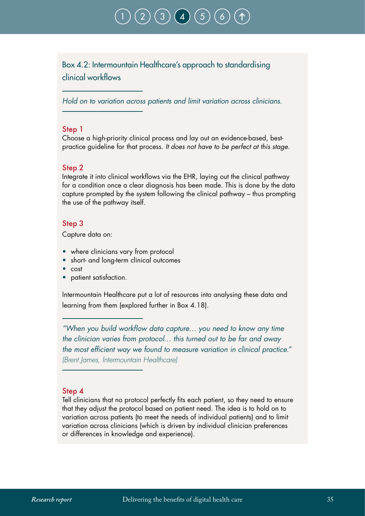Box 4.2: Intermountain Healthcare's approach to standardising clinical workflows

*Hold on to variation across patients and limit variation across clinicians.*

#### Step 1

Choose a high-priority clinical process and lay out an evidence-based, bestpractice guideline for that process. *It does not have to be perfect at this stage.*

#### Step 2

Integrate it into clinical workflows via the EHR, laying out the clinical pathway for a condition once a clear diagnosis has been made. This is done by the data capture prompted by the system following the clinical pathway – thus prompting the use of the pathway itself.

#### Step 3

Capture data on:

- where clinicians vary from protocol
- short- and long-term clinical outcomes
- cost
- patient satisfaction.

Intermountain Healthcare put a lot of resources into analysing these data and learning from them (explored further in Box 4.18).

*"When you build workflow data capture… you need to know any time the clinician varies from protocol… this turned out to be far and away the most efficient way we found to measure variation in clinical practice." (Brent James, Intermountain Healthcare)* 

#### Step 4

Tell clinicians that no protocol perfectly fits each patient, so they need to ensure that they adjust the protocol based on patient need. The idea is to hold on to variation across patients (to meet the needs of individual patients) and to limit variation across clinicians (which is driven by individual clinician preferences or differences in knowledge and experience).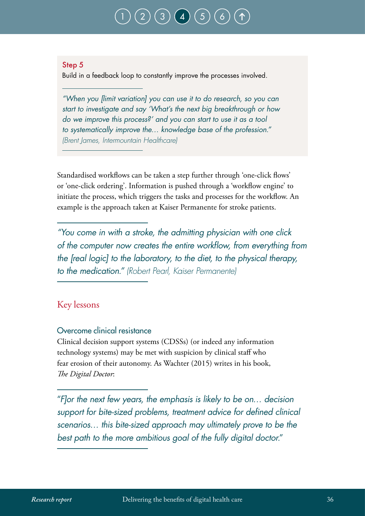#### Step 5

Build in a feedback loop to constantly improve the processes involved.

*"When you [limit variation] you can use it to do research, so you can start to investigate and say 'What's the next big breakthrough or how do we improve this process?' and you can start to use it as a tool to systematically improve the… knowledge base of the profession." (Brent James, Intermountain Healthcare)*

Standardised workflows can be taken a step further through 'one-click flows' or 'one-click ordering'. Information is pushed through a 'workflow engine' to initiate the process, which triggers the tasks and processes for the workflow. An example is the approach taken at Kaiser Permanente for stroke patients.

*"You come in with a stroke, the admitting physician with one click of the computer now creates the entire workflow, from everything from the [real logic] to the laboratory, to the diet, to the physical therapy, to the medication." (Robert Pearl, Kaiser Permanente)*

### Key lessons

### Overcome clinical resistance

Clinical decision support systems (CDSSs) (or indeed any information technology systems) may be met with suspicion by clinical staff who fear erosion of their autonomy. As Wachter (2015) writes in his book, *The Digital Doctor*:

"*F]or the next few years, the emphasis is likely to be on… decision support for bite-sized problems, treatment advice for defined clinical scenarios… this bite-sized approach may ultimately prove to be the best path to the more ambitious goal of the fully digital doctor.*"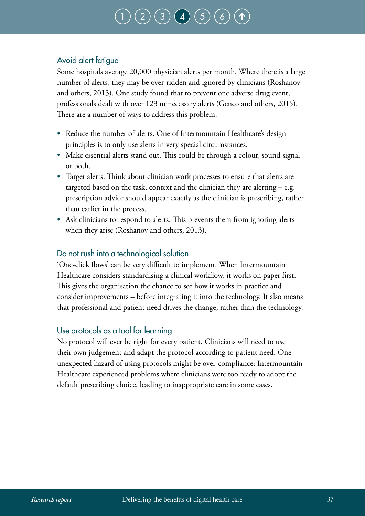# $\bigg(\, 3 \,\bigg) \,\bigg(\, 4 \,\bigg) \,\bigg(\, 5 \,\bigg)$  $\bigg(\, 3 \,\bigg) \,\bigg(\, 4 \,\bigg) \,\bigg(\, 5 \,\bigg)$  $\bigg(\, 3 \,\bigg) \,\bigg(\, 4 \,\bigg) \,\bigg(\, 5 \,\bigg)$  $\bigg(\, 3 \,\bigg) \,\bigg(\, 4 \,\bigg) \,\bigg(\, 5 \,\bigg)$  $\bigg(\, 3 \,\bigg) \,\bigg(\, 4 \,\bigg) \,\bigg(\, 5 \,\bigg)$  $\bigg(\, 3 \,\bigg) \,\bigg(\, 4 \,\bigg) \,\bigg(\, 5 \,\bigg)$  $\bigg(\, 3 \,\bigg) \,\bigg(\, 4 \,\bigg) \,\bigg(\, 5 \,\bigg)$

### Avoid alert fatigue

Some hospitals average 20,000 physician alerts per month. Where there is a large number of alerts, they may be over-ridden and ignored by clinicians (Roshanov and others, 2013). One study found that to prevent one adverse drug event, professionals dealt with over 123 unnecessary alerts (Genco and others, 2015). There are a number of ways to address this problem:

- Reduce the number of alerts. One of Intermountain Healthcare's design principles is to only use alerts in very special circumstances.
- Make essential alerts stand out. This could be through a colour, sound signal or both.
- Target alerts. Think about clinician work processes to ensure that alerts are targeted based on the task, context and the clinician they are alerting – e.g. prescription advice should appear exactly as the clinician is prescribing, rather than earlier in the process.
- Ask clinicians to respond to alerts. This prevents them from ignoring alerts when they arise (Roshanov and others, 2013).

### Do not rush into a technological solution

'One-click flows' can be very difficult to implement. When Intermountain Healthcare considers standardising a clinical workflow, it works on paper first. This gives the organisation the chance to see how it works in practice and consider improvements – before integrating it into the technology. It also means that professional and patient need drives the change, rather than the technology.

### Use protocols as a tool for learning

No protocol will ever be right for every patient. Clinicians will need to use their own judgement and adapt the protocol according to patient need. One unexpected hazard of using protocols might be over-compliance: Intermountain Healthcare experienced problems where clinicians were too ready to adopt the default prescribing choice, leading to inappropriate care in some cases.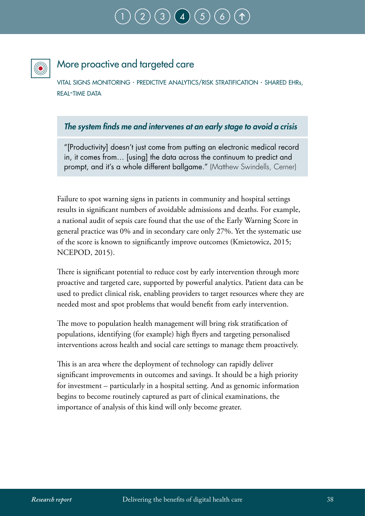

## More proactive and targeted care

vital signs monitoring · predictive analytics/risk stratification · shared ehrs, REAL-TIME DATA

### *The system finds me and intervenes at an early stage to avoid a crisis*

"[Productivity] doesn't just come from putting an electronic medical record in, it comes from… [using] the data across the continuum to predict and prompt, and it's a whole different ballgame." (Matthew Swindells, Cerner)

Failure to spot warning signs in patients in community and hospital settings results in significant numbers of avoidable admissions and deaths. For example, a national audit of sepsis care found that the use of the Early Warning Score in general practice was 0% and in secondary care only 27%. Yet the systematic use of the score is known to significantly improve outcomes (Kmietowicz, 2015; NCEPOD, 2015).

There is significant potential to reduce cost by early intervention through more proactive and targeted care, supported by powerful analytics. Patient data can be used to predict clinical risk, enabling providers to target resources where they are needed most and spot problems that would benefit from early intervention.

The move to population health management will bring risk stratification of populations, identifying (for example) high flyers and targeting personalised interventions across health and social care settings to manage them proactively.

This is an area where the deployment of technology can rapidly deliver significant improvements in outcomes and savings. It should be a high priority for investment – particularly in a hospital setting. And as genomic information begins to become routinely captured as part of clinical examinations, the importance of analysis of this kind will only become greater.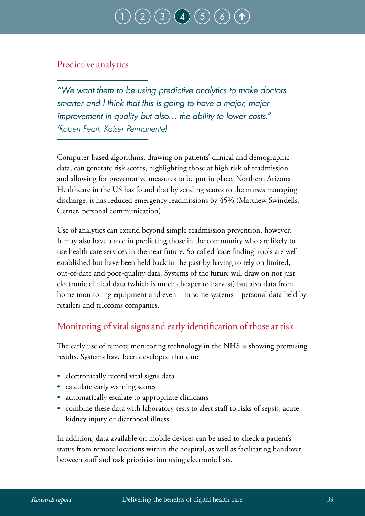## Predictive analytics

*"We want them to be using predictive analytics to make doctors smarter and I think that this is going to have a major, major improvement in quality but also… the ability to lower costs." (Robert Pearl, Kaiser Permanente)*

Computer-based algorithms, drawing on patients' clinical and demographic data, can generate risk scores, highlighting those at high risk of readmission and allowing for preventative measures to be put in place. Northern Arizona Healthcare in the US has found that by sending scores to the nurses managing discharge, it has reduced emergency readmissions by 45% (Matthew Swindells, Cerner, personal communication).

Use of analytics can extend beyond simple readmission prevention, however. It may also have a role in predicting those in the community who are likely to use health care services in the near future. So-called 'case finding' tools are well established but have been held back in the past by having to rely on limited, out-of-date and poor-quality data. Systems of the future will draw on not just electronic clinical data (which is much cheaper to harvest) but also data from home monitoring equipment and even – in some systems – personal data held by retailers and telecoms companies.

## Monitoring of vital signs and early identification of those at risk

The early use of remote monitoring technology in the NHS is showing promising results. Systems have been developed that can:

- electronically record vital signs data
- calculate early warning scores
- automatically escalate to appropriate clinicians
- combine these data with laboratory tests to alert staff to risks of sepsis, acute kidney injury or diarrhoeal illness.

In addition, data available on mobile devices can be used to check a patient's status from remote locations within the hospital, as well as facilitating handover between staff and task prioritisation using electronic lists.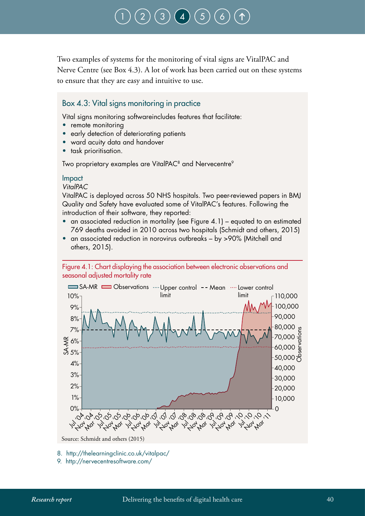Two examples of systems for the monitoring of vital signs are VitalPAC and Nerve Centre (see Box 4.3). A lot of work has been carried out on these systems to ensure that they are easy and intuitive to use.

#### Box 4.3: Vital signs monitoring in practice

Vital signs monitoring softwareincludes features that facilitate:

- remote monitoring
- early detection of deteriorating patients
- ward acuity data and handover
- task prioritisation.

Two proprietary examples are VitalPAC<sup>8</sup> and Nervecentre<sup>9</sup>

#### Impact

*VitalPAC*

VitalPAC is deployed across 50 NHS hospitals. Two peer-reviewed papers in BMJ Quality and Safety have evaluated some of VitalPAC's features. Following the introduction of their software, they reported:

- an associated reduction in mortality (see Figure 4.1) equated to an estimated 769 deaths avoided in 2010 across two hospitals (Schmidt and others, 2015)
- an associated reduction in norovirus outbreaks by >90% (Mitchell and others, 2015).





9. http://nervecentresoftware.com/

<sup>8.</sup> http://thelearningclinic.co.uk/vitalpac/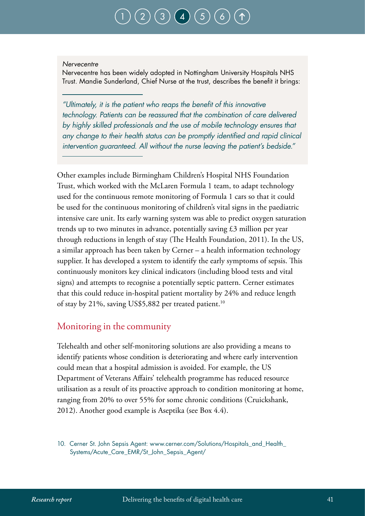#### *Nervecentre*

Nervecentre has been widely adopted in Nottingham University Hospitals NHS Trust. Mandie Sunderland, Chief Nurse at the trust, describes the benefit it brings:

*"Ultimately, it is the patient who reaps the benefit of this innovative technology. Patients can be reassured that the combination of care delivered by highly skilled professionals and the use of mobile technology ensures that any change to their health status can be promptly identified and rapid clinical intervention guaranteed. All without the nurse leaving the patient's bedside."*

Other examples include Birmingham Children's Hospital NHS Foundation Trust, which worked with the McLaren Formula 1 team, to adapt technology used for the continuous remote monitoring of Formula 1 cars so that it could be used for the continuous monitoring of children's vital signs in the paediatric intensive care unit. Its early warning system was able to predict oxygen saturation trends up to two minutes in advance, potentially saving £3 million per year through reductions in length of stay (The Health Foundation, 2011). In the US, a similar approach has been taken by Cerner – a health information technology supplier. It has developed a system to identify the early symptoms of sepsis. This continuously monitors key clinical indicators (including blood tests and vital signs) and attempts to recognise a potentially septic pattern. Cerner estimates that this could reduce in-hospital patient mortality by 24% and reduce length of stay by 21%, saving US\$5,882 per treated patient.<sup>10</sup>

### Monitoring in the community

Telehealth and other self-monitoring solutions are also providing a means to identify patients whose condition is deteriorating and where early intervention could mean that a hospital admission is avoided. For example, the US Department of Veterans Affairs' telehealth programme has reduced resource utilisation as a result of its proactive approach to condition monitoring at home, ranging from 20% to over 55% for some chronic conditions (Cruickshank, 2012). Another good example is Aseptika (see Box 4.4).

10. Cerner St. John Sepsis Agent: www.cerner.com/Solutions/Hospitals\_and\_Health\_ Systems/Acute\_Care\_EMR/St\_John\_Sepsis\_Agent/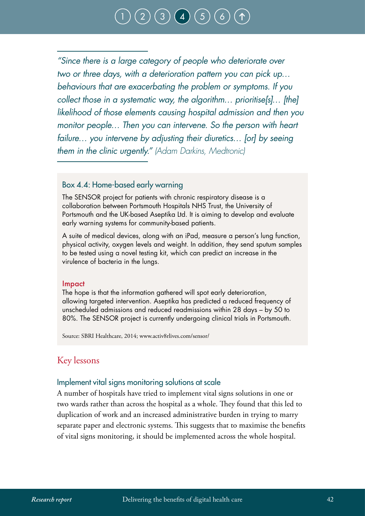*"Since there is a large category of people who deteriorate over two or three days, with a deterioration pattern you can pick up… behaviours that are exacerbating the problem or symptoms. If you collect those in a systematic way, the algorithm… prioritise[s]… [the] likelihood of those elements causing hospital admission and then you monitor people… Then you can intervene. So the person with heart failure… you intervene by adjusting their diuretics… [or] by seeing them in the clinic urgently." (Adam Darkins, Medtronic)*

#### Box 4.4: Home-based early warning

The SENSOR project for patients with chronic respiratory disease is a collaboration between Portsmouth Hospitals NHS Trust, the University of Portsmouth and the UK-based Aseptika Ltd. It is aiming to develop and evaluate early warning systems for community-based patients.

A suite of medical devices, along with an iPad, measure a person's lung function, physical activity, oxygen levels and weight. In addition, they send sputum samples to be tested using a novel testing kit, which can predict an increase in the virulence of bacteria in the lungs.

#### Impact

The hope is that the information gathered will spot early deterioration, allowing targeted intervention. Aseptika has predicted a reduced frequency of unscheduled admissions and reduced readmissions within 28 days – by 50 to 80%. The SENSOR project is currently undergoing clinical trials in Portsmouth.

Source: SBRI Healthcare, 2014; www.activ8rlives.com/sensor/

### Key lessons

#### Implement vital signs monitoring solutions at scale

A number of hospitals have tried to implement vital signs solutions in one or two wards rather than across the hospital as a whole. They found that this led to duplication of work and an increased administrative burden in trying to marry separate paper and electronic systems. This suggests that to maximise the benefits of vital signs monitoring, it should be implemented across the whole hospital.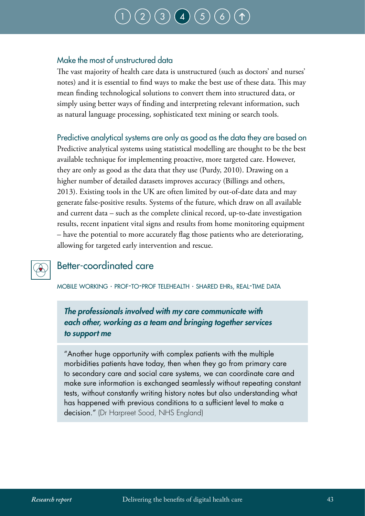# $\bigg(\mathsf{3}\bigg)\bigg(\mathsf{4}\bigg)\bigg(\mathsf{5}\bigg)$  $\bigg(\mathsf{3}\bigg)\bigg(\mathsf{4}\bigg)\bigg(\mathsf{5}\bigg)$  $\bigg(\mathsf{3}\bigg)\bigg(\mathsf{4}\bigg)\bigg(\mathsf{5}\bigg)$  $\bigg(\mathsf{3}\bigg)\bigg(\mathsf{4}\bigg)\bigg(\mathsf{5}\bigg)$  $\bigg(\mathsf{3}\bigg)\bigg(\mathsf{4}\bigg)\bigg(\mathsf{5}\bigg)$  $\bigg(\mathsf{3}\bigg)\bigg(\mathsf{4}\bigg)\bigg(\mathsf{5}\bigg)$  $\bigg(\mathsf{3}\bigg)\bigg(\mathsf{4}\bigg)\bigg(\mathsf{5}\bigg)$

### Make the most of unstructured data

The vast majority of health care data is unstructured (such as doctors' and nurses' notes) and it is essential to find ways to make the best use of these data. This may mean finding technological solutions to convert them into structured data, or simply using better ways of finding and interpreting relevant information, such as natural language processing, sophisticated text mining or search tools.

Predictive analytical systems are only as good as the data they are based on Predictive analytical systems using statistical modelling are thought to be the best available technique for implementing proactive, more targeted care. However, they are only as good as the data that they use (Purdy, 2010). Drawing on a higher number of detailed datasets improves accuracy (Billings and others, 2013). Existing tools in the UK are often limited by out-of-date data and may generate false-positive results. Systems of the future, which draw on all available and current data – such as the complete clinical record, up-to-date investigation results, recent inpatient vital signs and results from home monitoring equipment – have the potential to more accurately flag those patients who are deteriorating, allowing for targeted early intervention and rescue.



## Better-coordinated care

mobile working · prof-to-prof telehealth · shared ehrs, real-time data

*The professionals involved with my care communicate with each other, working as a team and bringing together services to support me*

"Another huge opportunity with complex patients with the multiple morbidities patients have today, then when they go from primary care to secondary care and social care systems, we can coordinate care and make sure information is exchanged seamlessly without repeating constant tests, without constantly writing history notes but also understanding what has happened with previous conditions to a sufficient level to make a decision." (Dr Harpreet Sood, NHS England)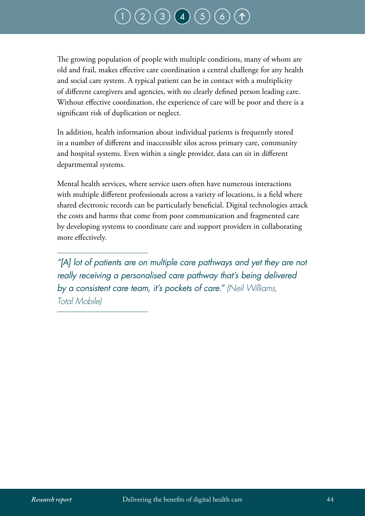# $\big(\!\!\left( 3 \right)\!\!\left( 4 \right)\!\!\left( 5 \right)$  $\big(\!\!\left( 3 \right)\!\!\left( 4 \right)\!\!\left( 5 \right)$  $\big(\!\!\left( 3 \right)\!\!\left( 4 \right)\!\!\left( 5 \right)$  $\big(\!\!\left( 3 \right)\!\!\left( 4 \right)\!\!\left( 5 \right)$  $\big(\!\!\left( 3 \right)\!\!\left( 4 \right)\!\!\left( 5 \right)$  $\big(\!\!\left( 3 \right)\!\!\left( 4 \right)\!\!\left( 5 \right)$  $\big(\!\!\left( 3 \right)\!\!\left( 4 \right)\!\!\left( 5 \right)$

The growing population of people with multiple conditions, many of whom are old and frail, makes effective care coordination a central challenge for any health and social care system. A typical patient can be in contact with a multiplicity of different caregivers and agencies, with no clearly defined person leading care. Without effective coordination, the experience of care will be poor and there is a significant risk of duplication or neglect.

In addition, health information about individual patients is frequently stored in a number of different and inaccessible silos across primary care, community and hospital systems. Even within a single provider, data can sit in different departmental systems.

Mental health services, where service users often have numerous interactions with multiple different professionals across a variety of locations, is a field where shared electronic records can be particularly beneficial. Digital technologies attack the costs and harms that come from poor communication and fragmented care by developing systems to coordinate care and support providers in collaborating more effectively.

"[A] lot of patients are on multiple care pathways and yet they are not *really receiving a personalised care pathway that's being delivered by a consistent care team, it's pockets of care." (Neil Williams, Total Mobile)*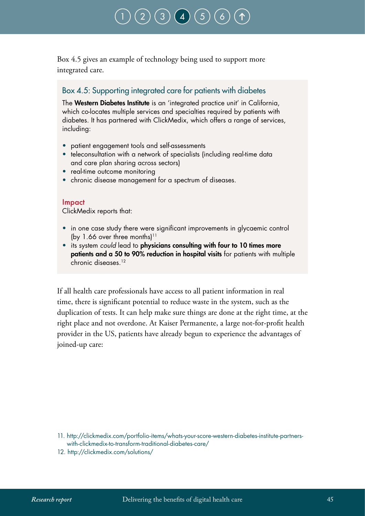Box 4.5 gives an example of technology being used to support more integrated care.

### Box 4.5: Supporting integrated care for patients with diabetes

The Western Diabetes Institute is an 'integrated practice unit' in California, which co-locates multiple services and specialties required by patients with diabetes. It has partnered with ClickMedix, which offers a range of services, including:

- patient engagement tools and self-assessments
- teleconsultation with a network of specialists (including real-time data and care plan sharing across sectors)
- real-time outcome monitoring
- chronic disease management for a spectrum of diseases.

#### Impact

ClickMedix reports that:

- in one case study there were significant improvements in glycaemic control (by 1.66 over three months)<sup>11</sup>
- its system *could* lead to physicians consulting with four to 10 times more patients and a 50 to 90% reduction in hospital visits for patients with multiple chronic diseases.12

If all health care professionals have access to all patient information in real time, there is significant potential to reduce waste in the system, such as the duplication of tests. It can help make sure things are done at the right time, at the right place and not overdone. At Kaiser Permanente, a large not-for-profit health provider in the US, patients have already begun to experience the advantages of joined-up care:

12. http://clickmedix.com/solutions/

<sup>11.</sup> http://clickmedix.com/portfolio-items/whats-your-score-western-diabetes-institute-partnerswith-clickmedix-to-transform-traditional-diabetes-care/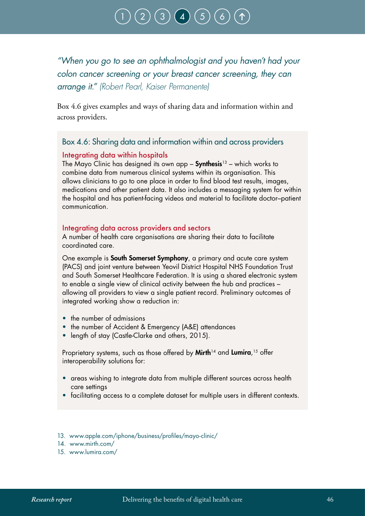*"When you go to see an ophthalmologist and you haven't had your colon cancer screening or your breast cancer screening, they can arrange it." (Robert Pearl, Kaiser Permanente)*

Box 4.6 gives examples and ways of sharing data and information within and across providers.

### Box 4.6: Sharing data and information within and across providers

#### Integrating data within hospitals

The Mayo Clinic has designed its own app – **Synthesis**<sup>13</sup> – which works to combine data from numerous clinical systems within its organisation. This allows clinicians to go to one place in order to find blood test results, images, medications and other patient data. It also includes a messaging system for within the hospital and has patient-facing videos and material to facilitate doctor–patient communication.

#### Integrating data across providers and sectors

A number of health care organisations are sharing their data to facilitate coordinated care.

One example is **South Somerset Symphony**, a primary and acute care system (PACS) and joint venture between Yeovil District Hospital NHS Foundation Trust and South Somerset Healthcare Federation. It is using a shared electronic system to enable a single view of clinical activity between the hub and practices – allowing all providers to view a single patient record. Preliminary outcomes of integrated working show a reduction in:

- the number of admissions
- the number of Accident & Emergency (A&E) attendances
- length of stay (Castle-Clarke and others, 2015).

Proprietary systems, such as those offered by **Mirth**14 and **Lumira**,<sup>15</sup> offer interoperability solutions for:

- areas wishing to integrate data from multiple different sources across health care settings
- facilitating access to a complete dataset for multiple users in different contexts.
- 13. www.apple.com/iphone/business/profiles/mayo-clinic/
- 14. www.mirth.com/
- 15. www.lumira.com/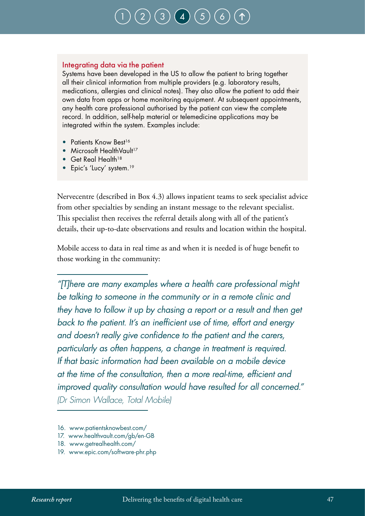#### Integrating data via the patient

Systems have been developed in the US to allow the patient to bring together all their clinical information from multiple providers (e.g. laboratory results, medications, allergies and clinical notes). They also allow the patient to add their own data from apps or home monitoring equipment. At subsequent appointments, any health care professional authorised by the patient can view the complete record. In addition, self-help material or telemedicine applications may be integrated within the system. Examples include:

- Patients Know Best<sup>16</sup>
- Microsoft HealthVault<sup>17</sup>
- Get Real Health<sup>18</sup>
- Epic's 'Lucy' system.<sup>19</sup>

Nervecentre (described in Box 4.3) allows inpatient teams to seek specialist advice from other specialties by sending an instant message to the relevant specialist. This specialist then receives the referral details along with all of the patient's details, their up-to-date observations and results and location within the hospital.

Mobile access to data in real time as and when it is needed is of huge benefit to those working in the community:

*"[T]here are many examples where a health care professional might be talking to someone in the community or in a remote clinic and they have to follow it up by chasing a report or a result and then get back to the patient. It's an inefficient use of time, effort and energy and doesn't really give confidence to the patient and the carers, particularly as often happens, a change in treatment is required. If that basic information had been available on a mobile device at the time of the consultation, then a more real-time, efficient and improved quality consultation would have resulted for all concerned." (Dr Simon Wallace, Total Mobile)*

- 16. www.patientsknowbest.com/
- 17. www.healthvault.com/gb/en-GB
- 18. www.getrealhealth.com/
- 19. www.epic.com/software-phr.php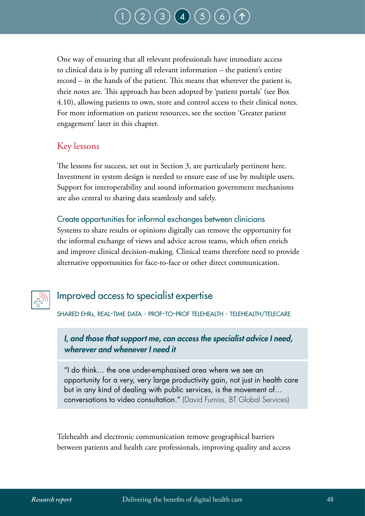One way of ensuring that all relevant professionals have immediate access to clinical data is by putting all relevant information – the patient's entire record – in the hands of the patient. This means that wherever the patient is, their notes are. This approach has been adopted by 'patient portals' (see Box 4.10), allowing patients to own, store and control access to their clinical notes. For more information on patient resources, see the section 'Greater patient engagement' later in this chapter.

### Key lessons

The lessons for success, set out in Section 3, are particularly pertinent here. Investment in system design is needed to ensure ease of use by multiple users. Support for interoperability and sound information government mechanisms are also central to sharing data seamlessly and safely.

### Create opportunities for informal exchanges between clinicians

Systems to share results or opinions digitally can remove the opportunity for the informal exchange of views and advice across teams, which often enrich and improve clinical decision-making. Clinical teams therefore need to provide alternative opportunities for face-to-face or other direct communication.



## Improved access to specialist expertise

shared ehrs, real-time data · prof-to-prof telehealth · telehealth/telecare

### *I, and those that support me, can access the specialist advice I need, wherever and whenever I need it*

"I do think… the one under-emphasised area where we see an opportunity for a very, very large productivity gain, not just in health care but in any kind of dealing with public services, is the movement of… conversations to video consultation." (David Furniss, BT Global Services)

Telehealth and electronic communication remove geographical barriers between patients and health care professionals, improving quality and access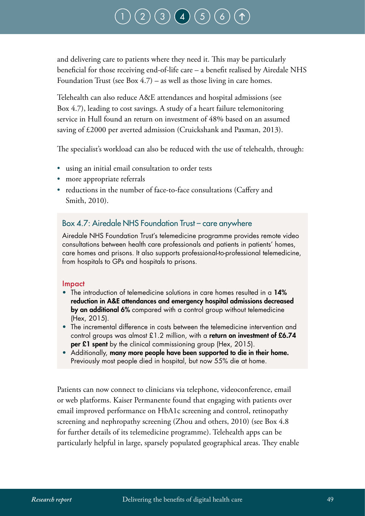and delivering care to patients where they need it. This may be particularly beneficial for those receiving end-of-life care – a benefit realised by Airedale NHS Foundation Trust (see Box 4.7) – as well as those living in care homes.

Telehealth can also reduce A&E attendances and hospital admissions (see Box 4.7), leading to cost savings. A study of a heart failure telemonitoring service in Hull found an return on investment of 48% based on an assumed saving of £2000 per averted admission (Cruickshank and Paxman, 2013).

The specialist's workload can also be reduced with the use of telehealth, through:

- using an initial email consultation to order tests
- more appropriate referrals
- reductions in the number of face-to-face consultations (Caffery and Smith, 2010).

### Box 4.7: Airedale NHS Foundation Trust – care anywhere

Airedale NHS Foundation Trust's telemedicine programme provides remote video consultations between health care professionals and patients in patients' homes, care homes and prisons. It also supports professional-to-professional telemedicine, from hospitals to GPs and hospitals to prisons.

#### Impact

- The introduction of telemedicine solutions in care homes resulted in a 14% reduction in A&E attendances and emergency hospital admissions decreased by an additional 6% compared with a control group without telemedicine (Hex, 2015).
- The incremental difference in costs between the telemedicine intervention and control groups was almost £1.2 million, with a return on investment of £6.74 per £1 spent by the clinical commissioning group (Hex, 2015).
- Additionally, many more people have been supported to die in their home. Previously most people died in hospital, but now 55% die at home.

Patients can now connect to clinicians via telephone, videoconference, email or web platforms. Kaiser Permanente found that engaging with patients over email improved performance on HbA1c screening and control, retinopathy screening and nephropathy screening (Zhou and others, 2010) (see Box 4.8 for further details of its telemedicine programme). Telehealth apps can be particularly helpful in large, sparsely populated geographical areas. They enable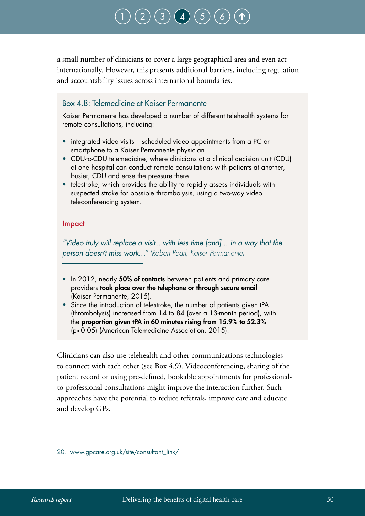## $\left( 3\right)$  $\left( 3\right)$  $\left( 3\right)$   $\left( 4\right)$  $\left( 4\right)$  $\left( 4\right)$

a small number of clinicians to cover a large geographical area and even act internationally. However, this presents additional barriers, including regulation and accountability issues across international boundaries.

### Box 4.8: Telemedicine at Kaiser Permanente

Kaiser Permanente has developed a number of different telehealth systems for remote consultations, including:

- integrated video visits scheduled video appointments from a PC or smartphone to a Kaiser Permanente physician
- CDU-to-CDU telemedicine, where clinicians at a clinical decision unit (CDU) at one hospital can conduct remote consultations with patients at another, busier, CDU and ease the pressure there
- telestroke, which provides the ability to rapidly assess individuals with suspected stroke for possible thrombolysis, using a two-way video teleconferencing system.

#### Impact

*"Video truly will replace a visit... with less time [and]… in a way that the person doesn't miss work…" (Robert Pearl, Kaiser Permanente)*

- In 2012, nearly 50% of contacts between patients and primary care providers took place over the telephone or through secure email (Kaiser Permanente, 2015).
- Since the introduction of telestroke, the number of patients given tPA (thrombolysis) increased from 14 to 84 (over a 13-month period), with the proportion given tPA in 60 minutes rising from 15.9% to 52.3% (p<0.05) (American Telemedicine Association, 2015).

Clinicians can also use telehealth and other communications technologies to connect with each other (see Box 4.9). Videoconferencing, sharing of the patient record or using pre-defined, bookable appointments for professionalto-professional consultations might improve the interaction further. Such approaches have the potential to reduce referrals, improve care and educate and develop GPs.

20. www.gpcare.org.uk/site/consultant\_link/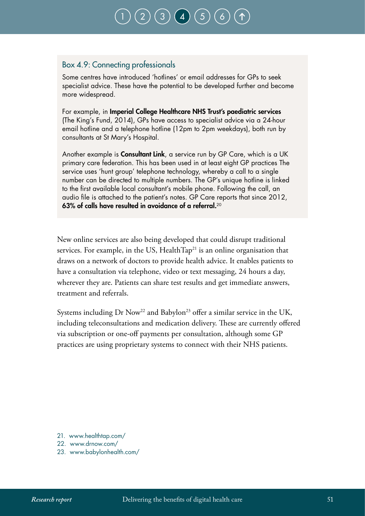### Box 4.9: Connecting professionals

Some centres have introduced 'hotlines' or email addresses for GPs to seek specialist advice. These have the potential to be developed further and become more widespread.

For example, in Imperial College Healthcare NHS Trust's paediatric services (The King's Fund, 2014), GPs have access to specialist advice via a 24-hour email hotline and a telephone hotline (12pm to 2pm weekdays), both run by consultants at St Mary's Hospital.

Another example is **Consultant Link**, a service run by GP Care, which is a UK primary care federation. This has been used in at least eight GP practices The service uses 'hunt group' telephone technology, whereby a call to a single number can be directed to multiple numbers. The GP's unique hotline is linked to the first available local consultant's mobile phone. Following the call, an audio file is attached to the patient's notes. GP Care reports that since 2012, 63% of calls have resulted in avoidance of a referral.<sup>20</sup>

New online services are also being developed that could disrupt traditional services. For example, in the US, HealthTap<sup>21</sup> is an online organisation that draws on a network of doctors to provide health advice. It enables patients to have a consultation via telephone, video or text messaging, 24 hours a day, wherever they are. Patients can share test results and get immediate answers, treatment and referrals.

Systems including Dr Now<sup>22</sup> and Babylon<sup>23</sup> offer a similar service in the UK, including teleconsultations and medication delivery. These are currently offered via subscription or one-off payments per consultation, although some GP practices are using proprietary systems to connect with their NHS patients.

- 21. www.healthtap.com/
- 22. www.drnow.com/
- 23. www.babylonhealth.com/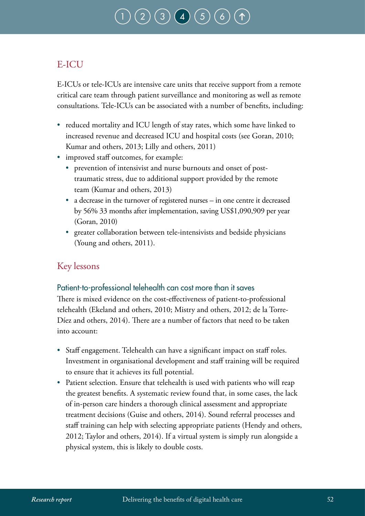# $1\big(\, 3\, \big)\, \big(\, 4\, \big)\, \big(\, 5\, \big)$  $1\big(\, 3\, \big)\, \big(\, 4\, \big)\, \big(\, 5\, \big)$  $1\big(\, 3\, \big)\, \big(\, 4\, \big)\, \big(\, 5\, \big)$  $1\big(\, 3\, \big)\, \big(\, 4\, \big)\, \big(\, 5\, \big)$  $1\big(\, 3\, \big)\, \big(\, 4\, \big)\, \big(\, 5\, \big)$  $1\big(\, 3\, \big)\, \big(\, 4\, \big)\, \big(\, 5\, \big)$  $1\big(\, 3\, \big)\, \big(\, 4\, \big)\, \big(\, 5\, \big)$  $1\big(\, 3\, \big)\, \big(\, 4\, \big)\, \big(\, 5\, \big)$

## E-ICU

E-ICUs or tele-ICUs are intensive care units that receive support from a remote critical care team through patient surveillance and monitoring as well as remote consultations. Tele-ICUs can be associated with a number of benefits, including:

- reduced mortality and ICU length of stay rates, which some have linked to increased revenue and decreased ICU and hospital costs (see Goran, 2010; Kumar and others, 2013; Lilly and others, 2011)
- improved staff outcomes, for example:
	- prevention of intensivist and nurse burnouts and onset of posttraumatic stress, due to additional support provided by the remote team (Kumar and others, 2013)
	- a decrease in the turnover of registered nurses in one centre it decreased by 56% 33 months after implementation, saving US\$1,090,909 per year (Goran, 2010)
	- greater collaboration between tele-intensivists and bedside physicians (Young and others, 2011).

### Key lessons

### Patient-to-professional telehealth can cost more than it saves

There is mixed evidence on the cost-effectiveness of patient-to-professional telehealth (Ekeland and others, 2010; Mistry and others, 2012; de la Torre-Díez and others, 2014). There are a number of factors that need to be taken into account:

- Staff engagement. Telehealth can have a significant impact on staff roles. Investment in organisational development and staff training will be required to ensure that it achieves its full potential.
- Patient selection. Ensure that telehealth is used with patients who will reap the greatest benefits. A systematic review found that, in some cases, the lack of in-person care hinders a thorough clinical assessment and appropriate treatment decisions (Guise and others, 2014). Sound referral processes and staff training can help with selecting appropriate patients (Hendy and others, 2012; Taylor and others, 2014). If a virtual system is simply run alongside a physical system, this is likely to double costs.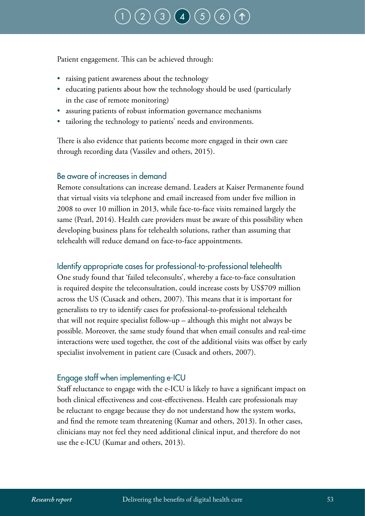# $(2)(3)(4)(5)$  $(2)(3)(4)(5)$  $(2)(3)(4)(5)$  $(2)(3)(4)(5)$  $(2)(3)(4)(5)$  $(2)(3)(4)(5)$  $(2)(3)(4)(5)$  $(2)(3)(4)(5)$  $(2)(3)(4)(5)$

Patient engagement. This can be achieved through:

- raising patient awareness about the technology
- educating patients about how the technology should be used (particularly in the case of remote monitoring)
- assuring patients of robust information governance mechanisms
- tailoring the technology to patients' needs and environments.

There is also evidence that patients become more engaged in their own care through recording data (Vassilev and others, 2015).

#### Be aware of increases in demand

Remote consultations can increase demand. Leaders at Kaiser Permanente found that virtual visits via telephone and email increased from under five million in 2008 to over 10 million in 2013, while face-to-face visits remained largely the same (Pearl, 2014). Health care providers must be aware of this possibility when developing business plans for telehealth solutions, rather than assuming that telehealth will reduce demand on face-to-face appointments.

#### Identify appropriate cases for professional-to-professional telehealth

One study found that 'failed teleconsults', whereby a face-to-face consultation is required despite the teleconsultation, could increase costs by US\$709 million across the US (Cusack and others, 2007). This means that it is important for generalists to try to identify cases for professional-to-professional telehealth that will not require specialist follow-up – although this might not always be possible. Moreover, the same study found that when email consults and real-time interactions were used together, the cost of the additional visits was offset by early specialist involvement in patient care (Cusack and others, 2007).

### Engage staff when implementing e-ICU

Staff reluctance to engage with the e-ICU is likely to have a significant impact on both clinical effectiveness and cost-effectiveness. Health care professionals may be reluctant to engage because they do not understand how the system works, and find the remote team threatening (Kumar and others, 2013). In other cases, clinicians may not feel they need additional clinical input, and therefore do not use the e-ICU (Kumar and others, 2013).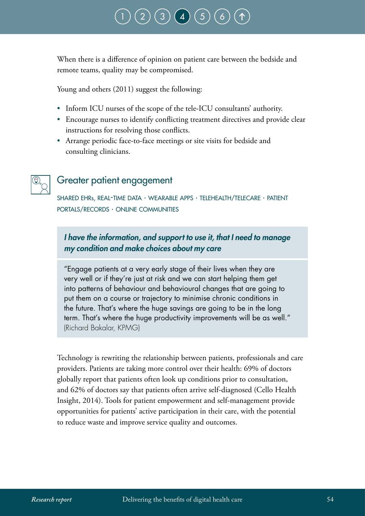When there is a difference of opinion on patient care between the bedside and remote teams, quality may be compromised.

Young and others (2011) suggest the following:

- Inform ICU nurses of the scope of the tele-ICU consultants' authority.
- Encourage nurses to identify conflicting treatment directives and provide clear instructions for resolving those conflicts.
- Arrange periodic face-to-face meetings or site visits for bedside and consulting clinicians.

## Greater patient engagement

shared ehrs, real-time data · wearable apps · telehealth/telecare · patient portals/records · online communities

### *I have the information, and support to use it, that I need to manage my condition and make choices about my care*

"Engage patients at a very early stage of their lives when they are very well or if they're just at risk and we can start helping them get into patterns of behaviour and behavioural changes that are going to put them on a course or trajectory to minimise chronic conditions in the future. That's where the huge savings are going to be in the long term. That's where the huge productivity improvements will be as well." (Richard Bakalar, KPMG)

Technology is rewriting the relationship between patients, professionals and care providers. Patients are taking more control over their health: 69% of doctors globally report that patients often look up conditions prior to consultation, and 62% of doctors say that patients often arrive self-diagnosed (Cello Health Insight, 2014). Tools for patient empowerment and self-management provide opportunities for patients' active participation in their care, with the potential to reduce waste and improve service quality and outcomes.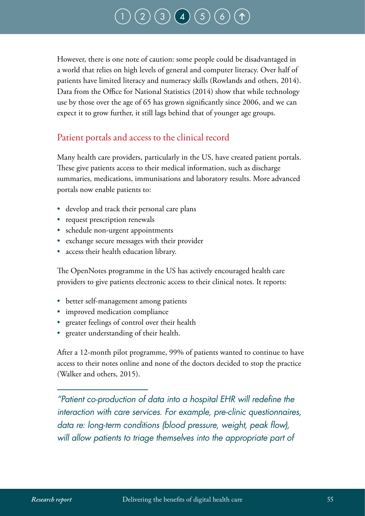However, there is one note of caution: some people could be disadvantaged in a world that relies on high levels of general and computer literacy. Over half of patients have limited literacy and numeracy skills (Rowlands and others, 2014). Data from the Office for National Statistics (2014) show that while technology use by those over the age of 65 has grown significantly since 2006, and we can expect it to grow further, it still lags behind that of younger age groups.

## Patient portals and access to the clinical record

Many health care providers, particularly in the US, have created patient portals. These give patients access to their medical information, such as discharge summaries, medications, immunisations and laboratory results. More advanced portals now enable patients to:

- develop and track their personal care plans
- request prescription renewals
- schedule non-urgent appointments
- exchange secure messages with their provider
- access their health education library.

The OpenNotes programme in the US has actively encouraged health care providers to give patients electronic access to their clinical notes. It reports:

- better self-management among patients
- improved medication compliance
- greater feelings of control over their health
- greater understanding of their health.

After a 12-month pilot programme, 99% of patients wanted to continue to have access to their notes online and none of the doctors decided to stop the practice (Walker and others, 2015).

*"Patient co-production of data into a hospital EHR will redefine the interaction with care services. For example, pre-clinic questionnaires, data re: long-term conditions (blood pressure, weight, peak flow), will allow patients to triage themselves into the appropriate part of*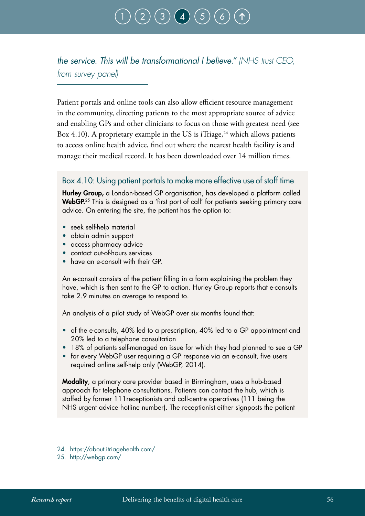*the service. This will be transformational I believe." (NHS trust CEO, from survey panel)*

Patient portals and online tools can also allow efficient resource management in the community, directing patients to the most appropriate source of advice and enabling GPs and other clinicians to focus on those with greatest need (see Box 4.10). A proprietary example in the US is iTriage, $^{24}$  which allows patients to access online health advice, find out where the nearest health facility is and manage their medical record. It has been downloaded over 14 million times.

#### Box 4.10: Using patient portals to make more effective use of staff time

Hurley Group, a London-based GP organisation, has developed a platform called WebGP.<sup>25</sup> This is designed as a 'first port of call' for patients seeking primary care advice. On entering the site, the patient has the option to:

- seek self-help material
- obtain admin support
- access pharmacy advice
- contact out-of-hours services
- have an e-consult with their GP.

An e-consult consists of the patient filling in a form explaining the problem they have, which is then sent to the GP to action. Hurley Group reports that e-consults take 2.9 minutes on average to respond to.

An analysis of a pilot study of WebGP over six months found that:

- of the e-consults, 40% led to a prescription, 40% led to a GP appointment and 20% led to a telephone consultation
- 18% of patients self-managed an issue for which they had planned to see a GP
- for every WebGP user requiring a GP response via an e-consult, five users required online self-help only (WebGP, 2014).

Modality, a primary care provider based in Birmingham, uses a hub-based approach for telephone consultations. Patients can contact the hub, which is staffed by former 111receptionists and call-centre operatives (111 being the NHS urgent advice hotline number). The receptionist either signposts the patient

- 24. https://about.itriagehealth.com/
- 25. http://webgp.com/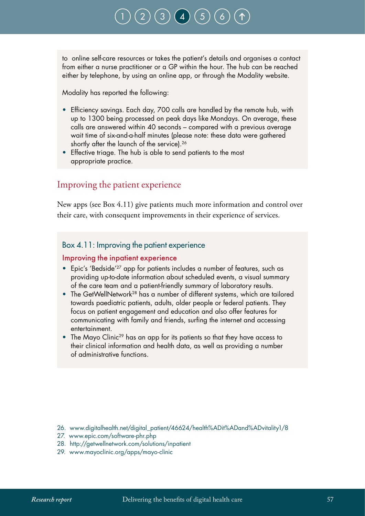

to online self-care resources or takes the patient's details and organises a contact from either a nurse practitioner or a GP within the hour. The hub can be reached either by telephone, by using an online app, or through the Modality website.

Modality has reported the following:

- Efficiency savings. Each day, 700 calls are handled by the remote hub, with up to 1300 being processed on peak days like Mondays. On average, these calls are answered within 40 seconds – compared with a previous average wait time of six-and-a-half minutes (please note: these data were gathered shortly after the launch of the service).<sup>26</sup>
- Effective triage. The hub is able to send patients to the most appropriate practice.

### Improving the patient experience

New apps (see Box 4.11) give patients much more information and control over their care, with consequent improvements in their experience of services.

#### Box 4.11: Improving the patient experience

#### Improving the inpatient experience

- Epic's 'Bedside'27 app for patients includes a number of features, such as providing up-to-date information about scheduled events, a visual summary of the care team and a patient-friendly summary of laboratory results.
- The GetWellNetwork<sup>28</sup> has a number of different systems, which are tailored towards paediatric patients, adults, older people or federal patients. They focus on patient engagement and education and also offer features for communicating with family and friends, surfing the internet and accessing entertainment.
- The Mayo Clinic<sup>29</sup> has an app for its patients so that they have access to their clinical information and health data, as well as providing a number of administrative functions.

- 27. www.epic.com/software-phr.php
- 28. http://getwellnetwork.com/solutions/inpatient
- 29. www.mayoclinic.org/apps/mayo-clinic

<sup>26.</sup> www.digitalhealth.net/digital\_patient/46624/health%ADit%ADand%ADvitality1/8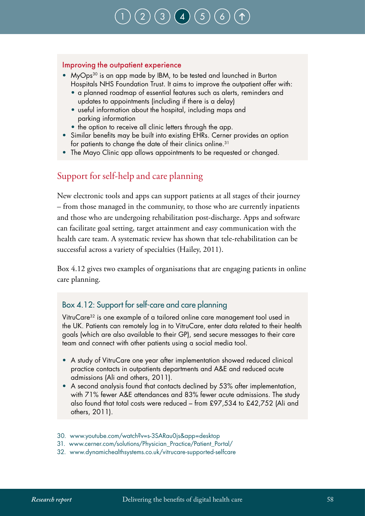#### Improving the outpatient experience

- MyOps<sup>30</sup> is an app made by IBM, to be tested and launched in Burton Hospitals NHS Foundation Trust. It aims to improve the outpatient offer with:
	- a planned roadmap of essential features such as alerts, reminders and updates to appointments (including if there is a delay)
	- useful information about the hospital, including maps and parking information
	- the option to receive all clinic letters through the app.
- Similar benefits may be built into existing EHRs. Cerner provides an option for patients to change the date of their clinics online.31
- The Mayo Clinic app allows appointments to be requested or changed.

### Support for self-help and care planning

New electronic tools and apps can support patients at all stages of their journey – from those managed in the community, to those who are currently inpatients and those who are undergoing rehabilitation post-discharge. Apps and software can facilitate goal setting, target attainment and easy communication with the health care team. A systematic review has shown that tele-rehabilitation can be successful across a variety of specialties (Hailey, 2011).

Box 4.12 gives two examples of organisations that are engaging patients in online care planning.

### Box 4.12: Support for self-care and care planning

VitruCare32 is one example of a tailored online care management tool used in the UK. Patients can remotely log in to VitruCare, enter data related to their health goals (which are also available to their GP), send secure messages to their care team and connect with other patients using a social media tool.

- A study of VitruCare one year after implementation showed reduced clinical practice contacts in outpatients departments and A&E and reduced acute admissions (Ali and others, 2011).
- A second analysis found that contacts declined by 53% after implementation, with 71% fewer A&E attendances and 83% fewer acute admissions. The study also found that total costs were reduced – from £97,534 to £42,752 (Ali and others, 2011).
- 30. www.youtube.com/watch?v=s-3SARau0js&app=desktop
- 31. www.cerner.com/solutions/Physician\_Practice/Patient\_Portal/
- 32. www.dynamichealthsystems.co.uk/vitrucare-supported-selfcare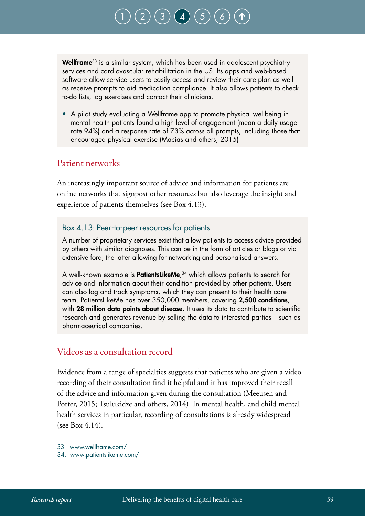

Wellframe<sup>33</sup> is a similar system, which has been used in adolescent psychiatry services and cardiovascular rehabilitation in the US. Its apps and web-based software allow service users to easily access and review their care plan as well as receive prompts to aid medication compliance. It also allows patients to check to-do lists, log exercises and contact their clinicians.

• A pilot study evaluating a Wellframe app to promote physical wellbeing in mental health patients found a high level of engagement (mean a daily usage rate 94%) and a response rate of 73% across all prompts, including those that encouraged physical exercise (Macias and others, 2015)

### Patient networks

An increasingly important source of advice and information for patients are online networks that signpost other resources but also leverage the insight and experience of patients themselves (see Box 4.13).

#### Box 4.13: Peer-to-peer resources for patients

A number of proprietary services exist that allow patients to access advice provided by others with similar diagnoses. This can be in the form of articles or blogs or via extensive fora, the latter allowing for networking and personalised answers.

A well-known example is **PatientsLikeMe**,<sup>34</sup> which allows patients to search for advice and information about their condition provided by other patients. Users can also log and track symptoms, which they can present to their health care team. PatientsLikeMe has over 350,000 members, covering 2,500 conditions, with 28 million data points about disease. It uses its data to contribute to scientific research and generates revenue by selling the data to interested parties – such as pharmaceutical companies.

#### Videos as a consultation record

Evidence from a range of specialties suggests that patients who are given a video recording of their consultation find it helpful and it has improved their recall of the advice and information given during the consultation (Meeusen and Porter, 2015; Tsulukidze and others, 2014). In mental health, and child mental health services in particular, recording of consultations is already widespread (see Box 4.14).

33. www.wellframe.com/

34. www.patientslikeme.com/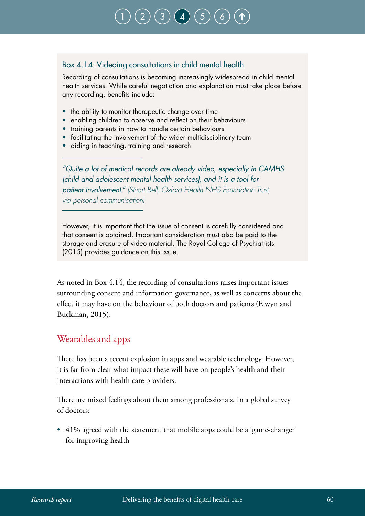## Box 4.14: Videoing consultations in child mental health

Recording of consultations is becoming increasingly widespread in child mental health services. While careful negotiation and explanation must take place before any recording, benefits include:

[1](#page-12-0) ) ( [2](#page-15-0) ) ( [3](#page-21-0) ) ( [4](#page-31-0) ) ( [5](#page-78-0) ) ( [6](#page-86-0)

- the ability to monitor therapeutic change over time
- enabling children to observe and reflect on their behaviours
- training parents in how to handle certain behaviours
- facilitating the involvement of the wider multidisciplinary team
- aiding in teaching, training and research.

*"Quite a lot of medical records are already video, especially in CAMHS [child and adolescent mental health services], and it is a tool for patient involvement." (Stuart Bell, Oxford Health NHS Foundation Trust, via personal communication)* 

However, it is important that the issue of consent is carefully considered and that consent is obtained. Important consideration must also be paid to the storage and erasure of video material. The Royal College of Psychiatrists (2015) provides guidance on this issue.

As noted in Box 4.14, the recording of consultations raises important issues surrounding consent and information governance, as well as concerns about the effect it may have on the behaviour of both doctors and patients (Elwyn and Buckman, 2015).

### Wearables and apps

There has been a recent explosion in apps and wearable technology. However, it is far from clear what impact these will have on people's health and their interactions with health care providers.

There are mixed feelings about them among professionals. In a global survey of doctors:

• 41% agreed with the statement that mobile apps could be a 'game-changer' for improving health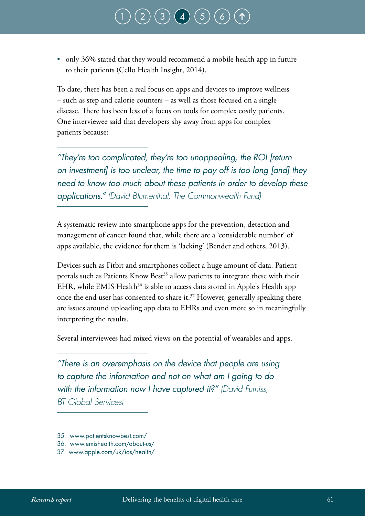# $\left( 3\right)$  $\left( 3\right)$  $\left( 3\right)$   $\left( 4\right)$  $\left( 4\right)$  $\left( 4\right)$

• only 36% stated that they would recommend a mobile health app in future to their patients (Cello Health Insight, 2014).

To date, there has been a real focus on apps and devices to improve wellness – such as step and calorie counters – as well as those focused on a single disease. There has been less of a focus on tools for complex costly patients. One interviewee said that developers shy away from apps for complex patients because:

*"They're too complicated, they're too unappealing, the ROI [return on investment] is too unclear, the time to pay off is too long [and] they need to know too much about these patients in order to develop these applications." (David Blumenthal, The Commonwealth Fund)*

A systematic review into smartphone apps for the prevention, detection and management of cancer found that, while there are a 'considerable number' of apps available, the evidence for them is 'lacking' (Bender and others, 2013).

Devices such as Fitbit and smartphones collect a huge amount of data. Patient portals such as Patients Know Best<sup>35</sup> allow patients to integrate these with their EHR, while EMIS Health<sup>36</sup> is able to access data stored in Apple's Health app once the end user has consented to share it.<sup>37</sup> However, generally speaking there are issues around uploading app data to EHRs and even more so in meaningfully interpreting the results.

Several interviewees had mixed views on the potential of wearables and apps.

*"There is an overemphasis on the device that people are using to capture the information and not on what am I going to do with the information now I have captured it?" (David Furniss, BT Global Services)*

- 35. www.patientsknowbest.com/
- 36. www.emishealth.com/about-us/
- 37. www.apple.com/uk/ios/health/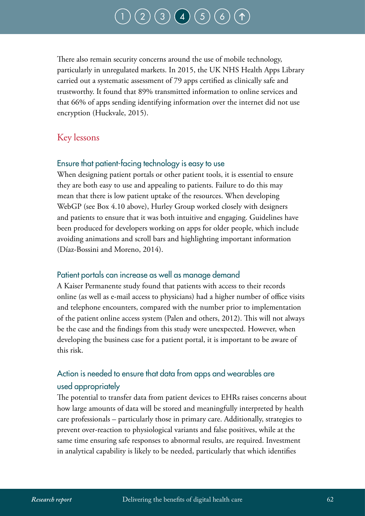# $(3) (4) (5)$  $(3) (4) (5)$  $(3) (4) (5)$  $(3) (4) (5)$  $(3) (4) (5)$  $(3) (4) (5)$  $(3) (4) (5)$

There also remain security concerns around the use of mobile technology, particularly in unregulated markets. In 2015, the UK NHS Health Apps Library carried out a systematic assessment of 79 apps certified as clinically safe and trustworthy. It found that 89% transmitted information to online services and that 66% of apps sending identifying information over the internet did not use encryption (Huckvale, 2015).

### Key lessons

### Ensure that patient-facing technology is easy to use

When designing patient portals or other patient tools, it is essential to ensure they are both easy to use and appealing to patients. Failure to do this may mean that there is low patient uptake of the resources. When developing WebGP (see Box 4.10 above), Hurley Group worked closely with designers and patients to ensure that it was both intuitive and engaging. Guidelines have been produced for developers working on apps for older people, which include avoiding animations and scroll bars and highlighting important information (Díaz-Bossini and Moreno, 2014).

### Patient portals can increase as well as manage demand

A Kaiser Permanente study found that patients with access to their records online (as well as e-mail access to physicians) had a higher number of office visits and telephone encounters, compared with the number prior to implementation of the patient online access system (Palen and others, 2012). This will not always be the case and the findings from this study were unexpected. However, when developing the business case for a patient portal, it is important to be aware of this risk.

## Action is needed to ensure that data from apps and wearables are used appropriately

The potential to transfer data from patient devices to EHRs raises concerns about how large amounts of data will be stored and meaningfully interpreted by health care professionals – particularly those in primary care. Additionally, strategies to prevent over-reaction to physiological variants and false positives, while at the same time ensuring safe responses to abnormal results, are required. Investment in analytical capability is likely to be needed, particularly that which identifies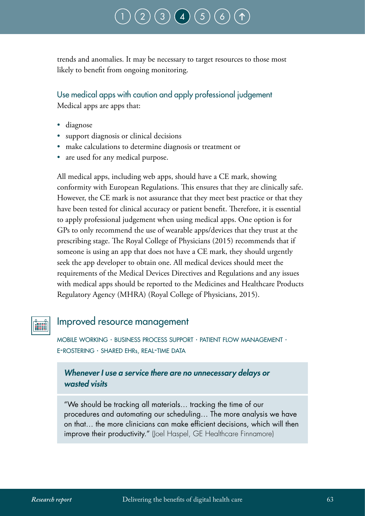trends and anomalies. It may be necessary to target resources to those most likely to benefit from ongoing monitoring.

Use medical apps with caution and apply professional judgement

Medical apps are apps that:

- diagnose
- support diagnosis or clinical decisions
- make calculations to determine diagnosis or treatment or
- are used for any medical purpose.

All medical apps, including web apps, should have a CE mark, showing conformity with European Regulations. This ensures that they are clinically safe. However, the CE mark is not assurance that they meet best practice or that they have been tested for clinical accuracy or patient benefit. Therefore, it is essential to apply professional judgement when using medical apps. One option is for GPs to only recommend the use of wearable apps/devices that they trust at the prescribing stage. The Royal College of Physicians (2015) recommends that if someone is using an app that does not have a CE mark, they should urgently seek the app developer to obtain one. All medical devices should meet the requirements of the Medical Devices Directives and Regulations and any issues with medical apps should be reported to the Medicines and Healthcare Products Regulatory Agency (MHRA) (Royal College of Physicians, 2015).

## Improved resource management

mobile working · business process support · patient flow management · e-rostering · shared ehrs, real-time data

### *Whenever I use a service there are no unnecessary delays or wasted visits*

"We should be tracking all materials… tracking the time of our procedures and automating our scheduling… The more analysis we have on that… the more clinicians can make efficient decisions, which will then improve their productivity." (loel Haspel, GE Healthcare Finnamore)

**FALLER**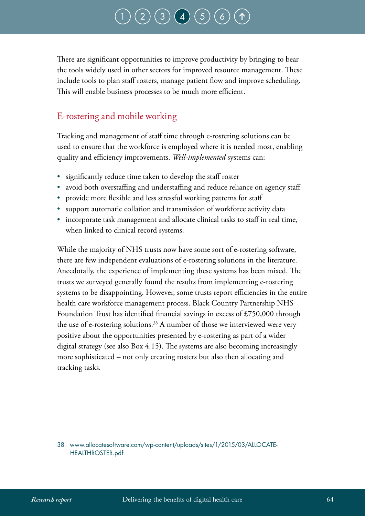## $\binom{2}{3} \binom{4}{4} \binom{5}{5}$  $\binom{2}{3} \binom{4}{4} \binom{5}{5}$  $\binom{2}{3} \binom{4}{4} \binom{5}{5}$  $\binom{2}{3} \binom{4}{4} \binom{5}{5}$  $\binom{2}{3} \binom{4}{4} \binom{5}{5}$  $\binom{2}{3} \binom{4}{4} \binom{5}{5}$  $\binom{2}{3} \binom{4}{4} \binom{5}{5}$  $\binom{2}{3} \binom{4}{4} \binom{5}{5}$  $\binom{2}{3} \binom{4}{4} \binom{5}{5}$

There are significant opportunities to improve productivity by bringing to bear the tools widely used in other sectors for improved resource management. These include tools to plan staff rosters, manage patient flow and improve scheduling. This will enable business processes to be much more efficient.

### E-rostering and mobile working

Tracking and management of staff time through e-rostering solutions can be used to ensure that the workforce is employed where it is needed most, enabling quality and efficiency improvements. *Well-implemented* systems can:

- significantly reduce time taken to develop the staff roster
- avoid both overstaffing and understaffing and reduce reliance on agency staff
- provide more flexible and less stressful working patterns for staff
- support automatic collation and transmission of workforce activity data
- incorporate task management and allocate clinical tasks to staff in real time, when linked to clinical record systems.

While the majority of NHS trusts now have some sort of e-rostering software, there are few independent evaluations of e-rostering solutions in the literature. Anecdotally, the experience of implementing these systems has been mixed. The trusts we surveyed generally found the results from implementing e-rostering systems to be disappointing. However, some trusts report efficiencies in the entire health care workforce management process. Black Country Partnership NHS Foundation Trust has identified financial savings in excess of £750,000 through the use of e-rostering solutions.<sup>38</sup> A number of those we interviewed were very positive about the opportunities presented by e-rostering as part of a wider digital strategy (see also Box 4.15). The systems are also becoming increasingly more sophisticated – not only creating rosters but also then allocating and tracking tasks.

38. www.allocatesoftware.com/wp-content/uploads/sites/1/2015/03/ALLOCATE-HEALTHROSTER.pdf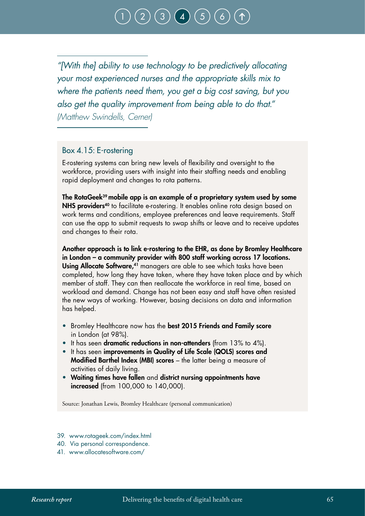*"[With the] ability to use technology to be predictively allocating your most experienced nurses and the appropriate skills mix to where the patients need them, you get a big cost saving, but you also get the quality improvement from being able to do that." (Matthew Swindells, Cerner)*

#### Box 4.15: E-rostering

E-rostering systems can bring new levels of flexibility and oversight to the workforce, providing users with insight into their staffing needs and enabling rapid deployment and changes to rota patterns.

The RotaGeek39 mobile app is an example of a proprietary system used by some NHS providers<sup>40</sup> to facilitate e-rostering. It enables online rota design based on work terms and conditions, employee preferences and leave requirements. Staff can use the app to submit requests to swap shifts or leave and to receive updates and changes to their rota.

Another approach is to link e-rostering to the EHR, as done by Bromley Healthcare in London – a community provider with 800 staff working across 17 locations. Using Allocate Software,<sup>41</sup> managers are able to see which tasks have been completed, how long they have taken, where they have taken place and by which member of staff. They can then reallocate the workforce in real time, based on workload and demand. Change has not been easy and staff have often resisted the new ways of working. However, basing decisions on data and information has helped.

- Bromley Healthcare now has the best 2015 Friends and Family score in London (at 98%).
- It has seen dramatic reductions in non-attenders (from 13% to 4%).
- It has seen improvements in Quality of Life Scale (QOLS) scores and Modified Barthel Index (MBI) scores – the latter being a measure of activities of daily living.
- Waiting times have fallen and district nursing appointments have increased (from 100,000 to 140,000).

Source: Jonathan Lewis, Bromley Healthcare (personal communication)

- 39. [www.rotageek.com/index.html](http://www.rotageek.com/index.html)
- 40. Via personal correspondence.
- 41. www.allocatesoftware.com/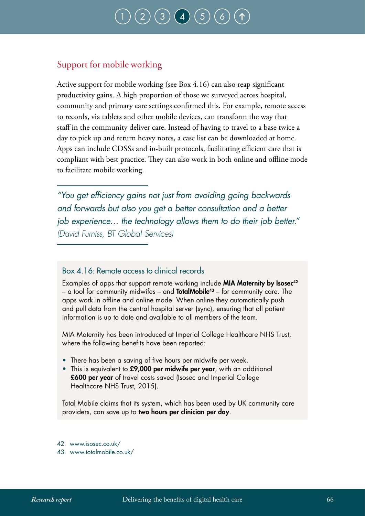## Support for mobile working

Active support for mobile working (see Box 4.16) can also reap significant productivity gains. A high proportion of those we surveyed across hospital, community and primary care settings confirmed this. For example, remote access to records, via tablets and other mobile devices, can transform the way that staff in the community deliver care. Instead of having to travel to a base twice a day to pick up and return heavy notes, a case list can be downloaded at home. Apps can include CDSSs and in-built protocols, facilitating efficient care that is compliant with best practice. They can also work in both online and offline mode to facilitate mobile working.

*"You get efficiency gains not just from avoiding going backwards and forwards but also you get a better consultation and a better job experience… the technology allows them to do their job better." (David Furniss, BT Global Services)*

### Box 4.16: Remote access to clinical records

Examples of apps that support remote working include MIA Maternity by Isosec<sup>42</sup> – a tool for community midwifes – and **TotalMobile**<sup>43</sup> – for community care. The apps work in offline and online mode. When online they automatically push and pull data from the central hospital server (sync), ensuring that all patient information is up to date and available to all members of the team.

MIA Maternity has been introduced at Imperial College Healthcare NHS Trust, where the following benefits have been reported:

- There has been a saving of five hours per midwife per week.
- This is equivalent to £9,000 per midwife per year, with an additional £600 per year of travel costs saved (Isosec and Imperial College Healthcare NHS Trust, 2015).

Total Mobile claims that its system, which has been used by UK community care providers, can save up to two hours per clinician per day.

- 42. www.isosec.co.uk/
- 43. www.totalmobile.co.uk/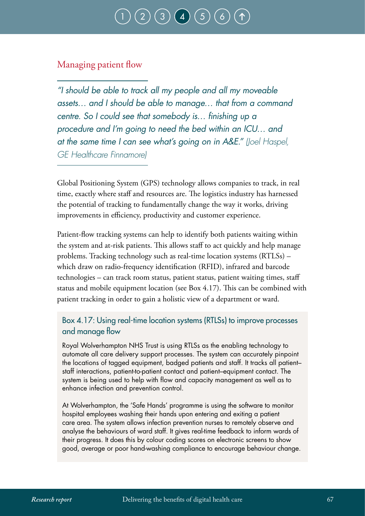## Managing patient flow

*"I should be able to track all my people and all my moveable assets… and I should be able to manage… that from a command centre. So I could see that somebody is… finishing up a procedure and I'm going to need the bed within an ICU… and at the same time I can see what's going on in A&E." (Joel Haspel, GE Healthcare Finnamore)*

Global Positioning System (GPS) technology allows companies to track, in real time, exactly where staff and resources are. The logistics industry has harnessed the potential of tracking to fundamentally change the way it works, driving improvements in efficiency, productivity and customer experience.

Patient-flow tracking systems can help to identify both patients waiting within the system and at-risk patients. This allows staff to act quickly and help manage problems. Tracking technology such as real-time location systems (RTLSs) – which draw on radio-frequency identification (RFID), infrared and barcode technologies – can track room status, patient status, patient waiting times, staff status and mobile equipment location (see Box 4.17). This can be combined with patient tracking in order to gain a holistic view of a department or ward.

### Box 4.17: Using real-time location systems (RTLSs) to improve processes and manage flow

Royal Wolverhampton NHS Trust is using RTLSs as the enabling technology to automate all care delivery support processes. The system can accurately pinpoint the locations of tagged equipment, badged patients and staff. It tracks all patient– staff interactions, patient-to-patient contact and patient–equipment contact. The system is being used to help with flow and capacity management as well as to enhance infection and prevention control.

At Wolverhampton, the 'Safe Hands' programme is using the software to monitor hospital employees washing their hands upon entering and exiting a patient care area. The system allows infection prevention nurses to remotely observe and analyse the behaviours of ward staff. It gives real-time feedback to inform wards of their progress. It does this by colour coding scores on electronic screens to show good, average or poor hand-washing compliance to encourage behaviour change.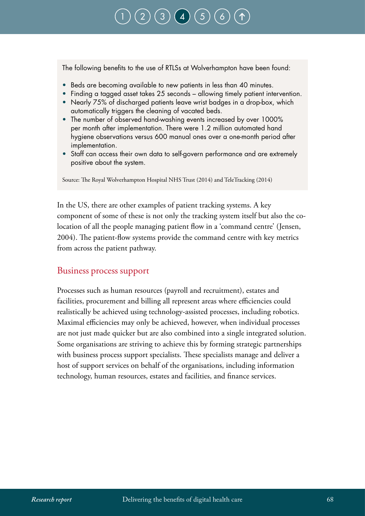## $\left( 3\right)$  $\left( 3\right)$  $\left( 3\right)$   $\left( 4\right)$  $\left( 4\right)$  $\left( 4\right)$

The following benefits to the use of RTLSs at Wolverhampton have been found:

- Beds are becoming available to new patients in less than 40 minutes.
- Finding a tagged asset takes 25 seconds allowing timely patient intervention.
- Nearly 75% of discharged patients leave wrist badges in a drop-box, which automatically triggers the cleaning of vacated beds.
- The number of observed hand-washing events increased by over 1000% per month after implementation. There were 1.2 million automated hand hygiene observations versus 600 manual ones over a one-month period after implementation.
- Staff can access their own data to self-govern performance and are extremely positive about the system.

Source: The Royal Wolverhampton Hospital NHS Trust (2014) and TeleTracking (2014)

In the US, there are other examples of patient tracking systems. A key component of some of these is not only the tracking system itself but also the colocation of all the people managing patient flow in a 'command centre' (Jensen, 2004). The patient-flow systems provide the command centre with key metrics from across the patient pathway.

#### Business process support

Processes such as human resources (payroll and recruitment), estates and facilities, procurement and billing all represent areas where efficiencies could realistically be achieved using technology-assisted processes, including robotics. Maximal efficiencies may only be achieved, however, when individual processes are not just made quicker but are also combined into a single integrated solution. Some organisations are striving to achieve this by forming strategic partnerships with business process support specialists. These specialists manage and deliver a host of support services on behalf of the organisations, including information technology, human resources, estates and facilities, and finance services.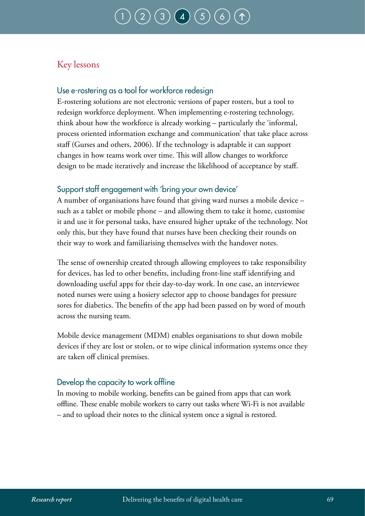### Key lessons

### Use e-rostering as a tool for workforce redesign

E-rostering solutions are not electronic versions of paper rosters, but a tool to redesign workforce deployment. When implementing e-rostering technology, think about how the workforce is already working – particularly the 'informal, process oriented information exchange and communication' that take place across staff (Gurses and others, 2006). If the technology is adaptable it can support changes in how teams work over time. This will allow changes to workforce design to be made iteratively and increase the likelihood of acceptance by staff.

### Support staff engagement with 'bring your own device'

A number of organisations have found that giving ward nurses a mobile device – such as a tablet or mobile phone – and allowing them to take it home, customise it and use it for personal tasks, have ensured higher uptake of the technology. Not only this, but they have found that nurses have been checking their rounds on their way to work and familiarising themselves with the handover notes.

The sense of ownership created through allowing employees to take responsibility for devices, has led to other benefits, including front-line staff identifying and downloading useful apps for their day-to-day work. In one case, an interviewee noted nurses were using a hosiery selector app to choose bandages for pressure sores for diabetics. The benefits of the app had been passed on by word of mouth across the nursing team.

Mobile device management (MDM) enables organisations to shut down mobile devices if they are lost or stolen, or to wipe clinical information systems once they are taken off clinical premises.

### Develop the capacity to work offline

In moving to mobile working, benefits can be gained from apps that can work offline. These enable mobile workers to carry out tasks where Wi-Fi is not available – and to upload their notes to the clinical system once a signal is restored.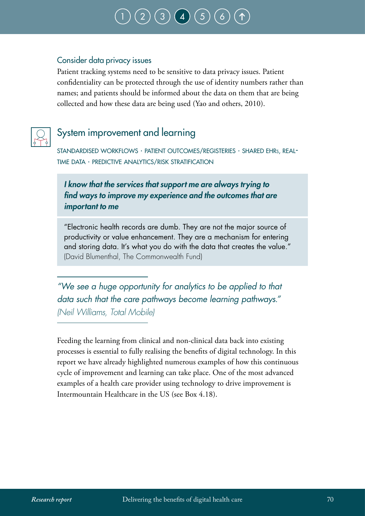#### Consider data privacy issues

Patient tracking systems need to be sensitive to data privacy issues. Patient confidentiality can be protected through the use of identity numbers rather than names; and patients should be informed about the data on them that are being collected and how these data are being used (Yao and others, 2010).



## System improvement and learning

standardised workflows ∙ patient outcomes/registeries ∙ shared ehrs, realtime data ∙ predictive analytics/risk stratification

### *I know that the services that support me are always trying to find ways to improve my experience and the outcomes that are important to me*

"Electronic health records are dumb. They are not the major source of productivity or value enhancement. They are a mechanism for entering and storing data. It's what you do with the data that creates the value." (David Blumenthal, The Commonwealth Fund)

*"We see a huge opportunity for analytics to be applied to that data such that the care pathways become learning pathways." (Neil Williams, Total Mobile)*

Feeding the learning from clinical and non-clinical data back into existing processes is essential to fully realising the benefits of digital technology. In this report we have already highlighted numerous examples of how this continuous cycle of improvement and learning can take place. One of the most advanced examples of a health care provider using technology to drive improvement is Intermountain Healthcare in the US (see Box 4.18).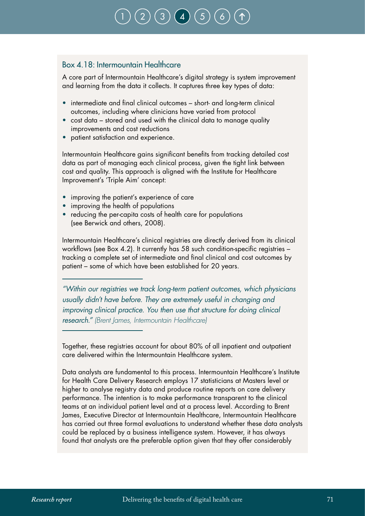#### Box 4.18: Intermountain Healthcare

A core part of Intermountain Healthcare's digital strategy is system improvement and learning from the data it collects. It captures three key types of data:

- intermediate and final clinical outcomes short- and long-term clinical outcomes, including where clinicians have varied from protocol
- cost data stored and used with the clinical data to manage quality improvements and cost reductions
- patient satisfaction and experience.

Intermountain Healthcare gains significant benefits from tracking detailed cost data as part of managing each clinical process, given the tight link between cost and quality. This approach is aligned with the Institute for Healthcare Improvement's 'Triple Aim' concept:

- improving the patient's experience of care
- improving the health of populations
- reducing the per-capita costs of health care for populations (see Berwick and others, 2008).

Intermountain Healthcare's clinical registries are directly derived from its clinical workflows (see Box 4.2). It currently has 58 such condition-specific registries – tracking a complete set of intermediate and final clinical and cost outcomes by patient – some of which have been established for 20 years.

*"Within our registries we track long-term patient outcomes, which physicians usually didn't have before. They are extremely useful in changing and improving clinical practice. You then use that structure for doing clinical research." (Brent James, Intermountain Healthcare)*

Together, these registries account for about 80% of all inpatient and outpatient care delivered within the Intermountain Healthcare system.

Data analysts are fundamental to this process. Intermountain Healthcare's Institute for Health Care Delivery Research employs 17 statisticians at Masters level or higher to analyse registry data and produce routine reports on care delivery performance. The intention is to make performance transparent to the clinical teams at an individual patient level and at a process level. According to Brent James, Executive Director at Intermountain Healthcare, Intermountain Healthcare has carried out three formal evaluations to understand whether these data analysts could be replaced by a business intelligence system. However, it has always found that analysts are the preferable option given that they offer considerably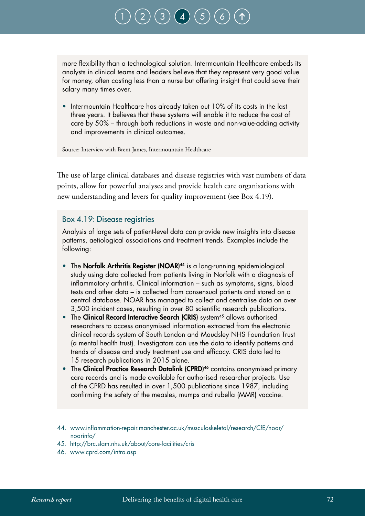more flexibility than a technological solution. Intermountain Healthcare embeds its analysts in clinical teams and leaders believe that they represent very good value for money, often costing less than a nurse but offering insight that could save their salary many times over.

• Intermountain Healthcare has already taken out 10% of its costs in the last three years. It believes that these systems will enable it to reduce the cost of care by 50% – through both reductions in waste and non-value-adding activity and improvements in clinical outcomes.

Source: Interview with Brent James, Intermountain Healthcare

The use of large clinical databases and disease registries with vast numbers of data points, allow for powerful analyses and provide health care organisations with new understanding and levers for quality improvement (see Box 4.19).

#### Box 4.19: Disease registries

Analysis of large sets of patient-level data can provide new insights into disease patterns, aetiological associations and treatment trends. Examples include the following:

- The Norfolk Arthritis Register (NOAR)<sup>44</sup> is a long-running epidemiological study using data collected from patients living in Norfolk with a diagnosis of inflammatory arthritis. Clinical information – such as symptoms, signs, blood tests and other data – is collected from consensual patients and stored on a central database. NOAR has managed to collect and centralise data on over 3,500 incident cases, resulting in over 80 scientific research publications.
- The Clinical Record Interactive Search (CRIS) system<sup>45</sup> allows authorised researchers to access anonymised information extracted from the electronic clinical records system of South London and Maudsley NHS Foundation Trust (a mental health trust). Investigators can use the data to identify patterns and trends of disease and study treatment use and efficacy. CRIS data led to 15 research publications in 2015 alone.
- The Clinical Practice Research Datalink (CPRD)<sup>46</sup> contains anonymised primary care records and is made available for authorised researcher projects. Use of the CPRD has resulted in over 1,500 publications since 1987, including confirming the safety of the measles, mumps and rubella (MMR) vaccine.
- 44. www.inflammation-repair.manchester.ac.uk/musculoskeletal/research/CfE/noar/ noarinfo/
- 45. http://brc.slam.nhs.uk/about/core-facilities/cris
- 46. www.cprd.com/intro.asp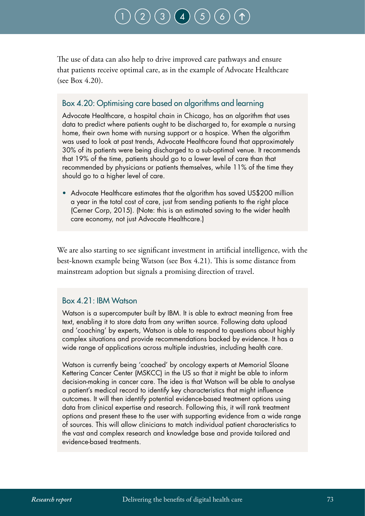# $\bigodot$   $\bigodot$   $\bigodot$

The use of data can also help to drive improved care pathways and ensure that patients receive optimal care, as in the example of Advocate Healthcare (see Box 4.20).

#### Box 4.20: Optimising care based on algorithms and learning

Advocate Healthcare, a hospital chain in Chicago, has an algorithm that uses data to predict where patients ought to be discharged to, for example a nursing home, their own home with nursing support or a hospice. When the algorithm was used to look at past trends, Advocate Healthcare found that approximately 30% of its patients were being discharged to a sub-optimal venue. It recommends that 19% of the time, patients should go to a lower level of care than that recommended by physicians or patients themselves, while 11% of the time they should go to a higher level of care.

• Advocate Healthcare estimates that the algorithm has saved US\$200 million a year in the total cost of care, just from sending patients to the right place (Cerner Corp, 2015). (Note: this is an estimated saving to the wider health care economy, not just Advocate Healthcare.)

We are also starting to see significant investment in artificial intelligence, with the best-known example being Watson (see Box 4.21). This is some distance from mainstream adoption but signals a promising direction of travel.

#### Box 4.21: IBM Watson

Watson is a supercomputer built by IBM. It is able to extract meaning from free text, enabling it to store data from any written source. Following data upload and 'coaching' by experts, Watson is able to respond to questions about highly complex situations and provide recommendations backed by evidence. It has a wide range of applications across multiple industries, including health care.

Watson is currently being 'coached' by oncology experts at Memorial Sloane Kettering Cancer Center (MSKCC) in the US so that it might be able to inform decision-making in cancer care. The idea is that Watson will be able to analyse a patient's medical record to identify key characteristics that might influence outcomes. It will then identify potential evidence-based treatment options using data from clinical expertise and research. Following this, it will rank treatment options and present these to the user with supporting evidence from a wide range of sources. This will allow clinicians to match individual patient characteristics to the vast and complex research and knowledge base and provide tailored and evidence-based treatments.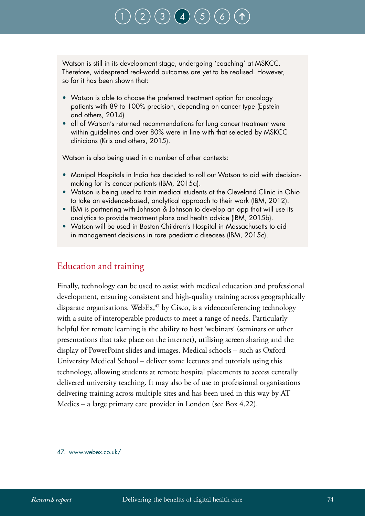Watson is still in its development stage, undergoing 'coaching' at MSKCC. Therefore, widespread real-world outcomes are yet to be realised. However, so far it has been shown that:

- Watson is able to choose the preferred treatment option for oncology patients with 89 to 100% precision, depending on cancer type (Epstein and others, 2014)
- all of Watson's returned recommendations for lung cancer treatment were within guidelines and over 80% were in line with that selected by MSKCC clinicians (Kris and others, 2015).

Watson is also being used in a number of other contexts:

- Manipal Hospitals in India has decided to roll out Watson to aid with decisionmaking for its cancer patients (IBM, 2015a).
- Watson is being used to train medical students at the Cleveland Clinic in Ohio to take an evidence-based, analytical approach to their work (IBM, 2012).
- IBM is partnering with Johnson & Johnson to develop an app that will use its analytics to provide treatment plans and health advice (IBM, 2015b).
- Watson will be used in Boston Children's Hospital in Massachusetts to aid in management decisions in rare paediatric diseases (IBM, 2015c).

#### Education and training

Finally, technology can be used to assist with medical education and professional development, ensuring consistent and high-quality training across geographically disparate organisations. WebEx,<sup>47</sup> by Cisco, is a videoconferencing technology with a suite of interoperable products to meet a range of needs. Particularly helpful for remote learning is the ability to host 'webinars' (seminars or other presentations that take place on the internet), utilising screen sharing and the display of PowerPoint slides and images. Medical schools – such as Oxford University Medical School – deliver some lectures and tutorials using this technology, allowing students at remote hospital placements to access centrally delivered university teaching. It may also be of use to professional organisations delivering training across multiple sites and has been used in this way by AT Medics – a large primary care provider in London (see Box 4.22).

47. www.webex.co.uk/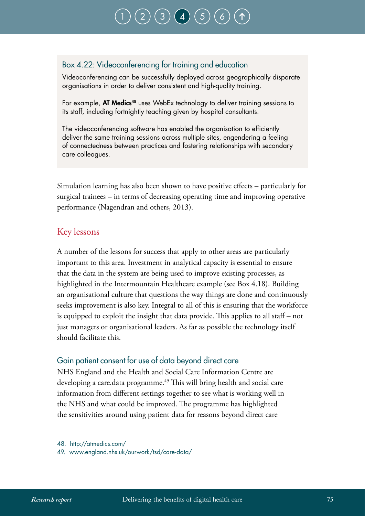### Box 4.22: Videoconferencing for training and education

Videoconferencing can be successfully deployed across geographically disparate organisations in order to deliver consistent and high-quality training.

For example, AT Medics<sup>48</sup> uses WebEx technology to deliver training sessions to its staff, including fortnightly teaching given by hospital consultants.

The videoconferencing software has enabled the organisation to efficiently deliver the same training sessions across multiple sites, engendering a feeling of connectedness between practices and fostering relationships with secondary care colleagues.

Simulation learning has also been shown to have positive effects – particularly for surgical trainees – in terms of decreasing operating time and improving operative performance (Nagendran and others, 2013).

### Key lessons

A number of the lessons for success that apply to other areas are particularly important to this area. Investment in analytical capacity is essential to ensure that the data in the system are being used to improve existing processes, as highlighted in the Intermountain Healthcare example (see Box 4.18). Building an organisational culture that questions the way things are done and continuously seeks improvement is also key. Integral to all of this is ensuring that the workforce is equipped to exploit the insight that data provide. This applies to all staff – not just managers or organisational leaders. As far as possible the technology itself should facilitate this.

#### Gain patient consent for use of data beyond direct care

NHS England and the Health and Social Care Information Centre are developing a care.data programme.<sup>49</sup> This will bring health and social care information from different settings together to see what is working well in the NHS and what could be improved. The programme has highlighted the sensitivities around using patient data for reasons beyond direct care

48. http://atmedics.com/

49. www.england.nhs.uk/ourwork/tsd/care-data/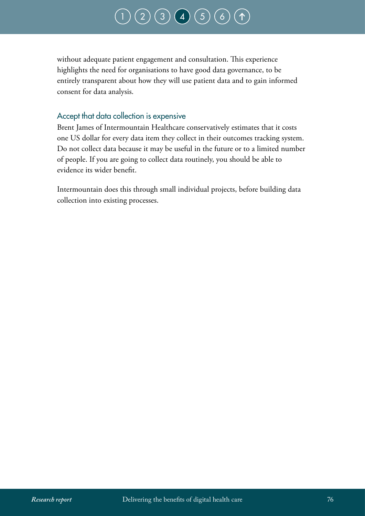### $(3) (4) (5) (6)$  $(3) (4) (5) (6)$  $(3) (4) (5) (6)$  $(3) (4) (5) (6)$  $(3) (4) (5) (6)$  $(3) (4) (5) (6)$  $(3) (4) (5) (6)$  $(3) (4) (5) (6)$  $(3) (4) (5) (6)$

without adequate patient engagement and consultation. This experience highlights the need for organisations to have good data governance, to be entirely transparent about how they will use patient data and to gain informed consent for data analysis.

#### Accept that data collection is expensive

Brent James of Intermountain Healthcare conservatively estimates that it costs one US dollar for every data item they collect in their outcomes tracking system. Do not collect data because it may be useful in the future or to a limited number of people. If you are going to collect data routinely, you should be able to evidence its wider benefit.

Intermountain does this through small individual projects, before building data collection into existing processes.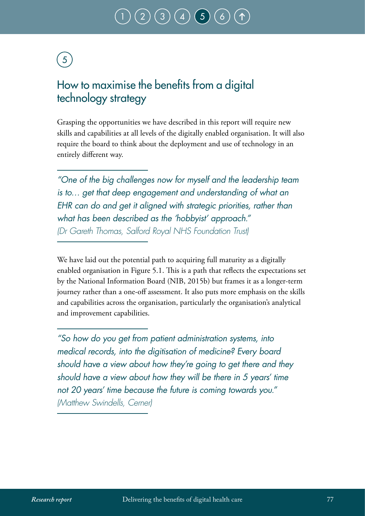### <span id="page-78-0"></span>How to maximise the benefits from a digital technology strategy

Grasping the opportunities we have described in this report will require new skills and capabilities at all levels of the digitally enabled organisation. It will also require the board to think about the deployment and use of technology in an entirely different way.

*"One of the big challenges now for myself and the leadership team is to… get that deep engagement and understanding of what an EHR can do and get it aligned with strategic priorities, rather than what has been described as the 'hobbyist' approach." (Dr Gareth Thomas, Salford Royal NHS Foundation Trust)*

We have laid out the potential path to acquiring full maturity as a digitally enabled organisation in Figure 5.1. This is a path that reflects the expectations set by the National Information Board (NIB, 2015b) but frames it as a longer-term journey rather than a one-off assessment. It also puts more emphasis on the skills and capabilities across the organisation, particularly the organisation's analytical and improvement capabilities.

*"So how do you get from patient administration systems, into medical records, into the digitisation of medicine? Every board should have a view about how they're going to get there and they should have a view about how they will be there in 5 years' time not 20 years' time because the future is coming towards you." (Matthew Swindells, Cerner)*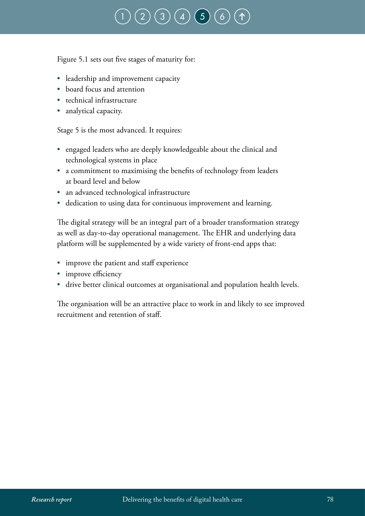# $\binom{4}{5}$  $\binom{4}{5}$  $\binom{4}{5}$  $\binom{4}{5}$  $\binom{4}{5}$

Figure 5.1 sets out five stages of maturity for:

- leadership and improvement capacity
- board focus and attention
- technical infrastructure
- analytical capacity.

Stage 5 is the most advanced. It requires:

- engaged leaders who are deeply knowledgeable about the clinical and technological systems in place
- a commitment to maximising the benefits of technology from leaders at board level and below
- an advanced technological infrastructure
- dedication to using data for continuous improvement and learning.

The digital strategy will be an integral part of a broader transformation strategy as well as day-to-day operational management. The EHR and underlying data platform will be supplemented by a wide variety of front-end apps that:

- improve the patient and staff experience
- improve efficiency
- drive better clinical outcomes at organisational and population health levels.

The organisation will be an attractive place to work in and likely to see improved recruitment and retention of staff.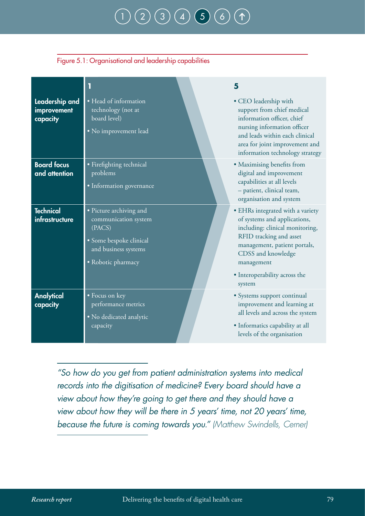#### Figure 5.1: Organisational and leadership capabilities

| Leadership and<br>improvement<br>capacity | • Head of information<br>technology (not at<br>board level)<br>• No improvement lead                                               | 5<br>• CEO leadership with<br>support from chief medical<br>information officer, chief<br>nursing information officer<br>and leads within each clinical<br>area for joint improvement and<br>information technology strategy                  |
|-------------------------------------------|------------------------------------------------------------------------------------------------------------------------------------|-----------------------------------------------------------------------------------------------------------------------------------------------------------------------------------------------------------------------------------------------|
| <b>Board focus</b><br>and attention       | · Firefighting technical<br>problems<br>• Information governance                                                                   | • Maximising benefits from<br>digital and improvement<br>capabilities at all levels<br>- patient, clinical team,<br>organisation and system                                                                                                   |
| <b>Technical</b><br>infrastructure        | • Picture archiving and<br>communication system<br>(PACS)<br>· Some bespoke clinical<br>and business systems<br>• Robotic pharmacy | • EHRs integrated with a variety<br>of systems and applications,<br>including: clinical monitoring,<br>RFID tracking and asset<br>management, patient portals,<br>CDSS and knowledge<br>management<br>• Interoperability across the<br>system |
| Analytical<br>capacity                    | • Focus on key<br>performance metrics<br>· No dedicated analytic<br>capacity                                                       | · Systems support continual<br>improvement and learning at<br>all levels and across the system<br>• Informatics capability at all<br>levels of the organisation                                                                               |

*"So how do you get from patient administration systems into medical records into the digitisation of medicine? Every board should have a view about how they're going to get there and they should have a view about how they will be there in 5 years' time, not 20 years' time, because the future is coming towards you." (Matthew Swindells, Cerner)*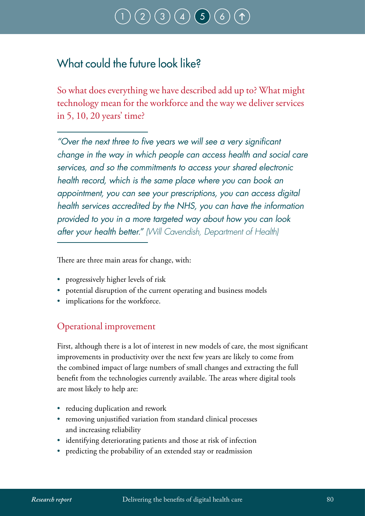# $\big(\, 3 \, \big) \big(\, 4 \, \big) \,\big(\, 5 \,\big]$  $\big(\, 3 \, \big) \big(\, 4 \, \big) \,\big(\, 5 \,\big]$  $\big(\, 3 \, \big) \big(\, 4 \, \big) \,\big(\, 5 \,\big]$  $\big(\, 3 \, \big) \big(\, 4 \, \big) \,\big(\, 5 \,\big]$  $\big(\, 3 \, \big) \big(\, 4 \, \big) \,\big(\, 5 \,\big]$  $\big(\, 3 \, \big) \big(\, 4 \, \big) \,\big(\, 5 \,\big]$  $\big(\, 3 \, \big) \big(\, 4 \, \big) \,\big(\, 5 \,\big]$

### What could the future look like?

So what does everything we have described add up to? What might technology mean for the workforce and the way we deliver services in 5, 10, 20 years' time?

*"Over the next three to five years we will see a very significant change in the way in which people can access health and social care services, and so the commitments to access your shared electronic health record, which is the same place where you can book an appointment, you can see your prescriptions, you can access digital health services accredited by the NHS, you can have the information provided to you in a more targeted way about how you can look after your health better." (Will Cavendish, Department of Health)*

There are three main areas for change, with:

- progressively higher levels of risk
- potential disruption of the current operating and business models
- implications for the workforce.

### Operational improvement

First, although there is a lot of interest in new models of care, the most significant improvements in productivity over the next few years are likely to come from the combined impact of large numbers of small changes and extracting the full benefit from the technologies currently available. The areas where digital tools are most likely to help are:

- reducing duplication and rework
- removing unjustified variation from standard clinical processes and increasing reliability
- identifying deteriorating patients and those at risk of infection
- predicting the probability of an extended stay or readmission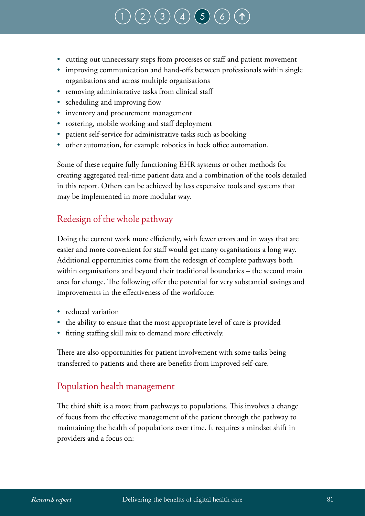### $(3) (4) (5)$  $(3) (4) (5)$  $(3) (4) (5)$  $(3) (4) (5)$  $(3) (4) (5)$  $(3) (4) (5)$  $(3) (4) (5)$

- cutting out unnecessary steps from processes or staff and patient movement
- improving communication and hand-offs between professionals within single organisations and across multiple organisations
- removing administrative tasks from clinical staff
- scheduling and improving flow
- inventory and procurement management
- rostering, mobile working and staff deployment
- patient self-service for administrative tasks such as booking
- other automation, for example robotics in back office automation.

Some of these require fully functioning EHR systems or other methods for creating aggregated real-time patient data and a combination of the tools detailed in this report. Others can be achieved by less expensive tools and systems that may be implemented in more modular way.

### Redesign of the whole pathway

Doing the current work more efficiently, with fewer errors and in ways that are easier and more convenient for staff would get many organisations a long way. Additional opportunities come from the redesign of complete pathways both within organisations and beyond their traditional boundaries – the second main area for change. The following offer the potential for very substantial savings and improvements in the effectiveness of the workforce:

- reduced variation
- the ability to ensure that the most appropriate level of care is provided
- fitting staffing skill mix to demand more effectively.

There are also opportunities for patient involvement with some tasks being transferred to patients and there are benefits from improved self-care.

#### Population health management

The third shift is a move from pathways to populations. This involves a change of focus from the effective management of the patient through the pathway to maintaining the health of populations over time. It requires a mindset shift in providers and a focus on: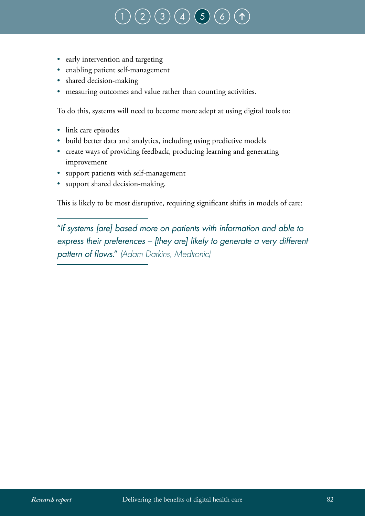### $\big(3\big)\big(\,4\,\big)\big(\,5\big)$  $\big(3\big)\big(\,4\,\big)\big(\,5\big)$  $\big(3\big)\big(\,4\,\big)\big(\,5\big)$  $\big(3\big)\big(\,4\,\big)\big(\,5\big)$  $\big(3\big)\big(\,4\,\big)\big(\,5\big)$  $\big(3\big)\big(\,4\,\big)\big(\,5\big)$  $\big(3\big)\big(\,4\,\big)\big(\,5\big)$

- early intervention and targeting
- enabling patient self-management
- shared decision-making
- measuring outcomes and value rather than counting activities.

To do this, systems will need to become more adept at using digital tools to:

- link care episodes
- build better data and analytics, including using predictive models
- create ways of providing feedback, producing learning and generating improvement
- support patients with self-management
- support shared decision-making.

This is likely to be most disruptive, requiring significant shifts in models of care:

"*If systems [are] based more on patients with information and able to express their preferences – [they are] likely to generate a very different pattern of flows.*" *(Adam Darkins, Medtronic)*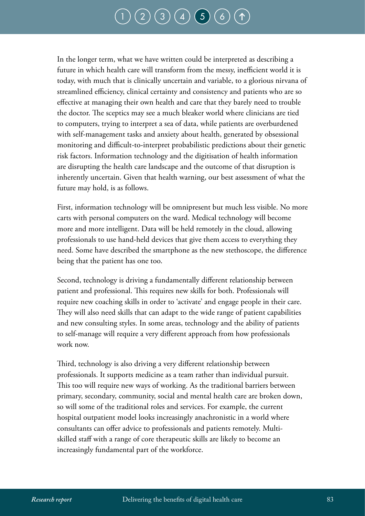### $\binom{2}{3}\binom{3}{4}\binom{4}{5}$  $\binom{2}{3}\binom{3}{4}\binom{4}{5}$  $\binom{2}{3}\binom{3}{4}\binom{4}{5}$  $\binom{2}{3}\binom{3}{4}\binom{4}{5}$  $\binom{2}{3}\binom{3}{4}\binom{4}{5}$  $\binom{2}{3}\binom{3}{4}\binom{4}{5}$  $\binom{2}{3}\binom{3}{4}\binom{4}{5}$  $\binom{2}{3}\binom{3}{4}\binom{4}{5}$  $\binom{2}{3}\binom{3}{4}\binom{4}{5}$

In the longer term, what we have written could be interpreted as describing a future in which health care will transform from the messy, inefficient world it is today, with much that is clinically uncertain and variable, to a glorious nirvana of streamlined efficiency, clinical certainty and consistency and patients who are so effective at managing their own health and care that they barely need to trouble the doctor. The sceptics may see a much bleaker world where clinicians are tied to computers, trying to interpret a sea of data, while patients are overburdened with self-management tasks and anxiety about health, generated by obsessional monitoring and difficult-to-interpret probabilistic predictions about their genetic risk factors. Information technology and the digitisation of health information are disrupting the health care landscape and the outcome of that disruption is inherently uncertain. Given that health warning, our best assessment of what the future may hold, is as follows.

First, information technology will be omnipresent but much less visible. No more carts with personal computers on the ward. Medical technology will become more and more intelligent. Data will be held remotely in the cloud, allowing professionals to use hand-held devices that give them access to everything they need. Some have described the smartphone as the new stethoscope, the difference being that the patient has one too.

Second, technology is driving a fundamentally different relationship between patient and professional. This requires new skills for both. Professionals will require new coaching skills in order to 'activate' and engage people in their care. They will also need skills that can adapt to the wide range of patient capabilities and new consulting styles. In some areas, technology and the ability of patients to self-manage will require a very different approach from how professionals work now.

Third, technology is also driving a very different relationship between professionals. It supports medicine as a team rather than individual pursuit. This too will require new ways of working. As the traditional barriers between primary, secondary, community, social and mental health care are broken down, so will some of the traditional roles and services. For example, the current hospital outpatient model looks increasingly anachronistic in a world where consultants can offer advice to professionals and patients remotely. Multiskilled staff with a range of core therapeutic skills are likely to become an increasingly fundamental part of the workforce.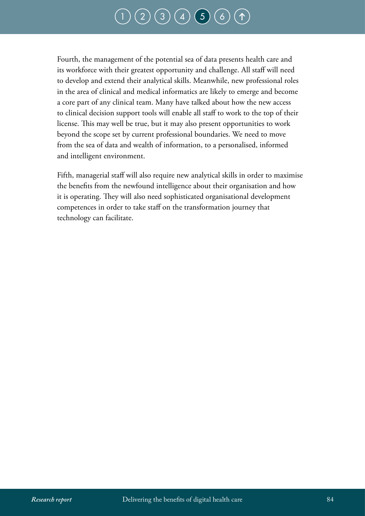### $(3) (4) (5) (6)$  $(3) (4) (5) (6)$  $(3) (4) (5) (6)$  $(3) (4) (5) (6)$  $(3) (4) (5) (6)$  $(3) (4) (5) (6)$  $(3) (4) (5) (6)$  $(3) (4) (5) (6)$  $(3) (4) (5) (6)$

Fourth, the management of the potential sea of data presents health care and its workforce with their greatest opportunity and challenge. All staff will need to develop and extend their analytical skills. Meanwhile, new professional roles in the area of clinical and medical informatics are likely to emerge and become a core part of any clinical team. Many have talked about how the new access to clinical decision support tools will enable all staff to work to the top of their license. This may well be true, but it may also present opportunities to work beyond the scope set by current professional boundaries. We need to move from the sea of data and wealth of information, to a personalised, informed and intelligent environment.

Fifth, managerial staff will also require new analytical skills in order to maximise the benefits from the newfound intelligence about their organisation and how it is operating. They will also need sophisticated organisational development competences in order to take staff on the transformation journey that technology can facilitate.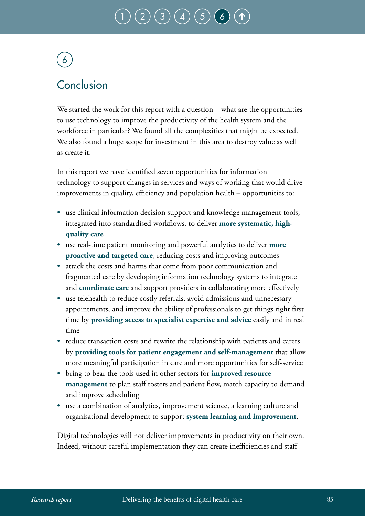# $\binom{3}{4}$  $\binom{3}{4}$  $\binom{3}{4}$  $\binom{3}{4}$  $\binom{3}{4}$

# <span id="page-86-0"></span>6

### Conclusion

We started the work for this report with a question – what are the opportunities to use technology to improve the productivity of the health system and the workforce in particular? We found all the complexities that might be expected. We also found a huge scope for investment in this area to destroy value as well as create it.

In this report we have identified seven opportunities for information technology to support changes in services and ways of working that would drive improvements in quality, efficiency and population health – opportunities to:

- use clinical information decision support and knowledge management tools, integrated into standardised workflows, to deliver **more systematic, highquality care**
- use real-time patient monitoring and powerful analytics to deliver **more proactive and targeted care**, reducing costs and improving outcomes
- attack the costs and harms that come from poor communication and fragmented care by developing information technology systems to integrate and **coordinate care** and support providers in collaborating more effectively
- use telehealth to reduce costly referrals, avoid admissions and unnecessary appointments, and improve the ability of professionals to get things right first time by **providing access to specialist expertise and advice** easily and in real time
- reduce transaction costs and rewrite the relationship with patients and carers by **providing tools for patient engagement and self-management** that allow more meaningful participation in care and more opportunities for self-service
- bring to bear the tools used in other sectors for **improved resource management** to plan staff rosters and patient flow, match capacity to demand and improve scheduling
- use a combination of analytics, improvement science, a learning culture and organisational development to support **system learning and improvement**.

Digital technologies will not deliver improvements in productivity on their own. Indeed, without careful implementation they can create inefficiencies and staff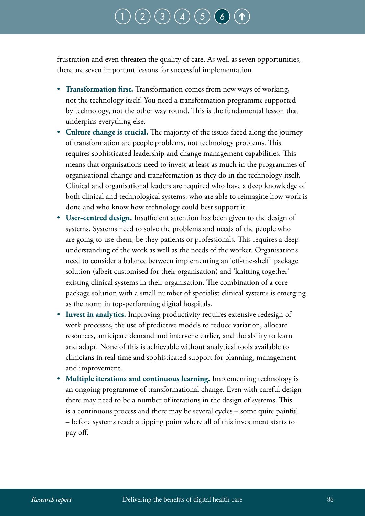### $\big(\, 3 \, \big) \, \big(\, 4 \, \big) \, \big(\, 5 \,\big]$  $\big(\, 3 \, \big) \, \big(\, 4 \, \big) \, \big(\, 5 \,\big]$  $\big(\, 3 \, \big) \, \big(\, 4 \, \big) \, \big(\, 5 \,\big]$  $\big(\, 3 \, \big) \, \big(\, 4 \, \big) \, \big(\, 5 \,\big]$  $\big(\, 3 \, \big) \, \big(\, 4 \, \big) \, \big(\, 5 \,\big]$  $\big(\, 3 \, \big) \, \big(\, 4 \, \big) \, \big(\, 5 \,\big]$  $\big(\, 3 \, \big) \, \big(\, 4 \, \big) \, \big(\, 5 \,\big]$

frustration and even threaten the quality of care. As well as seven opportunities, there are seven important lessons for successful implementation.

- **Transformation first.** Transformation comes from new ways of working, not the technology itself. You need a transformation programme supported by technology, not the other way round. This is the fundamental lesson that underpins everything else.
- **Culture change is crucial.** The majority of the issues faced along the journey of transformation are people problems, not technology problems. This requires sophisticated leadership and change management capabilities. This means that organisations need to invest at least as much in the programmes of organisational change and transformation as they do in the technology itself. Clinical and organisational leaders are required who have a deep knowledge of both clinical and technological systems, who are able to reimagine how work is done and who know how technology could best support it.
- **User-centred design.** Insufficient attention has been given to the design of systems. Systems need to solve the problems and needs of the people who are going to use them, be they patients or professionals. This requires a deep understanding of the work as well as the needs of the worker. Organisations need to consider a balance between implementing an 'off-the-shelf' package solution (albeit customised for their organisation) and 'knitting together' existing clinical systems in their organisation. The combination of a core package solution with a small number of specialist clinical systems is emerging as the norm in top-performing digital hospitals.
- **Invest in analytics.** Improving productivity requires extensive redesign of work processes, the use of predictive models to reduce variation, allocate resources, anticipate demand and intervene earlier, and the ability to learn and adapt. None of this is achievable without analytical tools available to clinicians in real time and sophisticated support for planning, management and improvement.
- **Multiple iterations and continuous learning.** Implementing technology is an ongoing programme of transformational change. Even with careful design there may need to be a number of iterations in the design of systems. This is a continuous process and there may be several cycles – some quite painful – before systems reach a tipping point where all of this investment starts to pay off.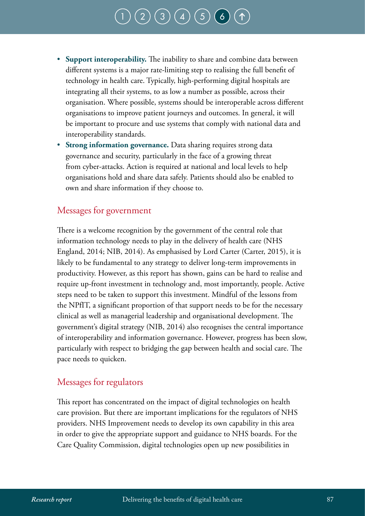# $\big(\, 3 \, \big) \, \big(\, 4 \, \big) \, \big(\, 5 \,\big]$  $\big(\, 3 \, \big) \, \big(\, 4 \, \big) \, \big(\, 5 \,\big]$  $\big(\, 3 \, \big) \, \big(\, 4 \, \big) \, \big(\, 5 \,\big]$  $\big(\, 3 \, \big) \, \big(\, 4 \, \big) \, \big(\, 5 \,\big]$  $\big(\, 3 \, \big) \, \big(\, 4 \, \big) \, \big(\, 5 \,\big]$  $\big(\, 3 \, \big) \, \big(\, 4 \, \big) \, \big(\, 5 \,\big]$  $\big(\, 3 \, \big) \, \big(\, 4 \, \big) \, \big(\, 5 \,\big]$

- **Support interoperability.** The inability to share and combine data between different systems is a major rate-limiting step to realising the full benefit of technology in health care. Typically, high-performing digital hospitals are integrating all their systems, to as low a number as possible, across their organisation. Where possible, systems should be interoperable across different organisations to improve patient journeys and outcomes. In general, it will be important to procure and use systems that comply with national data and interoperability standards.
- **Strong information governance.** Data sharing requires strong data governance and security, particularly in the face of a growing threat from cyber-attacks. Action is required at national and local levels to help organisations hold and share data safely. Patients should also be enabled to own and share information if they choose to.

### Messages for government

There is a welcome recognition by the government of the central role that information technology needs to play in the delivery of health care (NHS England, 2014; NIB, 2014). As emphasised by Lord Carter (Carter, 2015), it is likely to be fundamental to any strategy to deliver long-term improvements in productivity. However, as this report has shown, gains can be hard to realise and require up-front investment in technology and, most importantly, people. Active steps need to be taken to support this investment. Mindful of the lessons from the NPfIT, a significant proportion of that support needs to be for the necessary clinical as well as managerial leadership and organisational development. The government's digital strategy (NIB, 2014) also recognises the central importance of interoperability and information governance. However, progress has been slow, particularly with respect to bridging the gap between health and social care. The pace needs to quicken.

#### Messages for regulators

This report has concentrated on the impact of digital technologies on health care provision. But there are important implications for the regulators of NHS providers. NHS Improvement needs to develop its own capability in this area in order to give the appropriate support and guidance to NHS boards. For the Care Quality Commission, digital technologies open up new possibilities in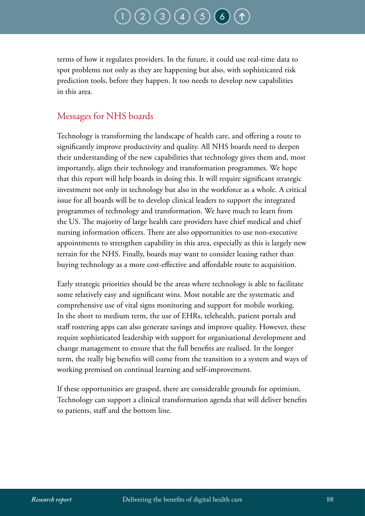terms of how it regulates providers. In the future, it could use real-time data to spot problems not only as they are happening but also, with sophisticated risk prediction tools, before they happen. It too needs to develop new capabilities in this area.

### Messages for NHS boards

Technology is transforming the landscape of health care, and offering a route to significantly improve productivity and quality. All NHS boards need to deepen their understanding of the new capabilities that technology gives them and, most importantly, align their technology and transformation programmes. We hope that this report will help boards in doing this. It will require significant strategic investment not only in technology but also in the workforce as a whole. A critical issue for all boards will be to develop clinical leaders to support the integrated programmes of technology and transformation. We have much to learn from the US. The majority of large health care providers have chief medical and chief nursing information officers. There are also opportunities to use non-executive appointments to strengthen capability in this area, especially as this is largely new terrain for the NHS. Finally, boards may want to consider leasing rather than buying technology as a more cost-effective and affordable route to acquisition.

Early strategic priorities should be the areas where technology is able to facilitate some relatively easy and significant wins. Most notable are the systematic and comprehensive use of vital signs monitoring and support for mobile working. In the short to medium term, the use of EHRs, telehealth, patient portals and staff rostering apps can also generate savings and improve quality. However, these require sophisticated leadership with support for organisational development and change management to ensure that the full benefits are realised. In the longer term, the really big benefits will come from the transition to a system and ways of working premised on continual learning and self-improvement.

If these opportunities are grasped, there are considerable grounds for optimism. Technology can support a clinical transformation agenda that will deliver benefits to patients, staff and the bottom line.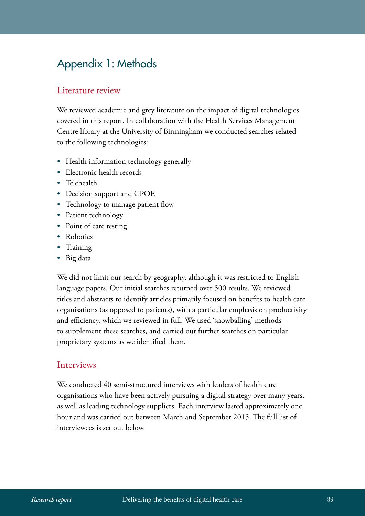### Appendix 1: Methods

### Literature review

We reviewed academic and grey literature on the impact of digital technologies covered in this report. In collaboration with the Health Services Management Centre library at the University of Birmingham we conducted searches related to the following technologies:

- Health information technology generally
- Electronic health records
- Telehealth
- Decision support and CPOE
- Technology to manage patient flow
- Patient technology
- Point of care testing
- Robotics
- Training
- Big data

We did not limit our search by geography, although it was restricted to English language papers. Our initial searches returned over 500 results. We reviewed titles and abstracts to identify articles primarily focused on benefits to health care organisations (as opposed to patients), with a particular emphasis on productivity and efficiency, which we reviewed in full. We used 'snowballing' methods to supplement these searches, and carried out further searches on particular proprietary systems as we identified them.

#### Interviews

We conducted 40 semi-structured interviews with leaders of health care organisations who have been actively pursuing a digital strategy over many years, as well as leading technology suppliers. Each interview lasted approximately one hour and was carried out between March and September 2015. The full list of interviewees is set out below.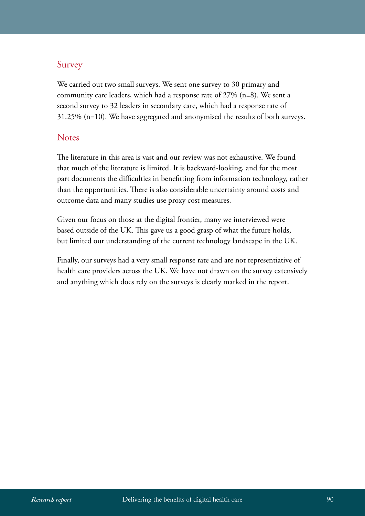### Survey

We carried out two small surveys. We sent one survey to 30 primary and community care leaders, which had a response rate of 27% (n=8). We sent a second survey to 32 leaders in secondary care, which had a response rate of 31.25% (n=10). We have aggregated and anonymised the results of both surveys.

#### **Notes**

The literature in this area is vast and our review was not exhaustive. We found that much of the literature is limited. It is backward-looking, and for the most part documents the difficulties in benefitting from information technology, rather than the opportunities. There is also considerable uncertainty around costs and outcome data and many studies use proxy cost measures.

Given our focus on those at the digital frontier, many we interviewed were based outside of the UK. This gave us a good grasp of what the future holds, but limited our understanding of the current technology landscape in the UK.

Finally, our surveys had a very small response rate and are not representiative of health care providers across the UK. We have not drawn on the survey extensively and anything which does rely on the surveys is clearly marked in the report.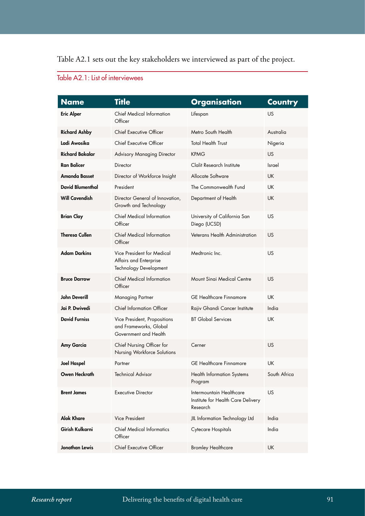Table A2.1 sets out the key stakeholders we interviewed as part of the project.

| <b>Name</b>             | <b>Title</b>                                                                    | <b>Organisation</b>                                                        | <b>Country</b> |
|-------------------------|---------------------------------------------------------------------------------|----------------------------------------------------------------------------|----------------|
| <b>Eric Alper</b>       | Chief Medical Information<br>Officer                                            | Lifespan                                                                   | US             |
| <b>Richard Ashby</b>    | Chief Executive Officer                                                         | Metro South Health                                                         | Australia      |
| Ladi Awosika            | <b>Chief Executive Officer</b>                                                  | <b>Total Health Trust</b>                                                  | Nigeria        |
| <b>Richard Bakalar</b>  | <b>Advisory Managing Director</b>                                               | <b>KPMG</b>                                                                | <b>US</b>      |
| <b>Ran Balicer</b>      | Director                                                                        | Clalit Research Institute                                                  | Israel         |
| <b>Amanda Basset</b>    | Director of Workforce Insight                                                   | Allocate Software                                                          | <b>UK</b>      |
| <b>David Blumenthal</b> | President                                                                       | The Commonwealth Fund                                                      | <b>UK</b>      |
| <b>Will Cavendish</b>   | Director General of Innovation,<br>Growth and Technology                        | Department of Health                                                       | <b>UK</b>      |
| <b>Brian Clay</b>       | <b>Chief Medical Information</b><br>Officer                                     | University of California San<br>Diego (UCSD)                               | US             |
| <b>Theresa Cullen</b>   | <b>Chief Medical Information</b><br>Officer                                     | Veterans Health Administration                                             | US             |
| <b>Adam Darkins</b>     | Vice President for Medical<br>Affairs and Enterprise<br>Technology Development  | Medtronic Inc.                                                             | US             |
| <b>Bruce Darrow</b>     | <b>Chief Medical Information</b><br>Officer                                     | Mount Singi Medical Centre                                                 | US             |
| John Deverill           | Managing Partner                                                                | <b>GE</b> Healthcare Finnamore                                             | UK             |
| Jai P. Dwivedi          | <b>Chief Information Officer</b>                                                | Rajiv Ghandi Cancer Institute                                              | India          |
| <b>David Furniss</b>    | Vice President, Propositions<br>and Frameworks, Global<br>Government and Health | <b>BT Global Services</b>                                                  | UK             |
| Amy Garcia              | Chief Nursing Officer for<br>Nursing Workforce Solutions                        | Cerner                                                                     | <b>US</b>      |
| <b>Joel Haspel</b>      | Partner                                                                         | <b>GE</b> Healthcare Finnamore                                             | <b>UK</b>      |
| Owen Heckrath           | <b>Technical Advisor</b>                                                        | <b>Health Information Systems</b><br>Program                               | South Africa   |
| <b>Brent James</b>      | <b>Executive Director</b>                                                       | Intermountain Healthcare<br>Institute for Health Care Delivery<br>Research | US             |
| <b>Alok Khare</b>       | Vice President                                                                  | JIL Information Technology Ltd                                             | India          |
| Girish Kulkarni         | <b>Chief Medical Informatics</b><br>Officer                                     | Cytecare Hospitals                                                         | India          |
| Jonathan Lewis          | Chief Executive Officer                                                         | <b>Bromley Healthcare</b>                                                  | <b>UK</b>      |

### Table A2.1: List of interviewees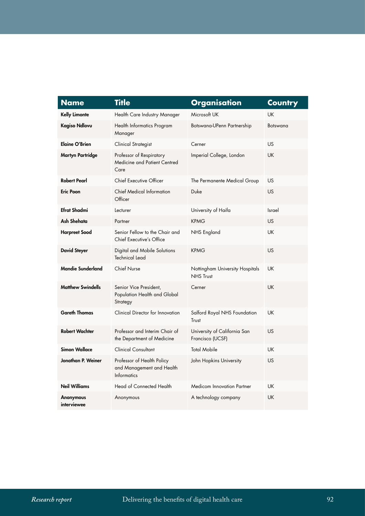| <b>Name</b>              | <b>Title</b>                                                                  | <b>Organisation</b>                                 | <b>Country</b> |
|--------------------------|-------------------------------------------------------------------------------|-----------------------------------------------------|----------------|
| <b>Kelly Limonte</b>     | Health Care Industry Manager                                                  | Microsoft UK                                        | UK             |
| <b>Kagiso Ndlovu</b>     | Health Informatics Program<br>Manager                                         | Botswana-UPenn Partnership                          | Botswana       |
| <b>Elaine O'Brien</b>    | Clinical Strategist                                                           | Cerner                                              | US             |
| <b>Martyn Partridge</b>  | Professor of Respiratory<br>Medicine and Patient Centred<br>Care              | Imperial College, London                            | <b>UK</b>      |
| <b>Robert Pearl</b>      | Chief Executive Officer                                                       | The Permanente Medical Group                        | <b>US</b>      |
| <b>Eric Poon</b>         | <b>Chief Medical Information</b><br>Officer                                   | Duke                                                | <b>US</b>      |
| <b>Efrat Shadmi</b>      | Lecturer                                                                      | University of Haifa                                 | Israel         |
| Ash Shehata              | Partner                                                                       | <b>KPMG</b>                                         | <b>US</b>      |
| <b>Harpreet Sood</b>     | Senior Fellow to the Chair and<br><b>Chief Executive's Office</b>             | NHS England                                         | <b>UK</b>      |
| <b>David Steyer</b>      | Digital and Mobile Solutions<br><b>Technical Lead</b>                         | <b>KPMG</b>                                         | US             |
| <b>Mandie Sunderland</b> | <b>Chief Nurse</b>                                                            | Nottingham University Hospitals<br><b>NHS Trust</b> | <b>UK</b>      |
| <b>Matthew Swindells</b> | Senior Vice President,<br>Population Health and Global<br>Strategy            | Cerner                                              | UK             |
| <b>Gareth Thomas</b>     | Clinical Director for Innovation                                              | Salford Royal NHS Foundation<br>Trust               | UK             |
| <b>Robert Wachter</b>    | Professor and Interim Chair of<br>the Department of Medicine                  | University of California San<br>Francisco (UCSF)    | <b>US</b>      |
| <b>Simon Wallace</b>     | <b>Clinical Consultant</b>                                                    | <b>Total Mobile</b>                                 | UK             |
| Jonathan P. Weiner       | Professor of Health Policy<br>and Management and Health<br><b>Informatics</b> | John Hopkins University                             | US             |
| <b>Neil Williams</b>     | <b>Head of Connected Health</b>                                               | <b>Medicom Innovation Partner</b>                   | <b>UK</b>      |
| Anonymous<br>interviewee | Anonymous                                                                     | A technology company                                | <b>UK</b>      |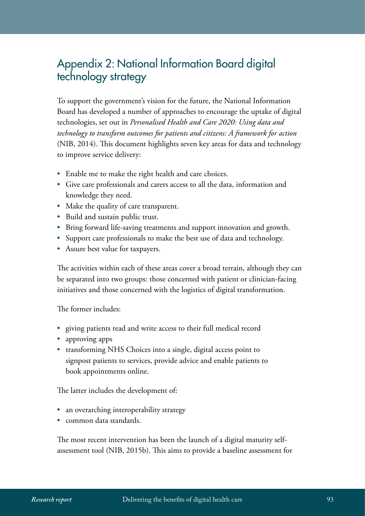### Appendix 2: National Information Board digital technology strategy

To support the government's vision for the future, the National Information Board has developed a number of approaches to encourage the uptake of digital technologies, set out in *Personalised Health and Care 2020: Using data and technology to transform outcomes for patients and citizens: A framework for action*  (NIB, 2014). This document highlights seven key areas for data and technology to improve service delivery:

- Enable me to make the right health and care choices.
- Give care professionals and carers access to all the data, information and knowledge they need.
- Make the quality of care transparent.
- Build and sustain public trust.
- Bring forward life-saving treatments and support innovation and growth.
- Support care professionals to make the best use of data and technology.
- Assure best value for taxpayers.

The activities within each of these areas cover a broad terrain, although they can be separated into two groups: those concerned with patient or clinician-facing initiatives and those concerned with the logistics of digital transformation.

The former includes:

- giving patients read and write access to their full medical record
- approving apps
- transforming NHS Choices into a single, digital access point to signpost patients to services, provide advice and enable patients to book appointments online.

The latter includes the development of:

- an overarching interoperability strategy
- common data standards.

The most recent intervention has been the launch of a digital maturity selfassessment tool (NIB, 2015b). This aims to provide a baseline assessment for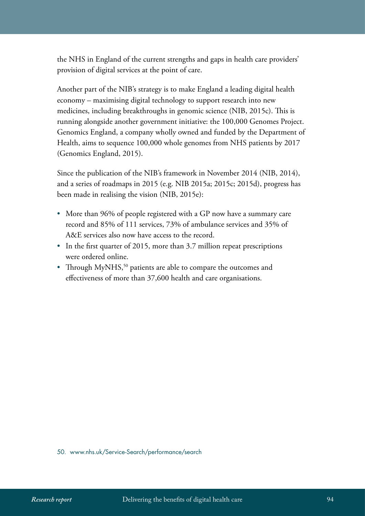the NHS in England of the current strengths and gaps in health care providers' provision of digital services at the point of care.

Another part of the NIB's strategy is to make England a leading digital health economy – maximising digital technology to support research into new medicines, including breakthroughs in genomic science (NIB, 2015c). This is running alongside another government initiative: the 100,000 Genomes Project. Genomics England, a company wholly owned and funded by the Department of Health, aims to sequence 100,000 whole genomes from NHS patients by 2017 (Genomics England, 2015).

Since the publication of the NIB's framework in November 2014 (NIB, 2014), and a series of roadmaps in 2015 (e.g. NIB 2015a; 2015c; 2015d), progress has been made in realising the vision (NIB, 2015e):

- More than 96% of people registered with a GP now have a summary care record and 85% of 111 services, 73% of ambulance services and 35% of A&E services also now have access to the record.
- In the first quarter of 2015, more than 3.7 million repeat prescriptions were ordered online.
- Through MyNHS,<sup>50</sup> patients are able to compare the outcomes and effectiveness of more than 37,600 health and care organisations.

50. www.nhs.uk/Service-Search/performance/search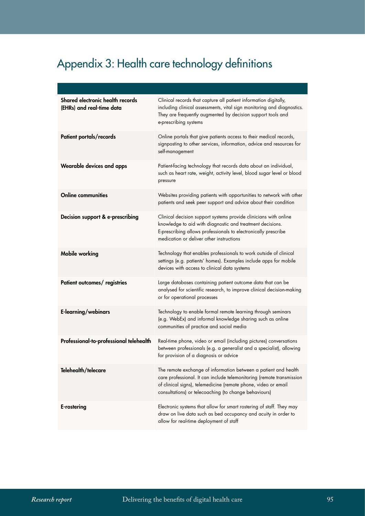### Appendix 3: Health care technology definitions

| Shared electronic health records<br>(EHRs) and real-time data | Clinical records that capture all patient information digitally,<br>including clinical assessments, vital sign monitoring and diagnostics.<br>They are frequently augmented by decision support tools and<br>e-prescribing systems                                  |
|---------------------------------------------------------------|---------------------------------------------------------------------------------------------------------------------------------------------------------------------------------------------------------------------------------------------------------------------|
| Patient portals/records                                       | Online portals that give patients access to their medical records,<br>signposting to other services, information, advice and resources for<br>self-management                                                                                                       |
| Wearable devices and apps                                     | Patient-facing technology that records data about an individual,<br>such as heart rate, weight, activity level, blood sugar level or blood<br>pressure                                                                                                              |
| <b>Online communities</b>                                     | Websites providing patients with opportunities to network with other<br>patients and seek peer support and advice about their condition                                                                                                                             |
| Decision support & e-prescribing                              | Clinical decision support systems provide clinicians with online<br>knowledge to aid with diagnostic and treatment decisions.<br>E-prescribing allows professionals to electronically prescribe<br>medication or deliver other instructions                         |
| <b>Mobile working</b>                                         | Technology that enables professionals to work outside of clinical<br>settings (e.g. patients' homes). Examples include apps for mobile<br>devices with access to clinical data systems                                                                              |
| Patient outcomes/ registries                                  | Large databases containing patient outcome data that can be<br>analysed for scientific research, to improve clinical decision-making<br>or for operational processes                                                                                                |
| E-learning/webinars                                           | Technology to enable formal remote learning through seminars<br>(e.g. WebEx) and informal knowledge sharing such as online<br>communities of practice and social media                                                                                              |
| Professional-to-professional telehealth                       | Real-time phone, video or email (including pictures) conversations<br>between professionals (e.g. a generalist and a specialist), allowing<br>for provision of a diagnosis or advice                                                                                |
| Telehealth/telecare                                           | The remote exchange of information between a patient and health<br>care professional. It can include telemonitoring (remote transmission<br>of clinical signs), telemedicine (remote phone, video or email<br>consultations) or telecoaching (to change behaviours) |
| E-rostering                                                   | Electronic systems that allow for smart rostering of staff. They may<br>draw on live data such as bed occupancy and acuity in order to<br>allow for real-time deployment of staff                                                                                   |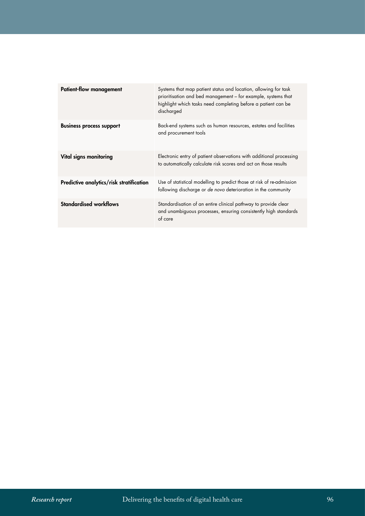| <b>Patient-flow management</b>           | Systems that map patient status and location, allowing for task<br>prioritisation and bed management – for example, systems that<br>highlight which tasks need completing before a patient can be<br>discharged |
|------------------------------------------|-----------------------------------------------------------------------------------------------------------------------------------------------------------------------------------------------------------------|
| <b>Business process support</b>          | Back-end systems such as human resources, estates and facilities<br>and procurement tools                                                                                                                       |
| Vital signs monitoring                   | Electronic entry of patient observations with additional processing<br>to automatically calculate risk scores and act on those results                                                                          |
| Predictive analytics/risk stratification | Use of statistical modelling to predict those at risk of re-admission<br>following discharge or de novo deterioration in the community                                                                          |
| <b>Standardised workflows</b>            | Standardisation of an entire clinical pathway to provide clear<br>and unambiguous processes, ensuring consistently high standards<br>of care                                                                    |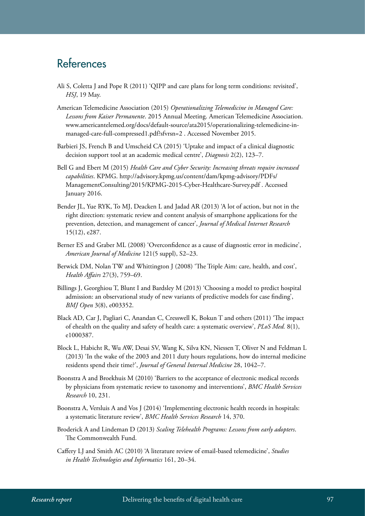### References

- Ali S, Coletta J and Pope R (2011) 'QIPP and care plans for long term conditions: revisited', *HSJ*, 19 May.
- American Telemedicine Association (2015) *Operationalizing Telemedicine in Managed Care: Lessons from Kaiser Permanente*. 2015 Annual Meeting. American Telemedicine Association. [www.americantelemed.org/docs/default-source/ata2015/operationalizing-telemedicine-in](http://www.americantelemed.org/docs/default-source/ata2015/operationalizing-telemedicine-in-managed-care-full-compressed1.pdf?sfvrsn=2)[managed-care-full-compressed1.pdf?sfvrsn=2](http://www.americantelemed.org/docs/default-source/ata2015/operationalizing-telemedicine-in-managed-care-full-compressed1.pdf?sfvrsn=2) . Accessed November 2015.
- Barbieri JS, French B and Umscheid CA (2015) 'Uptake and impact of a clinical diagnostic decision support tool at an academic medical centre', *Diagnosis* 2(2), 123–7.
- Bell G and Ebert M (2015) *Health Care and Cyber Security: Increasing threats require increased capabilities*. KPMG. [http://advisory.kpmg.us/content/dam/kpmg-advisory/PDFs/](http://advisory.kpmg.us/content/dam/kpmg-advisory/PDFs/ManagementConsulting/2015/KPMG-2015-Cyber-Healthcare-Survey.pdf) [ManagementConsulting/2015/KPMG-2015-Cyber-Healthcare-Survey.pdf](http://advisory.kpmg.us/content/dam/kpmg-advisory/PDFs/ManagementConsulting/2015/KPMG-2015-Cyber-Healthcare-Survey.pdf) . Accessed January 2016.
- Bender JL, Yue RYK, To MJ, Deacken L and Jadad AR (2013) 'A lot of action, but not in the right direction: systematic review and content analysis of smartphone applications for the prevention, detection, and management of cancer', *Journal of Medical Internet Research*  15(12), e287.
- Berner ES and Graber ML (2008) 'Overconfidence as a cause of diagnostic error in medicine', *American Journal of Medicine* 121(5 suppl), S2–23.
- Berwick DM, Nolan TW and Whittington J (2008) 'The Triple Aim: care, health, and cost', *Health Affairs* 27(3), 759–69.
- Billings J, Georghiou T, Blunt I and Bardsley M (2013) 'Choosing a model to predict hospital admission: an observational study of new variants of predictive models for case finding', *BMJ Open* 3(8), e003352.
- Black AD, Car J, Pagliari C, Anandan C, Cresswell K, Bokun T and others (2011) 'The impact of ehealth on the quality and safety of health care: a systematic overview', *PLoS Med.* 8(1), e1000387.
- Block L, Habicht R, Wu AW, Desai SV, Wang K, Silva KN, Niessen T, Oliver N and Feldman L (2013) 'In the wake of the 2003 and 2011 duty hours regulations, how do internal medicine residents spend their time?', *Journal of General Internal Medicine* 28, 1042–7.
- Boonstra A and Broekhuis M (2010) 'Barriers to the acceptance of electronic medical records by physicians from systematic review to taxonomy and interventions', *BMC Health Services Research* 10, 231.
- Boonstra A, Versluis A and Vos J (2014) 'Implementing electronic health records in hospitals: a systematic literature review', *BMC Health Services Research* 14, 370.
- Broderick A and Lindeman D (2013) *Scaling Telehealth Programs: Lessons from early adopters*. The Commonwealth Fund.
- Caffery LJ and Smith AC (2010) 'A literature review of email-based telemedicine', *Studies in Health Technologies and Informatics* 161, 20–34.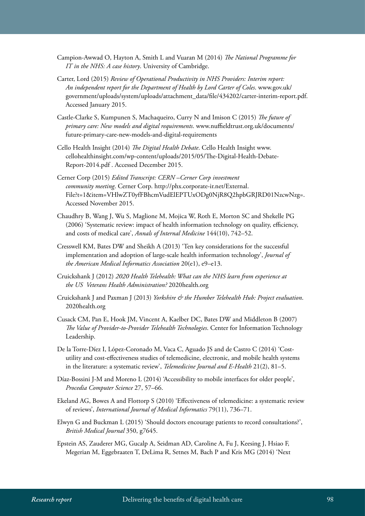- Campion-Awwad O, Hayton A, Smith L and Vuaran M (2014) *The National Programme for IT in the NHS: A case history*. University of Cambridge.
- Carter, Lord (2015) *Review of Operational Productivity in NHS Providers: Interim report: An independent report for the Department of Health by Lord Carter of Coles*. [www.gov.uk/](https://www.gov.uk/government/uploads/system/uploads/attachment_data/file/434202/carter-interim-report.pdf) [government/uploads/system/uploads/attachment\\_data/file/434202/carter-interim-report.pdf](https://www.gov.uk/government/uploads/system/uploads/attachment_data/file/434202/carter-interim-report.pdf). Accessed January 2015.
- Castle-Clarke S, Kumpunen S, Machaqueiro, Curry N and Imison C (2015) *The future of primary care: New models and digital requirements*. www.nuffieldtrust.org.uk/documents/ future-primary-care-new-models-and-digital-requirements
- Cello Health Insight (2014) *The Digital Health Debate*. Cello Health Insight [www.](http://www.cellohealthinsight.com/wp-content/uploads/2015/05/The-Digital-Health-Debate-Report-2014.pdf) [cellohealthinsight.com/wp-content/uploads/2015/05/The-Digital-Health-Debate-](http://www.cellohealthinsight.com/wp-content/uploads/2015/05/The-Digital-Health-Debate-Report-2014.pdf)[Report-2014.pdf](http://www.cellohealthinsight.com/wp-content/uploads/2015/05/The-Digital-Health-Debate-Report-2014.pdf) . Accessed December 2015.
- Cerner Corp (2015) *Edited Transcript: CERN –Cerner Corp investment community meeting*. Cerner Corp. [http://phx.corporate-ir.net/External.](http://phx.corporate-ir.net/External.File?t=1&item=VHlwZT0yfFBhcmVudElEPTUxODg0NjR8Q2hpbGRJRD01NzcwNzg) [File?t=1&item=VHlwZT0yfFBhcmVudElEPTUxODg0NjR8Q2hpbGRJRD01NzcwNzg](http://phx.corporate-ir.net/External.File?t=1&item=VHlwZT0yfFBhcmVudElEPTUxODg0NjR8Q2hpbGRJRD01NzcwNzg)=. Accessed November 2015.
- Chaudhry B, Wang J, Wu S, Maglione M, Mojica W, Roth E, Morton SC and Shekelle PG (2006) 'Systematic review: impact of health information technology on quality, efficiency, and costs of medical care', *Annals of Internal Medicine* 144(10), 742–52.
- Cresswell KM, Bates DW and Sheikh A (2013) 'Ten key considerations for the successful implementation and adoption of large-scale health information technology', *Journal of the American Medical Informatics Association* 20(e1), e9–e13.
- Cruickshank J (2012) *2020 Health Telehealth: What can the NHS learn from experience at the US Veterans Health Administration?* 2020health.org
- Cruickshank J and Paxman J (2013) *Yorkshire & the Humber Telehealth Hub: Project evaluation*. 2020health.org
- Cusack CM, Pan E, Hook JM, Vincent A, Kaelber DC, Bates DW and Middleton B (2007) *The Value of Provider-to-Provider Telehealth Technologies*. Center for Information Technology Leadership.
- De la Torre-Díez I, López-Coronado M, Vaca C, Aguado JS and de Castro C (2014) 'Costutility and cost-effectiveness studies of telemedicine, electronic, and mobile health systems in the literature: a systematic review', *Telemedicine Journal and E-Health* 21(2), 81–5.
- Díaz-Bossini J-M and Moreno L (2014) 'Accessibility to mobile interfaces for older people', *Procedia Computer Science* 27, 57–66.
- Ekeland AG, Bowes A and Flottorp S (2010) 'Effectiveness of telemedicine: a systematic review of reviews', *International Journal of Medical Informatics* 79(11), 736–71.
- Elwyn G and Buckman L (2015) 'Should doctors encourage patients to record consultations?', *British Medical Journal* 350, g7645.
- Epstein AS, Zauderer MG, Gucalp A, Seidman AD, Caroline A, Fu J, Keesing J, Hsiao F, Megerian M, Eggebraaten T, DeLima R, Setnes M, Bach P and Kris MG (2014) 'Next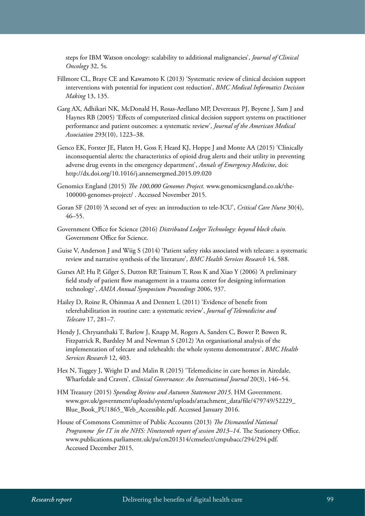steps for IBM Watson oncology: scalability to additional malignancies', *Journal of Clinical Oncology* 32, 5s.

- Fillmore CL, Braye CE and Kawamoto K (2013) 'Systematic review of clinical decision support interventions with potential for inpatient cost reduction', *BMC Medical Informatics Decision Making* 13, 135.
- Garg AX, Adhikari NK, McDonald H, Rosas-Arellano MP, Devereaux PJ, Beyene J, Sam J and Haynes RB (2005) 'Effects of computerized clinical decision support systems on practitioner performance and patient outcomes: a systematic review', *Journal of the American Medical Association* 293(10), 1223–38.
- Genco EK, Forster JE, Flaten H, Goss F, Heard KJ, Hoppe J and Monte AA (2015) 'Clinically inconsequential alerts: the characteristics of opioid drug alerts and their utility in preventing adverse drug events in the emergency department', *Annals of Emergency Medicine*, doi: <http://dx.doi.org/10.1016/j.annemergmed.2015.09.020>
- Genomics England (2015) *The 100,000 Genomes Project.* [www.genomicsengland.co.uk/the-](http://www.genomicsengland.co.uk/the-100000-genomes-project/)[100000-genomes-project/](http://www.genomicsengland.co.uk/the-100000-genomes-project/) . Accessed November 2015.
- Goran SF (2010) 'A second set of eyes: an introduction to tele-ICU', *Critical Care Nurse* 30(4), 46–55.
- Government Office for Science (2016) *Distributed Ledger Technology: beyond block chain.*  Government Office for Science.
- Guise V, Anderson J and Wiig S (2014) 'Patient safety risks associated with telecare: a systematic review and narrative synthesis of the literature', *BMC Health Services Research* 14, 588.
- Gurses AP, Hu P, Gilger S, Dutton RP, Trainum T, Ross K and Xiao Y (2006) 'A preliminary field study of patient flow management in a trauma center for designing information technology', *AMIA Annual Symposium Proceedings* 2006, 937.
- Hailey D, Roine R, Ohinmaa A and Dennett L (2011) 'Evidence of benefit from telerehabilitation in routine care: a systematic review', *Journal of Telemedicine and Telecare* 17, 281–7.
- Hendy J, Chrysanthaki T, Barlow J, Knapp M, Rogers A, Sanders C, Bower P, Bowen R, Fitzpatrick R, Bardsley M and Newman S (2012) 'An organisational analysis of the implementation of telecare and telehealth: the whole systems demonstrator', *BMC Health Services Research* 12, 403.
- Hex N, Tuggey J, Wright D and Malin R (2015) 'Telemedicine in care homes in Airedale, Wharfedale and Craven', *Clinical Governance: An International Journal* 20(3), 146–54.
- HM Treasury (2015) *Spending Review and Autumn Statement 2015*. HM Government. [www.gov.uk/government/uploads/system/uploads/attachment\\_data/file/479749/52229\\_](https://www.gov.uk/government/uploads/system/uploads/attachment_data/file/479749/52229_Blue_Book_PU1865_Web_Accessible.pdf) [Blue\\_Book\\_PU1865\\_Web\\_Accessible.pdf](https://www.gov.uk/government/uploads/system/uploads/attachment_data/file/479749/52229_Blue_Book_PU1865_Web_Accessible.pdf). Accessed January 2016.
- House of Commons Committee of Public Accounts (2013) *The Dismantled National Programme for IT in the NHS: Nineteenth report of session 2013–14*. The Stationery Office. [www.publications.parliament.uk/pa/cm201314/cmselect/cmpubacc/294/294.pdf](http://www.publications.parliament.uk/pa/cm201314/cmselect/cmpubacc/294/294.pdf). Accessed December 2015.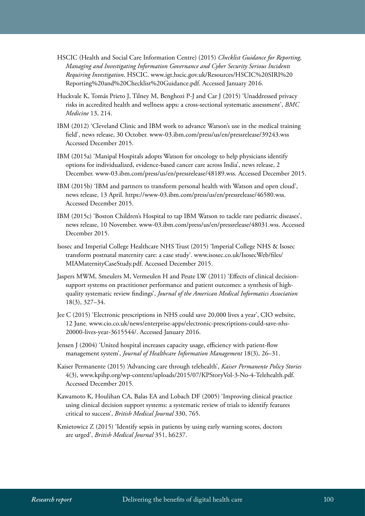- HSCIC (Health and Social Care Information Centre) (2015) *Checklist Guidance for Reporting, Managing and Investigating Information Governance and Cyber Security Serious Incidents Requiring Investigation*. HSCIC. [www.igt.hscic.gov.uk/Resources/HSCIC%20SIRI%20](https://www.igt.hscic.gov.uk/Resources/HSCIC%20SIRI%20Reporting%20and%20Checklist%20Guidance.pdf) [Reporting%20and%20Checklist%20Guidance.pdf.](https://www.igt.hscic.gov.uk/Resources/HSCIC%20SIRI%20Reporting%20and%20Checklist%20Guidance.pdf) Accessed January 2016.
- Huckvale K, Tomás Prieto J, Tilney M, Benghozi P-J and Car J (2015) 'Unaddressed privacy risks in accredited health and wellness apps: a cross-sectional systematic assessment', *BMC Medicine* 13, 214.
- IBM (2012) 'Cleveland Clinic and IBM work to advance Watson's use in the medical training field', news release, 30 October. [www-03.ibm.com/press/us/en/pressrelease/39243.wss](http://www-03.ibm.com/press/us/en/pressrelease/39243.wss)  Accessed December 2015.
- IBM (2015a) 'Manipal Hospitals adopts Watson for oncology to help physicians identify options for individualized, evidence-based cancer care across India', news release, 2 December. [www-03.ibm.com/press/us/en/pressrelease/48189.wss](http://www-03.ibm.com/press/us/en/pressrelease/48189.wss). Accessed December 2015.
- IBM (2015b) 'IBM and partners to transform personal health with Watson and open cloud', news release, 13 April.<https://www-03.ibm.com/press/us/en/pressrelease/46580.wss>. Accessed December 2015.
- IBM (2015c) 'Boston Children's Hospital to tap IBM Watson to tackle rare pediatric diseases', news release, 10 November. [www-03.ibm.com/press/us/en/pressrelease/48031.wss](http://www-03.ibm.com/press/us/en/pressrelease/48031.wss). Accessed December 2015.
- Isosec and Imperial College Healthcare NHS Trust (2015) 'Imperial College NHS & Isosec transform postnatal maternity care: a case study'. [www.isosec.co.uk/IsosecWeb/files/](http://www.isosec.co.uk/IsosecWeb/files/MIAMaternityCaseStudy.pdf) [MIAMaternityCaseStudy.pdf.](http://www.isosec.co.uk/IsosecWeb/files/MIAMaternityCaseStudy.pdf) Accessed December 2015.
- Jaspers MWM, Smeulers M, Vermeulen H and Peute LW (2011) 'Effects of clinical decisionsupport systems on practitioner performance and patient outcomes: a synthesis of highquality systematic review findings', *Journal of the American Medical Informatics Association* 18(3), 327–34.
- Jee C (2015) 'Electronic prescriptions in NHS could save 20,000 lives a year', CIO website, 12 June. [www.cio.co.uk/news/enterprise-apps/electronic-prescriptions-could-save-nhs-](http://www.cio.co.uk/news/enterprise-apps/electronic-prescriptions-could-save-nhs-20000-lives-year-3615544/)[20000-lives-year-3615544/.](http://www.cio.co.uk/news/enterprise-apps/electronic-prescriptions-could-save-nhs-20000-lives-year-3615544/) Accessed January 2016.
- Jensen J (2004) 'United hospital increases capacity usage, efficiency with patient-flow management system', *Journal of Healthcare Information Management* 18(3), 26–31.
- Kaiser Permanente (2015) 'Advancing care through telehealth', *Kaiser Permanente Policy Stories*  4(3), [www.kpihp.org/wp-content/uploads/2015/07/KPStoryVol-3-No-4-Telehealth.pdf.](http://www.kpihp.org/wp-content/uploads/2015/07/KPStoryVol-3-No-4-Telehealth.pdf) Accessed December 2015.
- Kawamoto K, Houlihan CA, Balas EA and Lobach DF (2005) 'Improving clinical practice using clinical decision support systems: a systematic review of trials to identify features critical to success', *British Medical Journal* 330, 765.
- Kmietowicz Z (2015) 'Identify sepsis in patients by using early warning scores, doctors are urged', *British Medical Journal* 351, h6237.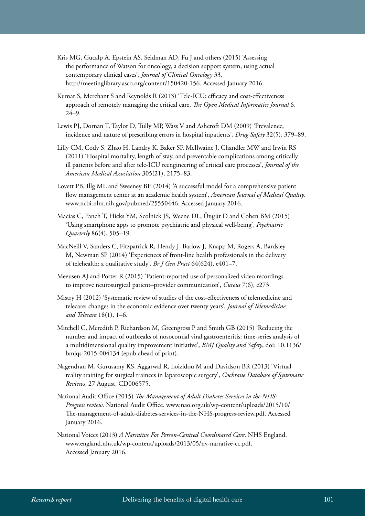- Kris MG, Gucalp A, Epstein AS, Seidman AD, Fu J and others (2015) 'Assessing the performance of Watson for oncology, a decision support system, using actual contemporary clinical cases', *Journal of Clinical Oncology* 33, [http://meetinglibrary.asco.org/content/150420-156.](http://meetinglibrary.asco.org/content/150420-156) Accessed January 2016.
- Kumar S, Merchant S and Reynolds R (2013) 'Tele-ICU: efficacy and cost-effectiveness approach of remotely managing the critical care, *The Open Medical Informatics Journal* 6, 24–9.
- Lewis PJ, Dornan T, Taylor D, Tully MP, Wass V and Ashcroft DM (2009) 'Prevalence, incidence and nature of prescribing errors in hospital inpatients', *Drug Safety* 32(5), 379–89.
- Lilly CM, Cody S, Zhao H, Landry K, Baker SP, McIlwaine J, Chandler MW and Irwin RS (2011) 'Hospital mortality, length of stay, and preventable complications among critically ill patients before and after tele-ICU reengineering of critical care processes', *Journal of the American Medical Association* 305(21), 2175–83.
- Lovett PB, Illg ML and Sweeney BE (2014) 'A successful model for a comprehensive patient flow management center at an academic health system', *American Journal of Medical Quality*. [www.ncbi.nlm.nih.gov/pubmed/25550446](http://www.ncbi.nlm.nih.gov/pubmed/25550446). Accessed January 2016.
- Macias C, Panch T, Hicks YM, Scolnick JS, Weene DL, Öngür D and Cohen BM (2015) 'Using smartphone apps to promote psychiatric and physical well-being', *Psychiatric Quarterly* 86(4), 505–19.
- MacNeill V, Sanders C, Fitzpatrick R, Hendy J, Barlow J, Knapp M, Rogers A, Bardsley M, Newman SP (2014) 'Experiences of front-line health professionals in the delivery of telehealth: a qualitative study', *Br J Gen Pract* 64(624), e401–7.
- Meeusen AJ and Porter R (2015) 'Patient-reported use of personalized video recordings to improve neurosurgical patient–provider communication', *Cureus* 7(6), e273.
- Mistry H (2012) 'Systematic review of studies of the cost-effectiveness of telemedicine and telecare: changes in the economic evidence over twenty years', *Journal of Telemedicine and Telecare* 18(1), 1–6.
- Mitchell C, Meredith P, Richardson M, Greengross P and Smith GB (2015) 'Reducing the number and impact of outbreaks of nosocomial viral gastroenteritis: time-series analysis of a multidimensional quality improvement initiative', *BMJ Quality and Safety*, doi: 10.1136/ bmjqs-2015-004134 (epub ahead of print).
- Nagendran M, Gurusamy KS, Aggarwal R, Loizidou M and Davidson BR (2013) 'Virtual reality training for surgical trainees in laparoscopic surgery', *Cochrane Database of Systematic Reviews*, 27 August, CD006575.
- National Audit Office (2015) *The Management of Adult Diabetes Services in the NHS: Progress review*. National Audit Office. [www.nao.org.uk/wp-content/uploads/2015/10/](https://www.nao.org.uk/wp-content/uploads/2015/10/The-management-of-adult-diabetes-services-in-the-NHS-progress-review.pdf) [The-management-of-adult-diabetes-services-in-the-NHS-progress-review.pdf.](https://www.nao.org.uk/wp-content/uploads/2015/10/The-management-of-adult-diabetes-services-in-the-NHS-progress-review.pdf) Accessed January 2016.
- National Voices (2013) *A Narrative For Person-Centred Coordinated Care*. NHS England. [www.england.nhs.uk/wp-content/uploads/2013/05/nv-narrative-cc.pdf.](https://www.england.nhs.uk/wp-content/uploads/2013/05/nv-narrative-cc.pdf) Accessed January 2016.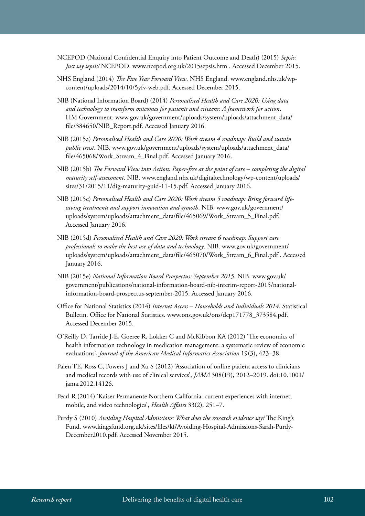- NCEPOD (National Confidential Enquiry into Patient Outcome and Death) (2015) *Sepsis: Just say sepsis!* NCEPOD. [www.ncepod.org.uk/2015sepsis.htm](http://www.ncepod.org.uk/2015sepsis.htm) . Accessed December 2015.
- NHS England (2014) *The Five Year Forward View*. NHS England. [www.england.nhs.uk/wp](https://www.england.nhs.uk/wp-content/uploads/2014/10/5yfv-web.pdf)[content/uploads/2014/10/5yfv-web.pdf](https://www.england.nhs.uk/wp-content/uploads/2014/10/5yfv-web.pdf). Accessed December 2015.
- NIB (National Information Board) (2014) *Personalised Health and Care 2020: Using data and technology to transform outcomes for patients and citizens: A framework for action*. HM Government. [www.gov.uk/government/uploads/system/uploads/attachment\\_data/](https://www.gov.uk/government/uploads/system/uploads/attachment_data/file/384650/NIB_Report.pdf) [file/384650/NIB\\_Report.pdf.](https://www.gov.uk/government/uploads/system/uploads/attachment_data/file/384650/NIB_Report.pdf) Accessed January 2016.
- NIB (2015a) *Personalised Health and Care 2020: Work stream 4 roadmap: Build and sustain public trust*. NIB. [www.gov.uk/government/uploads/system/uploads/attachment\\_data/](https://www.gov.uk/government/uploads/system/uploads/attachment_data/file/465068/Work_Stream_4_Final.pdf) [file/465068/Work\\_Stream\\_4\\_Final.pdf.](https://www.gov.uk/government/uploads/system/uploads/attachment_data/file/465068/Work_Stream_4_Final.pdf) Accessed January 2016.
- NIB (2015b) *The Forward View into Action: Paper-free at the point of care completing the digital maturity self-assessment*. NIB. [www.england.nhs.uk/digitaltechnology/wp-content/uploads/](https://www.england.nhs.uk/digitaltechnology/wp-content/uploads/sites/31/2015/11/dig-maturity-guid-11-15.pdf) [sites/31/2015/11/dig-maturity-guid-11-15.pdf](https://www.england.nhs.uk/digitaltechnology/wp-content/uploads/sites/31/2015/11/dig-maturity-guid-11-15.pdf). Accessed January 2016.
- NIB (2015c) *Personalised Health and Care 2020: Work stream 5 roadmap: Bring forward lifesaving treatments and support innovation and growth*. NIB. [www.gov.uk/government/](https://www.gov.uk/government/uploads/system/uploads/attachment_data/file/465069/Work_Stream_5_Final.pdf) [uploads/system/uploads/attachment\\_data/file/465069/Work\\_Stream\\_5\\_Final.pdf](https://www.gov.uk/government/uploads/system/uploads/attachment_data/file/465069/Work_Stream_5_Final.pdf). Accessed January 2016.
- NIB (2015d) *Personalised Health and Care 2020: Work stream 6 roadmap: Support care professionals to make the best use of data and technology*. NIB. [www.gov.uk/government/](https://www.gov.uk/government/uploads/system/uploads/attachment_data/file/465070/Work_Stream_6_Final.pdf) [uploads/system/uploads/attachment\\_data/file/465070/Work\\_Stream\\_6\\_Final.pdf](https://www.gov.uk/government/uploads/system/uploads/attachment_data/file/465070/Work_Stream_6_Final.pdf) . Accessed January 2016.
- NIB (2015e) *National Information Board Prospectus: September 2015*. NIB. [www.gov.uk/](https://www.gov.uk/government/publications/national-information-board-nib-interim-report-2015/national-information-board-prospectus-september-2015) [government/publications/national-information-board-nib-interim-report-2015/national](https://www.gov.uk/government/publications/national-information-board-nib-interim-report-2015/national-information-board-prospectus-september-2015)[information-board-prospectus-september-2015](https://www.gov.uk/government/publications/national-information-board-nib-interim-report-2015/national-information-board-prospectus-september-2015). Accessed January 2016.
- Office for National Statistics (2014) *Internet Access Households and Individuals 2014*. Statistical Bulletin. Office for National Statistics. [www.ons.gov.uk/ons/dcp171778\\_373584.pdf](http://www.ons.gov.uk/ons/dcp171778_373584.pdf). Accessed December 2015.
- O'Reilly D, Tarride J-E, Goeree R, Lokker C and McKibbon KA (2012) 'The economics of health information technology in medication management: a systematic review of economic evaluations', *Journal of the American Medical Informatics Association* 19(3), 423–38.
- Palen TE, Ross C, Powers J and Xu S (2012) 'Association of online patient access to clinicians and medical records with use of clinical services', *JAMA* 308(19), 2012–2019. doi:10.1001/ jama.2012.14126.
- Pearl R (2014) 'Kaiser Permanente Northern California: current experiences with internet, mobile, and video technologies', *Health Affairs* 33(2), 251–7.
- Purdy S (2010) *Avoiding Hospital Admissions: What does the research evidence say?* The King's Fund. [www.kingsfund.org.uk/sites/files/kf/Avoiding-Hospital-Admissions-Sarah-Purdy-](http://www.kingsfund.org.uk/sites/files/kf/Avoiding-Hospital-Admissions-Sarah-Purdy-December2010.pdf)[December2010.pdf.](http://www.kingsfund.org.uk/sites/files/kf/Avoiding-Hospital-Admissions-Sarah-Purdy-December2010.pdf) Accessed November 2015.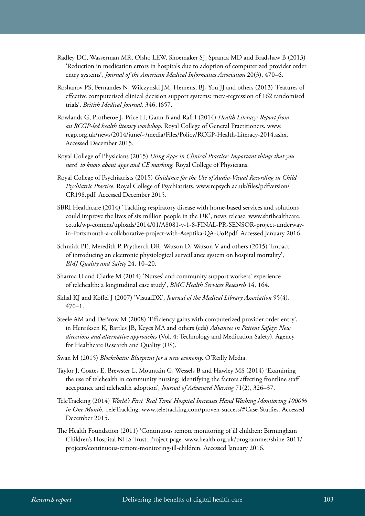- Radley DC, Wasserman MR, Olsho LEW, Shoemaker SJ, Spranca MD and Bradshaw B (2013) 'Reduction in medication errors in hospitals due to adoption of computerized provider order entry systems', *Journal of the American Medical Informatics Association* 20(3), 470–6.
- Roshanov PS, Fernandes N, Wilczynski JM, Hemens, BJ, You JJ and others (2013) 'Features of effective computerised clinical decision support systems: meta-regression of 162 randomised trials', *British Medical Journal*, 346, f657.
- Rowlands G, Protheroe J, Price H, Gann B and Rafi I (2014) *Health Literacy: Report from an RCGP-led health literacy workshop*. Royal College of General Practitioners. [www.](http://www.rcgp.org.uk/news/2014/june/~/media/Files/Policy/RCGP-Health-Literacy-2014.ashx) [rcgp.org.uk/news/2014/june/~/media/Files/Policy/RCGP-Health-Literacy-2014.ashx](http://www.rcgp.org.uk/news/2014/june/~/media/Files/Policy/RCGP-Health-Literacy-2014.ashx). Accessed December 2015.
- Royal College of Physicians (2015) *Using Apps in Clinical Practice: Important things that you need to know about apps and CE marking*. Royal College of Physicians.
- Royal College of Psychiatrists (2015) *Guidance for the Use of Audio-Visual Recording in Child Psychiatric Practice*. Royal College of Psychiatrists. [www.rcpsych.ac.uk/files/pdfversion/](http://www.rcpsych.ac.uk/files/pdfversion/CR198.pdf) [CR198.pdf](http://www.rcpsych.ac.uk/files/pdfversion/CR198.pdf). Accessed December 2015.
- SBRI Healthcare (2014) 'Tackling respiratory disease with home-based services and solutions could improve the lives of six million people in the UK', news release. [www.sbrihealthcare.](http://www.sbrihealthcare.co.uk/wp-content/uploads/2014/01/A8081-v-1-8-FINAL-PR-SENSOR-project-underway-in-Portsmouth-a-collaborative-project-with-Aseptika-QA-UoP.pdf) [co.uk/wp-content/uploads/2014/01/A8081-v-1-8-FINAL-PR-SENSOR-project-underway](http://www.sbrihealthcare.co.uk/wp-content/uploads/2014/01/A8081-v-1-8-FINAL-PR-SENSOR-project-underway-in-Portsmouth-a-collaborative-project-with-Aseptika-QA-UoP.pdf)[in-Portsmouth-a-collaborative-project-with-Aseptika-QA-UoP.pdf.](http://www.sbrihealthcare.co.uk/wp-content/uploads/2014/01/A8081-v-1-8-FINAL-PR-SENSOR-project-underway-in-Portsmouth-a-collaborative-project-with-Aseptika-QA-UoP.pdf) Accessed January 2016.
- Schmidt PE, Meredith P, Prytherch DR, Watson D, Watson V and others (2015) 'Impact of introducing an electronic physiological surveillance system on hospital mortality', *BMJ Quality and Safety* 24, 10–20.
- Sharma U and Clarke M (2014) 'Nurses' and community support workers' experience of telehealth: a longitudinal case study', *BMC Health Services Research* 14, 164.
- Skhal KJ and Koffel J (2007) 'VisualDX', *Journal of the Medical Library Association* 95(4),  $470 - 1$ .
- Steele AM and DeBrow M (2008) 'Efficiency gains with computerized provider order entry', in Henriksen K, Battles JB, Keyes MA and others (eds) *Advances in Patient Safety: New directions and alternative approaches* (Vol. 4: Technology and Medication Safety). Agency for Healthcare Research and Quality (US).
- Swan M (2015) *Blockchain: Blueprint for a new economy*. O'Reilly Media.
- Taylor J, Coates E, Brewster L, Mountain G, Wessels B and Hawley MS (2014) 'Examining the use of telehealth in community nursing: identifying the factors affecting frontline staff acceptance and telehealth adoption', *Journal of Advanced Nursing* 71(2), 326–37.
- TeleTracking (2014) *World's First 'Real Time' Hospital Increases Hand Washing Monitoring 1000% in One Month*. TeleTracking. [www.teletracking.com/proven-success/#Case-Studies](http://www.teletracking.com/proven-success/#Case-Studies). Accessed December 2015.
- The Health Foundation (2011) 'Continuous remote monitoring of ill children: Birmingham Children's Hospital NHS Trust. Project page. [www.health.org.uk/programmes/shine-2011/](http://www.health.org.uk/programmes/shine-2011/projects/continuous-remote-monitoring-ill-children) [projects/continuous-remote-monitoring-ill-children.](http://www.health.org.uk/programmes/shine-2011/projects/continuous-remote-monitoring-ill-children) Accessed January 2016.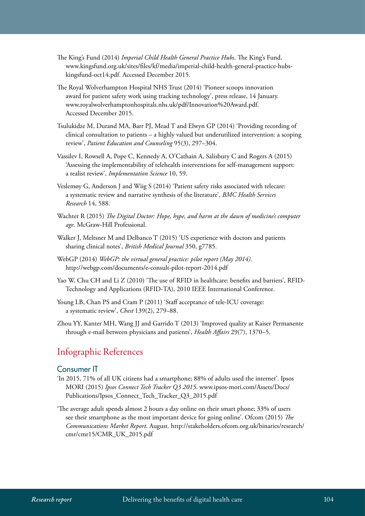- The King's Fund (2014) *Imperial Child Health General Practice Hubs*. The King's Fund. [www.kingsfund.org.uk/sites/files/kf/media/imperial-child-health-general-practice-hubs](http://www.kingsfund.org.uk/sites/files/kf/media/imperial-child-health-general-practice-hubs-kingsfund-oct14.pdf)[kingsfund-oct14.pdf](http://www.kingsfund.org.uk/sites/files/kf/media/imperial-child-health-general-practice-hubs-kingsfund-oct14.pdf). Accessed December 2015.
- The Royal Wolverhampton Hospital NHS Trust (2014) 'Pioneer scoops innovation award for patient safety work using tracking technology', press release, 14 January. [www.royalwolverhamptonhospitals.nhs.uk/pdf/Innovation%20Award.pdf.](http://www.royalwolverhamptonhospitals.nhs.uk/pdf/Innovation%20Award.pdf) Accessed December 2015.
- Tsulukidze M, Durand MA, Barr PJ, Mead T and Elwyn GP (2014) 'Providing recording of clinical consultation to patients – a highly valued but underutilized intervention: a scoping review', *Patient Education and Counseling* 95(3), 297–304.
- Vassilev I, Rowsell A, Pope C, Kennedy A, O'Cathain A, Salisbury C and Rogers A (2015) 'Assessing the implementability of telehealth interventions for self-management support: a realist review', *Implementation Science* 10, 59.
- Veslemøy G, Anderson J and Wiig S (2014) 'Patient safety risks associated with telecare: a systematic review and narrative synthesis of the literature', *BMC Health Services Research* 14, 588.
- Wachter R (2015) *The Digital Doctor: Hope, hype, and harm at the dawn of medicine's computer age*. McGraw-Hill Professional.
- Walker J, Meltsner M and Delbanco T (2015) 'US experience with doctors and patients sharing clinical notes', *British Medical Journal* 350, g7785.
- WebGP (2014) *WebGP: the virtual general practice: pilot report (May 2014).*  <http://webgp.com/documents/e-consult-pilot-report-2014.pdf>
- Yao W, Chu CH and Li Z (2010) 'The use of RFID in healthcare: benefits and barriers', RFID-Technology and Applications (RFID-TA), 2010 IEEE International Conference.
- Young LB, Chan PS and Cram P (2011) 'Staff acceptance of tele-ICU coverage: a systematic review', *Chest* 139(2), 279–88.
- Zhou YY, Kanter MH, Wang JJ and Garrido T (2013) 'Improved quality at Kaiser Permanente through e-mail between physicians and patients', *Health Affairs* 29(7), 1370–5.

### Infographic References

#### Consumer IT

- 'In 2015, 71% of all UK citizens had a smartphone; 88% of adults used the internet'. Ipsos MORI (2015) *Ipsos Connect Tech Tracker Q3 2015*. www.ipsos-mori.com/Assets/Docs/ Publications/Ipsos\_Connect\_Tech\_Tracker\_Q3\_2015.pdf
- 'The average adult spends almost 2 hours a day online on their smart phone; 33% of users see their smartphone as the most important device for going online'. Ofcom (2015) *The Communications Market Report*. August. [http://stakeholders.ofcom.org.uk/binaries/research/](http://stakeholders.ofcom.org.uk/binaries/research/cmr/cmr15/CMR_UK_2015.pdf) [cmr/cmr15/CMR\\_UK\\_2015.pdf](http://stakeholders.ofcom.org.uk/binaries/research/cmr/cmr15/CMR_UK_2015.pdf)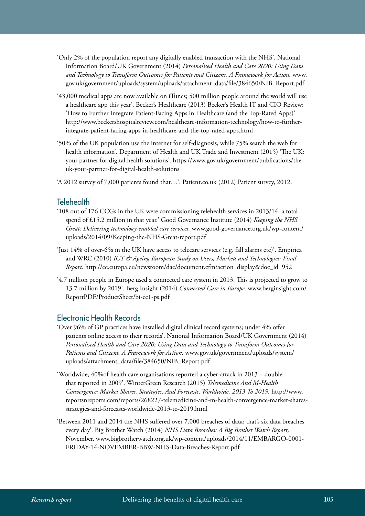- 'Only 2% of the population report any digitally enabled transaction with the NHS'. National Information Board/UK Government (2014) *Personalised Health and Care 2020: Using Data and Technology to Transform Outcomes for Patients and Citizens. A Framework for Action.* [www.](http://www.gov.uk/government/uploads/system/uploads/attachment_data/file/384650/NIB_Report.pdf) [gov.uk/government/uploads/system/uploads/attachment\\_data/file/384650/NIB\\_Report.pdf](http://www.gov.uk/government/uploads/system/uploads/attachment_data/file/384650/NIB_Report.pdf)
- '43,000 medical apps are now available on iTunes; 500 million people around the world will use a healthcare app this year'. Becker's Healthcare (2013) Becker's Health IT and CIO Review: 'How to Further Integrate Patient-Facing Apps in Healthcare (and the Top-Rated Apps)'. [http://www.beckershospitalreview.com/healthcare-information-technology/how-to-further](http://www.beckershospitalreview.com/healthcare-information-technology/how-to-further-integrate-patient-facing-apps-in-healthcare-and-the-top-rated-apps.html)[integrate-patient-facing-apps-in-healthcare-and-the-top-rated-apps.html](http://www.beckershospitalreview.com/healthcare-information-technology/how-to-further-integrate-patient-facing-apps-in-healthcare-and-the-top-rated-apps.html)
- '50% of the UK population use the internet for self-diagnosis, while 75% search the web for health information'. Department of Health and UK Trade and Investment (2015) 'The UK: your partner for digital health solutions'. [https://www.gov.uk/government/publications/the](https://www.gov.uk/government/publications/the-uk-your-partner-for-digital-health-solutions)[uk-your-partner-for-digital-health-solutions](https://www.gov.uk/government/publications/the-uk-your-partner-for-digital-health-solutions)
- 'A 2012 survey of 7,000 patients found that…'. Patient.co.uk (2012) Patient survey, 2012.

#### Telehealth

- '108 out of 176 CCGs in the UK were commissioning telehealth services in 2013/14: a total spend of £15.2 million in that year.' Good Governance Institute (2014) *Keeping the NHS Great: Delivering technology-enabled care services.* [www.good-governance.org.uk/wp-content/](http://www.good-governance.org.uk/wp-content/uploads/2014/09/Keeping-the-NHS-Great-report.pdf) [uploads/2014/09/Keeping-the-NHS-Great-report.pdf](http://www.good-governance.org.uk/wp-content/uploads/2014/09/Keeping-the-NHS-Great-report.pdf)
- 'Just 14% of over-65s in the UK have access to telecare services (e.g. fall alarms etc)'. Empirica and WRC (2010) *ICT & Ageing European Study on Users, Markets and Technologies: Final Report.* [http://ec.europa.eu/newsroom/dae/document.cfm?action=display&doc\\_id=952](http://ec.europa.eu/newsroom/dae/document.cfm?action=display&doc_id=952)
- '4.7 million people in Europe used a connected care system in 2013. This is projected to grow to 13.7 million by 2019'. Berg Insight (2014) *Connected Care in Europe*. [www.berginsight.com/](http://www.berginsight.com/ReportPDF/ProductSheet/bi-cc1-ps.pdf) [ReportPDF/ProductSheet/bi-cc1-ps.pdf](http://www.berginsight.com/ReportPDF/ProductSheet/bi-cc1-ps.pdf)

#### Electronic Health Records

- 'Over 96% of GP practices have installed digital clinical record systems; under 4% offer patients online access to their records'. National Information Board/UK Government (2014) *Personalised Health and Care 2020: Using Data and Technology to Transform Outcomes for Patients and Citizens. A Framework for Action.* [www.gov.uk/government/uploads/system/](http://www.gov.uk/government/uploads/system/uploads/attachment_data/file/384650/NIB_Report.pdf) [uploads/attachment\\_data/file/384650/NIB\\_Report.pdf](http://www.gov.uk/government/uploads/system/uploads/attachment_data/file/384650/NIB_Report.pdf)
- 'Worldwide, 40%of health care organisations reported a cyber-attack in 2013 double that reported in 2009'. WinterGreen Research (2015) *Telemedicine And M-Health Convergence: Market Shares, Strategies, And Forecasts, Worldwide, 2013 To 2019.* [http://www.](http://www.reportsnreports.com/reports/268227-telemedicine-and-m-health-convergence-market-shares-strategies-and-forecasts-worldwide-2013-to-2019.html) [reportsnreports.com/reports/268227-telemedicine-and-m-health-convergence-market-shares](http://www.reportsnreports.com/reports/268227-telemedicine-and-m-health-convergence-market-shares-strategies-and-forecasts-worldwide-2013-to-2019.html)[strategies-and-forecasts-worldwide-2013-to-2019.html](http://www.reportsnreports.com/reports/268227-telemedicine-and-m-health-convergence-market-shares-strategies-and-forecasts-worldwide-2013-to-2019.html)
- 'Between 2011 and 2014 the NHS suffered over 7,000 breaches of data; that's six data breaches every day'. Big Brother Watch (2014) *NHS Data Breaches: A Big Brother Watch Report,*  November. www.bigbrotherwatch.org.uk/wp-content/uploads/2014/11/EMBARGO-0001- FRIDAY-14-NOVEMBER-BBW-NHS-Data-Breaches-Report.pdf